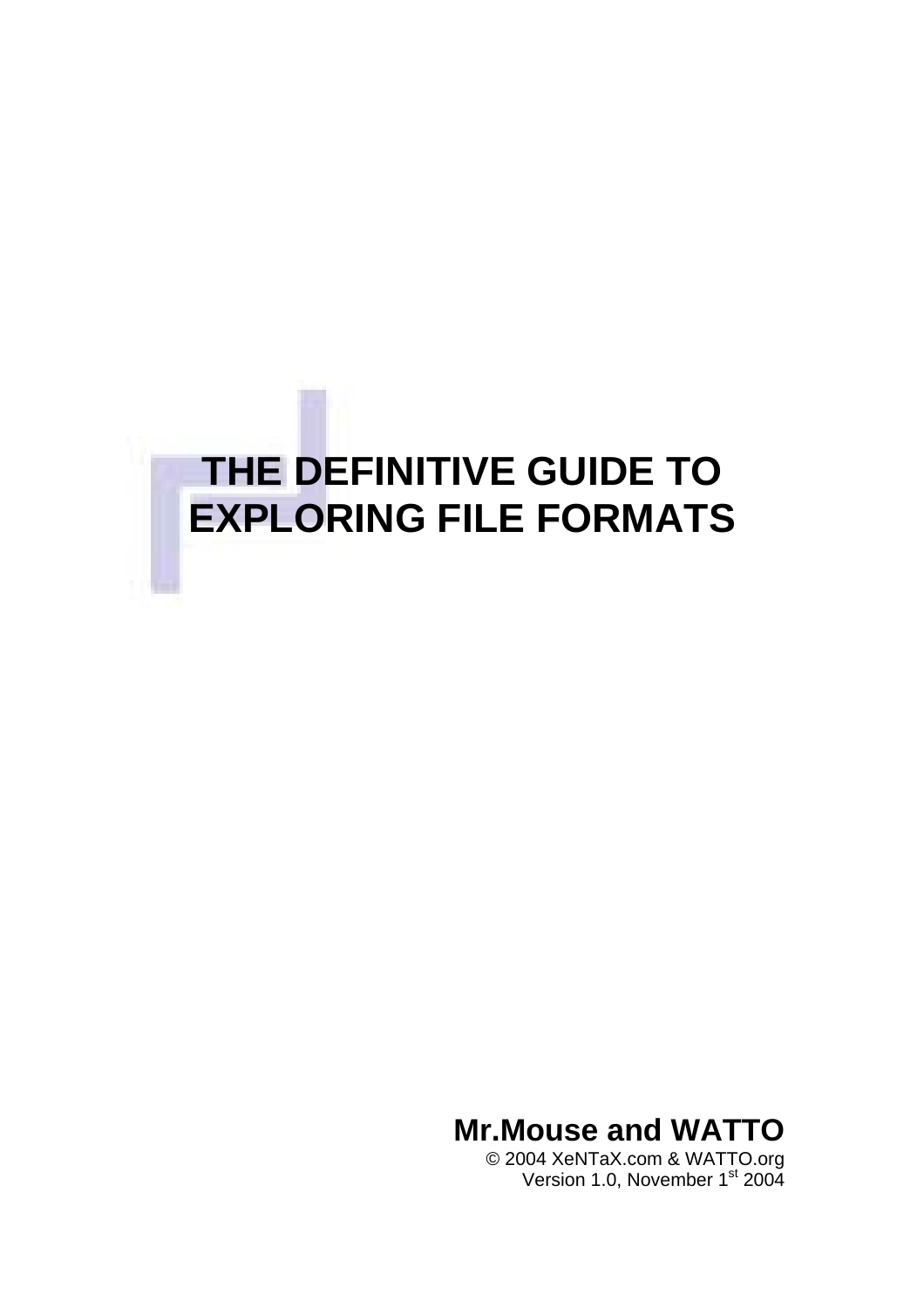<span id="page-0-0"></span>

**Mr.Mouse and WATTO**

© 2004 XeNTaX.com & WATTO.org Version 1.0, November 1<sup>st</sup> 2004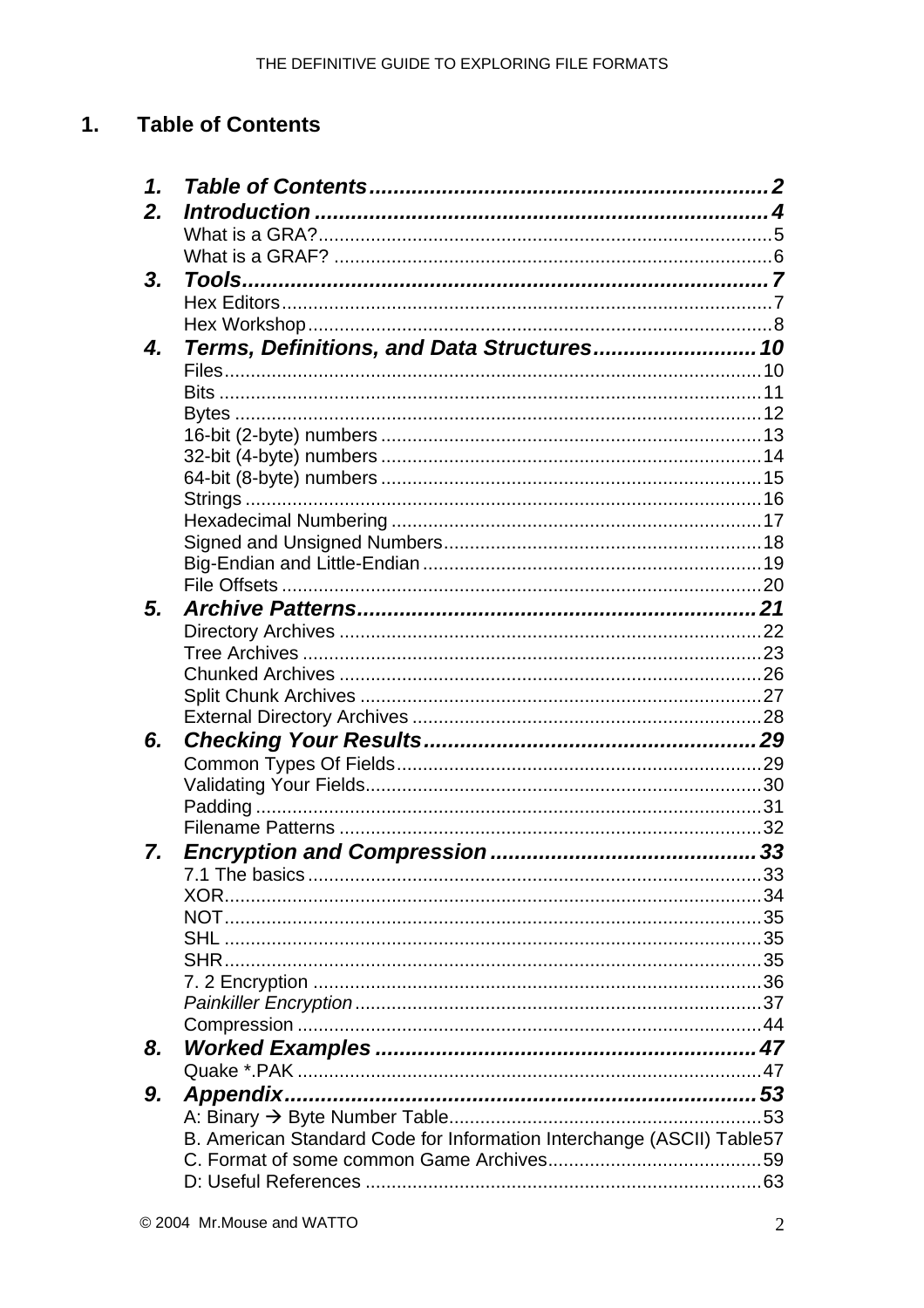#### <span id="page-1-0"></span> $1.$ **Table of Contents**

| 1. |                                                                       |  |
|----|-----------------------------------------------------------------------|--|
| 2. |                                                                       |  |
|    |                                                                       |  |
|    |                                                                       |  |
| 3. |                                                                       |  |
|    |                                                                       |  |
|    |                                                                       |  |
| 4. | Terms, Definitions, and Data Structures 10                            |  |
|    |                                                                       |  |
|    |                                                                       |  |
|    |                                                                       |  |
|    |                                                                       |  |
|    |                                                                       |  |
|    |                                                                       |  |
|    |                                                                       |  |
|    |                                                                       |  |
|    |                                                                       |  |
|    |                                                                       |  |
|    |                                                                       |  |
|    |                                                                       |  |
| 5. |                                                                       |  |
|    |                                                                       |  |
|    |                                                                       |  |
|    |                                                                       |  |
|    |                                                                       |  |
|    |                                                                       |  |
| 6. |                                                                       |  |
|    |                                                                       |  |
|    |                                                                       |  |
|    |                                                                       |  |
|    |                                                                       |  |
| 7. |                                                                       |  |
|    |                                                                       |  |
|    | XOR.                                                                  |  |
|    |                                                                       |  |
|    |                                                                       |  |
|    |                                                                       |  |
|    |                                                                       |  |
|    |                                                                       |  |
|    |                                                                       |  |
| 8. |                                                                       |  |
|    |                                                                       |  |
| 9. |                                                                       |  |
|    |                                                                       |  |
|    | B. American Standard Code for Information Interchange (ASCII) Table57 |  |
|    |                                                                       |  |
|    |                                                                       |  |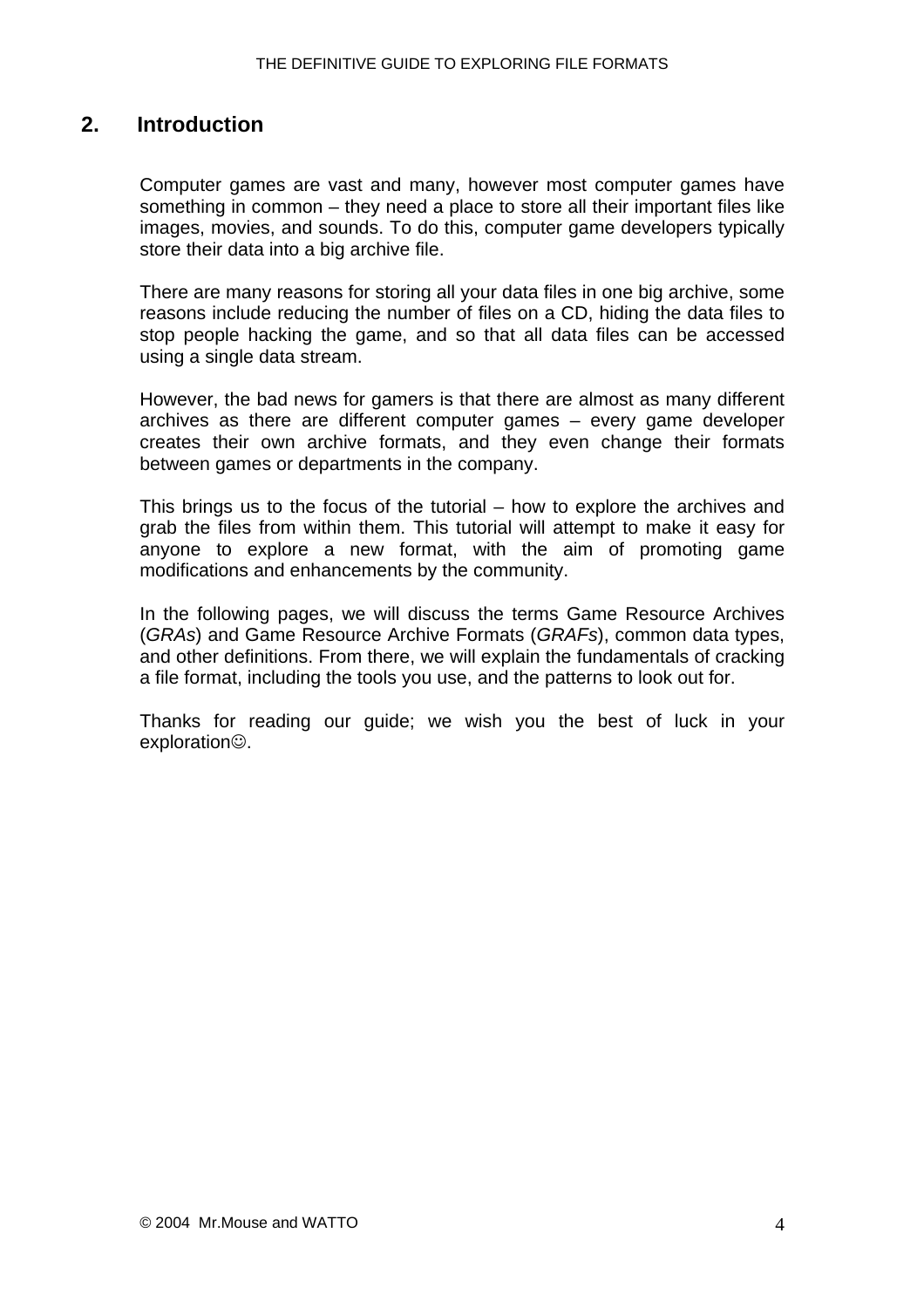### <span id="page-3-0"></span>**2. Introduction**

Computer games are vast and many, however most computer games have something in common – they need a place to store all their important files like images, movies, and sounds. To do this, computer game developers typically store their data into a big archive file.

There are many reasons for storing all your data files in one big archive, some reasons include reducing the number of files on a CD, hiding the data files to stop people hacking the game, and so that all data files can be accessed using a single data stream.

However, the bad news for gamers is that there are almost as many different archives as there are different computer games – every game developer creates their own archive formats, and they even change their formats between games or departments in the company.

This brings us to the focus of the tutorial – how to explore the archives and grab the files from within them. This tutorial will attempt to make it easy for anyone to explore a new format, with the aim of promoting game modifications and enhancements by the community.

In the following pages, we will discuss the terms Game Resource Archives (*GRAs*) and Game Resource Archive Formats (*GRAFs*), common data types, and other definitions. From there, we will explain the fundamentals of cracking a file format, including the tools you use, and the patterns to look out for.

Thanks for reading our guide; we wish you the best of luck in your exploration**.**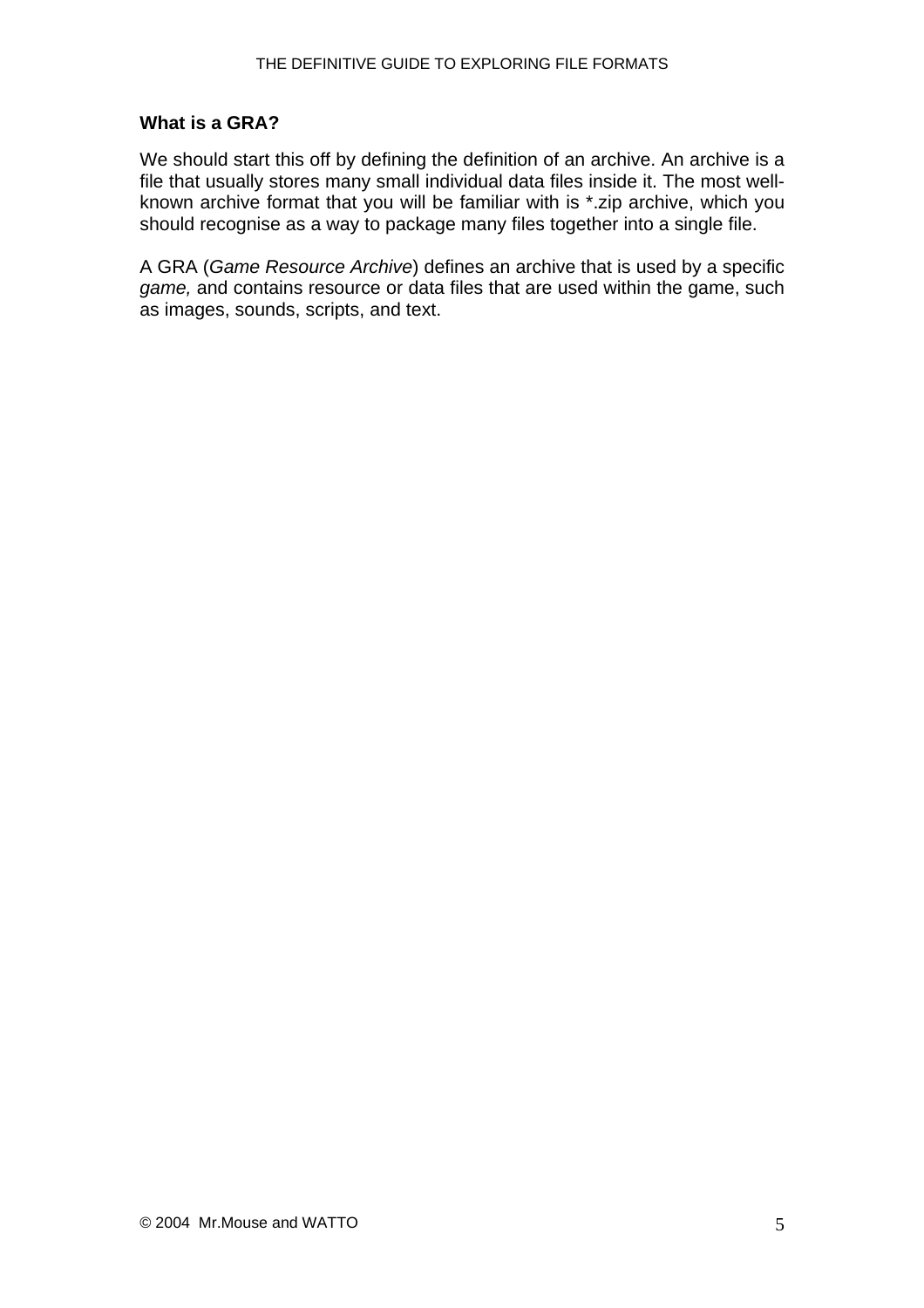#### <span id="page-4-0"></span>**What is a GRA?**

We should start this off by defining the definition of an archive. An archive is a file that usually stores many small individual data files inside it. The most wellknown archive format that you will be familiar with is \*.zip archive, which you should recognise as a way to package many files together into a single file.

A GRA (*Game Resource Archive*) defines an archive that is used by a specific *game,* and contains resource or data files that are used within the game, such as images, sounds, scripts, and text.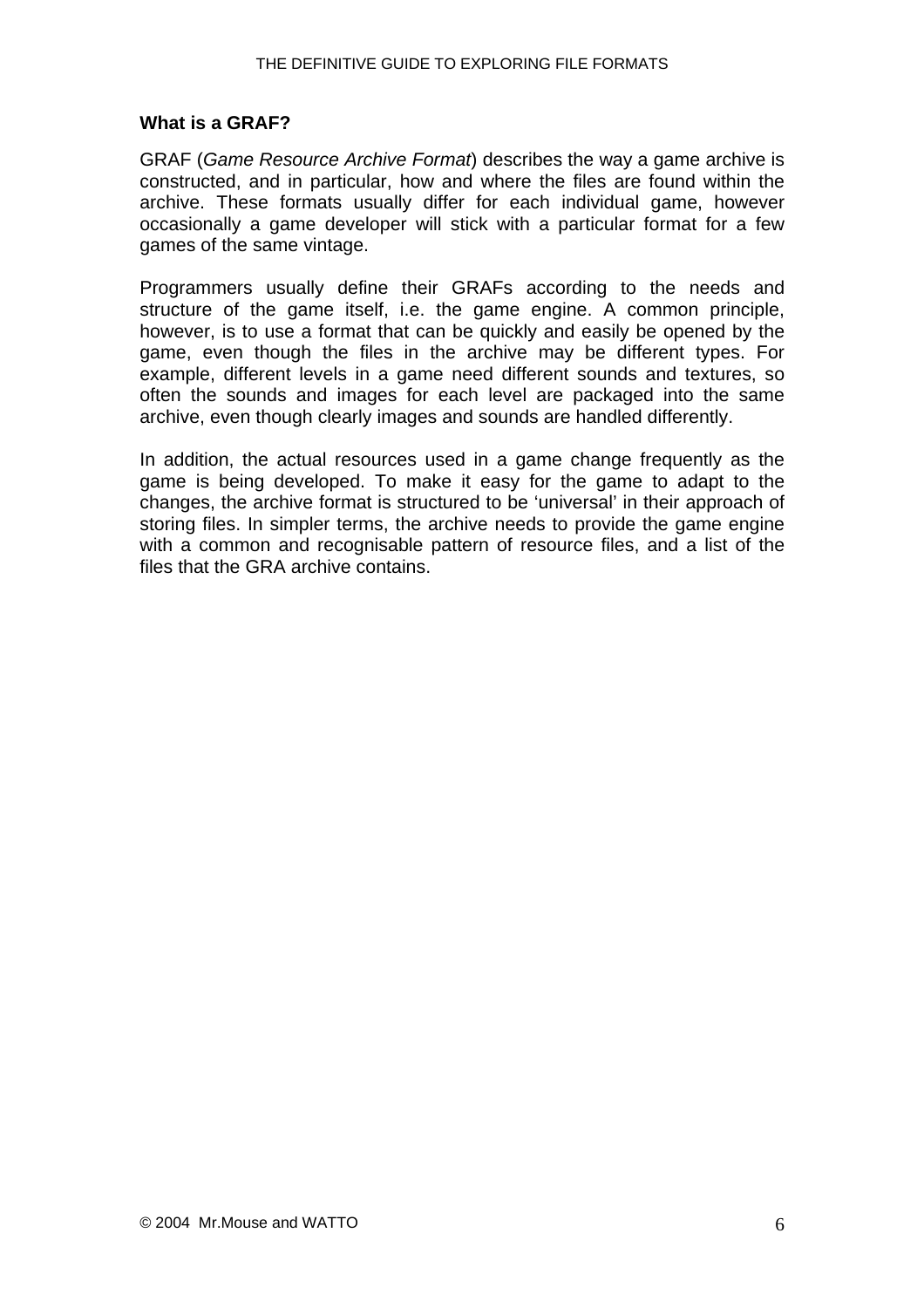#### <span id="page-5-0"></span>**What is a GRAF?**

GRAF (*Game Resource Archive Format*) describes the way a game archive is constructed, and in particular, how and where the files are found within the archive. These formats usually differ for each individual game, however occasionally a game developer will stick with a particular format for a few games of the same vintage.

Programmers usually define their GRAFs according to the needs and structure of the game itself, i.e. the game engine. A common principle, however, is to use a format that can be quickly and easily be opened by the game, even though the files in the archive may be different types. For example, different levels in a game need different sounds and textures, so often the sounds and images for each level are packaged into the same archive, even though clearly images and sounds are handled differently.

In addition, the actual resources used in a game change frequently as the game is being developed. To make it easy for the game to adapt to the changes, the archive format is structured to be 'universal' in their approach of storing files. In simpler terms, the archive needs to provide the game engine with a common and recognisable pattern of resource files, and a list of the files that the GRA archive contains.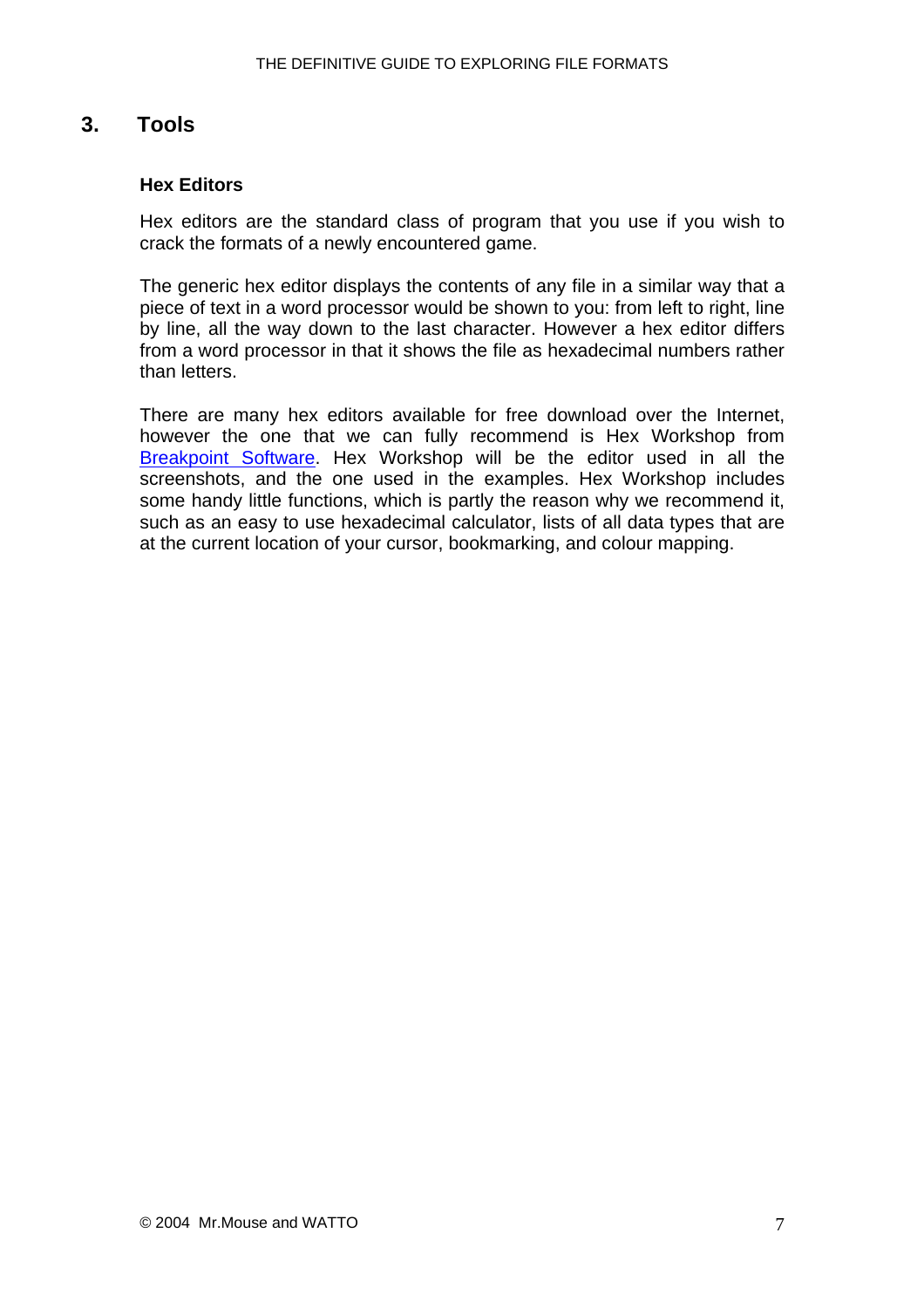## <span id="page-6-0"></span>**3. Tools**

#### **Hex Editors**

Hex editors are the standard class of program that you use if you wish to crack the formats of a newly encountered game.

The generic hex editor displays the contents of any file in a similar way that a piece of text in a word processor would be shown to you: from left to right, line by line, all the way down to the last character. However a hex editor differs from a word processor in that it shows the file as hexadecimal numbers rather than letters.

There are many hex editors available for free download over the Internet, however the one that we can fully recommend is Hex Workshop from [Breakpoint Software.](http://www.bpsoft.com/) Hex Workshop will be the editor used in all the screenshots, and the one used in the examples. Hex Workshop includes some handy little functions, which is partly the reason why we recommend it, such as an easy to use hexadecimal calculator, lists of all data types that are at the current location of your cursor, bookmarking, and colour mapping.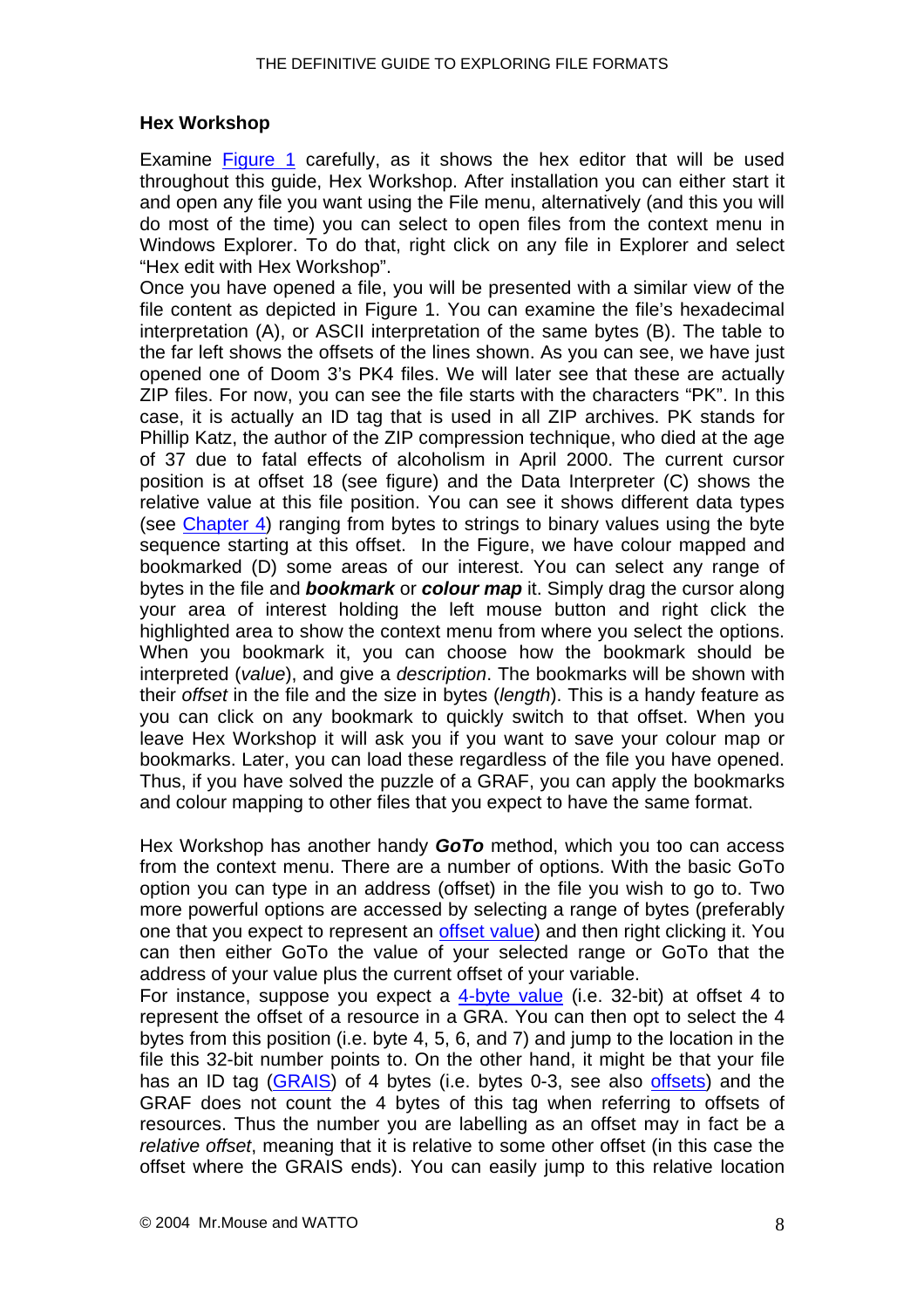#### <span id="page-7-0"></span>**Hex Workshop**

Examine [Figure 1](#page-0-0) carefully, as it shows the hex editor that will be used throughout this guide, Hex Workshop. After installation you can either start it and open any file you want using the File menu, alternatively (and this you will do most of the time) you can select to open files from the context menu in Windows Explorer. To do that, right click on any file in Explorer and select "Hex edit with Hex Workshop".

Once you have opened a file, you will be presented with a similar view of the file content as depicted in Figure 1. You can examine the file's hexadecimal interpretation (A), or ASCII interpretation of the same bytes (B). The table to the far left shows the offsets of the lines shown. As you can see, we have just opened one of Doom 3's PK4 files. We will later see that these are actually ZIP files. For now, you can see the file starts with the characters "PK". In this case, it is actually an ID tag that is used in all ZIP archives. PK stands for Phillip Katz, the author of the ZIP compression technique, who died at the age of 37 due to fatal effects of alcoholism in April 2000. The current cursor position is at offset 18 (see figure) and the Data Interpreter (C) shows the relative value at this file position. You can see it shows different data types (see [Chapter 4](#page-9-0)) ranging from bytes to strings to binary values using the byte sequence starting at this offset. In the Figure, we have colour mapped and bookmarked (D) some areas of our interest. You can select any range of bytes in the file and *bookmark* or *colour map* it. Simply drag the cursor along your area of interest holding the left mouse button and right click the highlighted area to show the context menu from where you select the options. When you bookmark it, you can choose how the bookmark should be interpreted (*value*), and give a *description*. The bookmarks will be shown with their *offset* in the file and the size in bytes (*length*). This is a handy feature as you can click on any bookmark to quickly switch to that offset. When you leave Hex Workshop it will ask you if you want to save your colour map or bookmarks. Later, you can load these regardless of the file you have opened. Thus, if you have solved the puzzle of a GRAF, you can apply the bookmarks and colour mapping to other files that you expect to have the same format.

Hex Workshop has another handy *GoTo* method, which you too can access from the context menu. There are a number of options. With the basic GoTo option you can type in an address (offset) in the file you wish to go to. Two more powerful options are accessed by selecting a range of bytes (preferably one that you expect to represent an [offset value](#page-19-0)) and then right clicking it. You can then either GoTo the value of your selected range or GoTo that the address of your value plus the current offset of your variable.

For instance, suppose you expect a [4-byte value](#page-13-0) (i.e. 32-bit) at offset 4 to represent the offset of a resource in a GRA. You can then opt to select the 4 bytes from this position (i.e. byte 4, 5, 6, and 7) and jump to the location in the file this 32-bit number points to. On the other hand, it might be that your file has an ID tag ([GRAIS](#page-20-0)) of 4 bytes (i.e. bytes 0-3, see also [offsets](#page-19-0)) and the GRAF does not count the 4 bytes of this tag when referring to offsets of resources. Thus the number you are labelling as an offset may in fact be a *relative offset*, meaning that it is relative to some other offset (in this case the offset where the GRAIS ends). You can easily jump to this relative location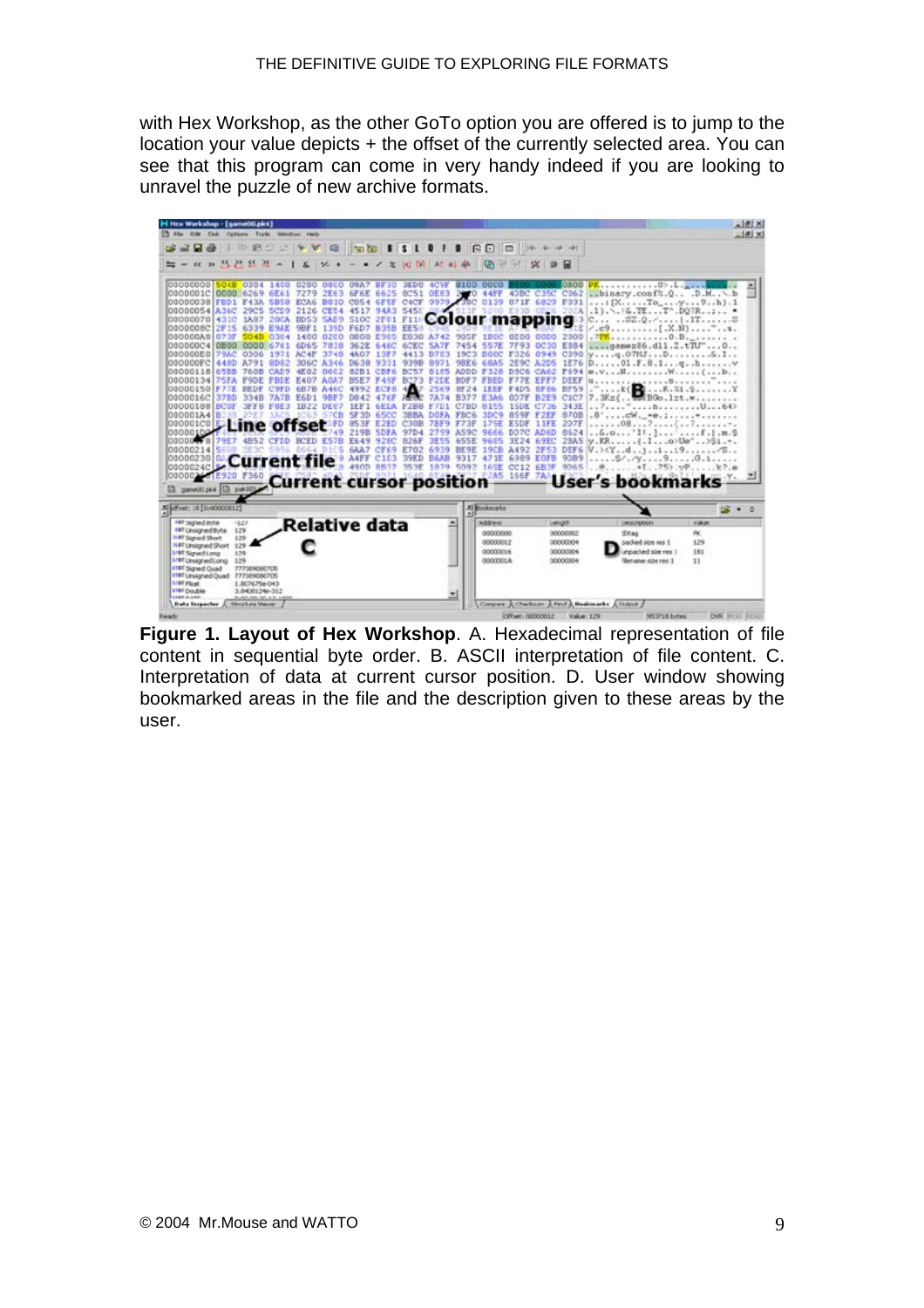with Hex Workshop, as the other GoTo option you are offered is to jump to the location your value depicts + the offset of the currently selected area. You can see that this program can come in very handy indeed if you are looking to unravel the puzzle of new archive formats.



**Figure 1. Layout of Hex Workshop**. A. Hexadecimal representation of file content in sequential byte order. B. ASCII interpretation of file content. C. Interpretation of data at current cursor position. D. User window showing bookmarked areas in the file and the description given to these areas by the user.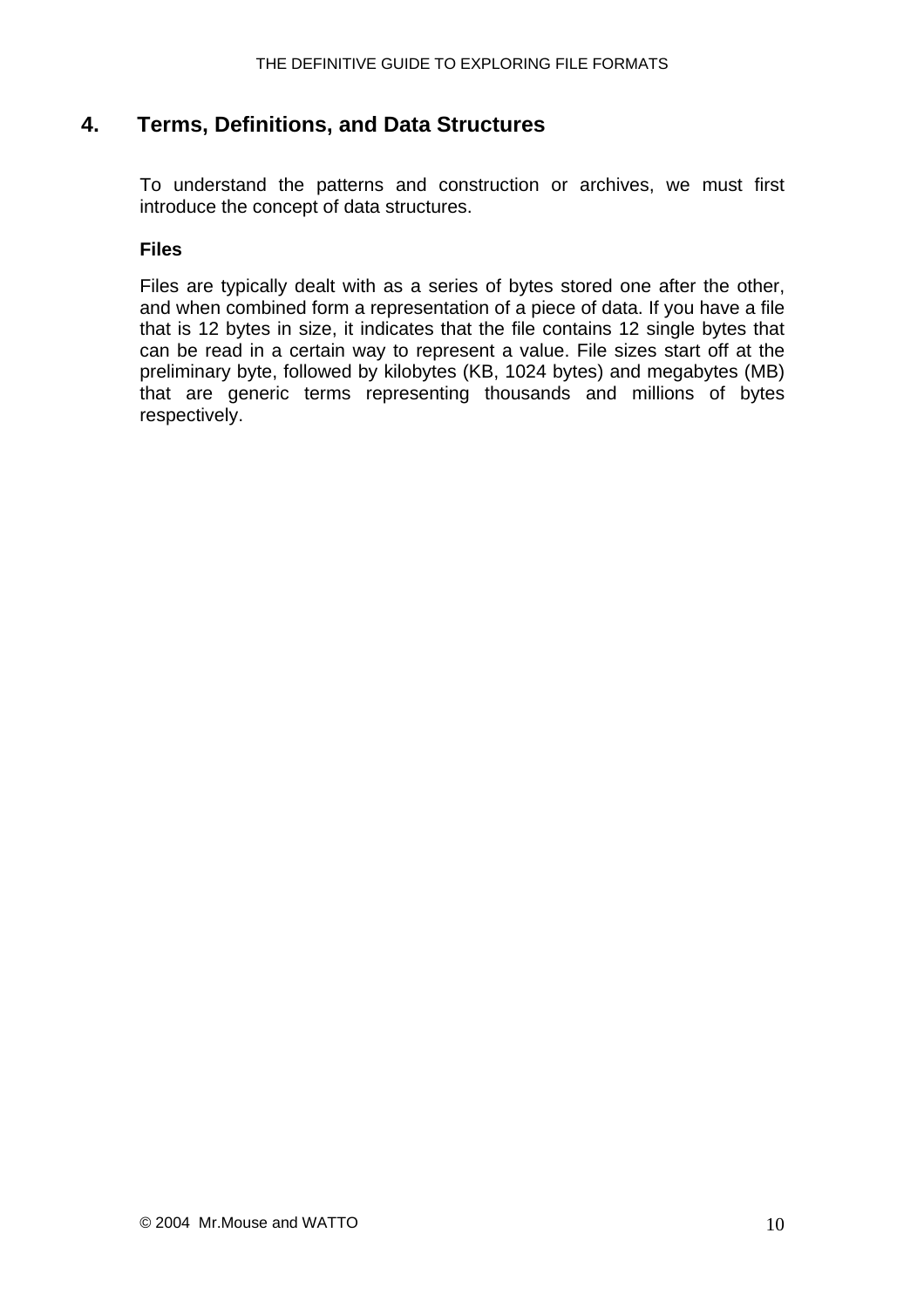### <span id="page-9-0"></span>**4. Terms, Definitions, and Data Structures**

To understand the patterns and construction or archives, we must first introduce the concept of data structures.

#### **Files**

Files are typically dealt with as a series of bytes stored one after the other, and when combined form a representation of a piece of data. If you have a file that is 12 bytes in size, it indicates that the file contains 12 single bytes that can be read in a certain way to represent a value. File sizes start off at the preliminary byte, followed by kilobytes (KB, 1024 bytes) and megabytes (MB) that are generic terms representing thousands and millions of bytes respectively.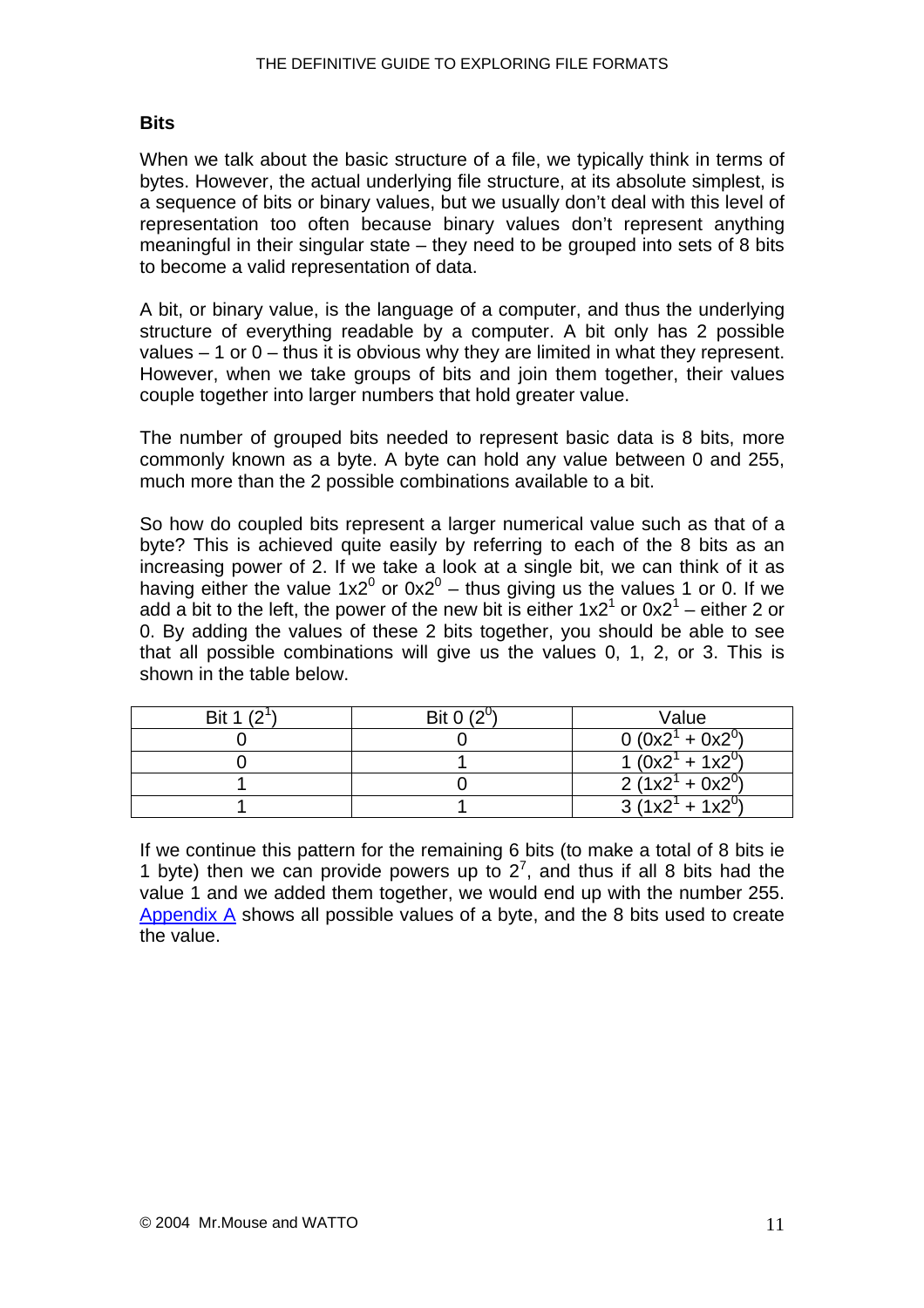#### <span id="page-10-0"></span>**Bits**

When we talk about the basic structure of a file, we typically think in terms of bytes. However, the actual underlying file structure, at its absolute simplest, is a sequence of bits or binary values, but we usually don't deal with this level of representation too often because binary values don't represent anything meaningful in their singular state – they need to be grouped into sets of 8 bits to become a valid representation of data.

A bit, or binary value, is the language of a computer, and thus the underlying structure of everything readable by a computer. A bit only has 2 possible values  $-1$  or  $0$  – thus it is obvious why they are limited in what they represent. However, when we take groups of bits and join them together, their values couple together into larger numbers that hold greater value.

The number of grouped bits needed to represent basic data is 8 bits, more commonly known as a byte. A byte can hold any value between 0 and 255, much more than the 2 possible combinations available to a bit.

So how do coupled bits represent a larger numerical value such as that of a byte? This is achieved quite easily by referring to each of the 8 bits as an increasing power of 2. If we take a look at a single bit, we can think of it as having either the value 1x2<sup>0</sup> or 0x2<sup>0</sup> – thus giving us the values 1 or 0. If we add a bit to the left, the power of the new bit is either  $1x2<sup>1</sup>$  or  $0x2<sup>1</sup>$  – either 2 or 0. By adding the values of these 2 bits together, you should be able to see that all possible combinations will give us the values 0, 1, 2, or 3. This is shown in the table below.

| Bit 1 (2) | Bit 0 $(2^0)$ | Value                   |
|-----------|---------------|-------------------------|
|           |               | $0 (0x21 + 0x20)$       |
|           |               | $\sqrt{1(0x^2 + 1x^2)}$ |
|           |               | $2(1x2^{1} + 0x2^{0})$  |
|           |               | $3(1x2^{1} + 1x2^{0})$  |

If we continue this pattern for the remaining 6 bits (to make a total of 8 bits ie 1 byte) then we can provide powers up to  $2^7$ , and thus if all 8 bits had the value 1 and we added them together, we would end up with the number 255. [Appendix A](#page-52-0) shows all possible values of a byte, and the 8 bits used to create the value.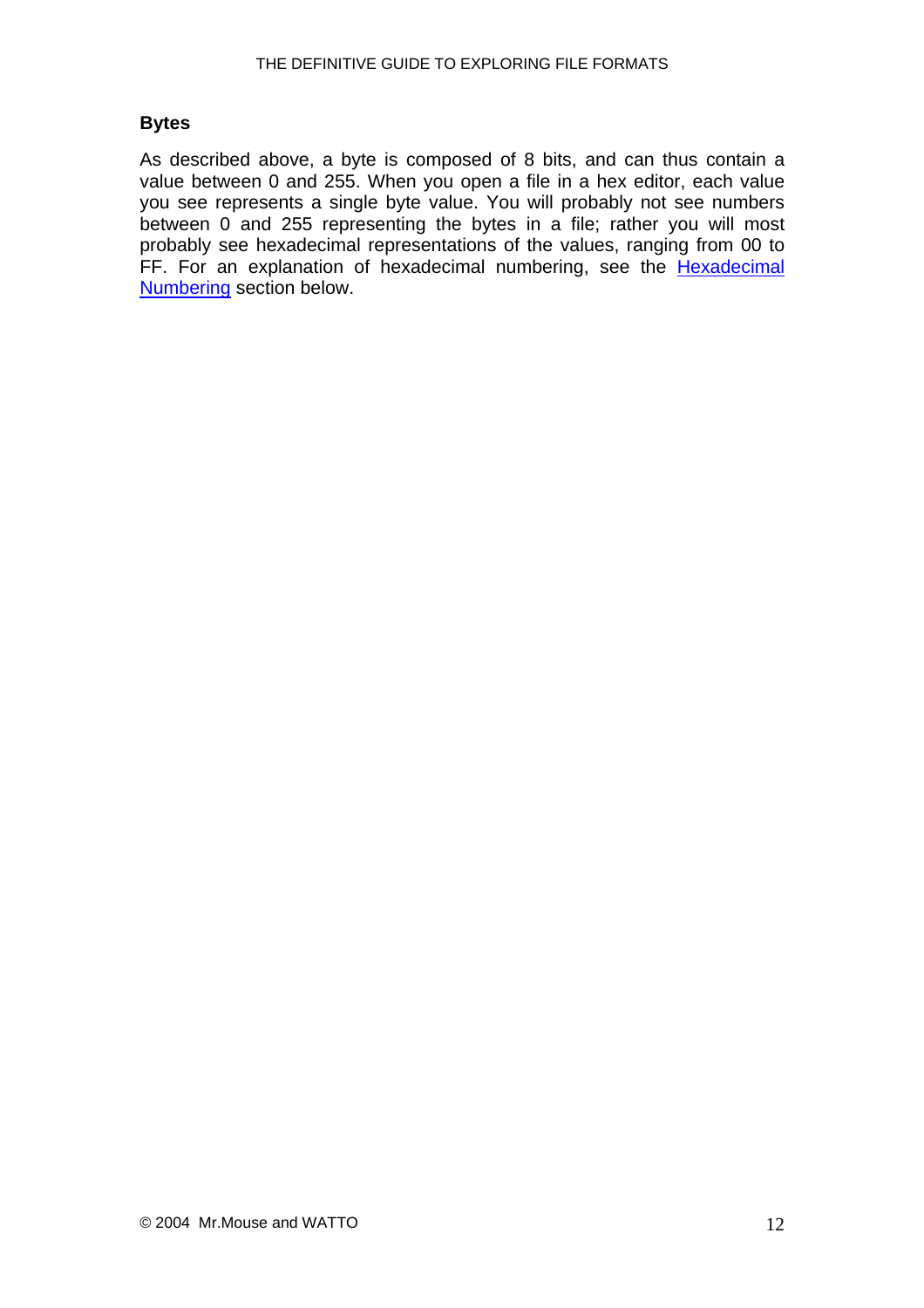#### <span id="page-11-0"></span>**Bytes**

As described above, a byte is composed of 8 bits, and can thus contain a value between 0 and 255. When you open a file in a hex editor, each value you see represents a single byte value. You will probably not see numbers between 0 and 255 representing the bytes in a file; rather you will most probably see hexadecimal representations of the values, ranging from 00 to FF. For an explanation of hexadecimal numbering, see the **Hexadecimal** [Numbering](#page-15-0) section below.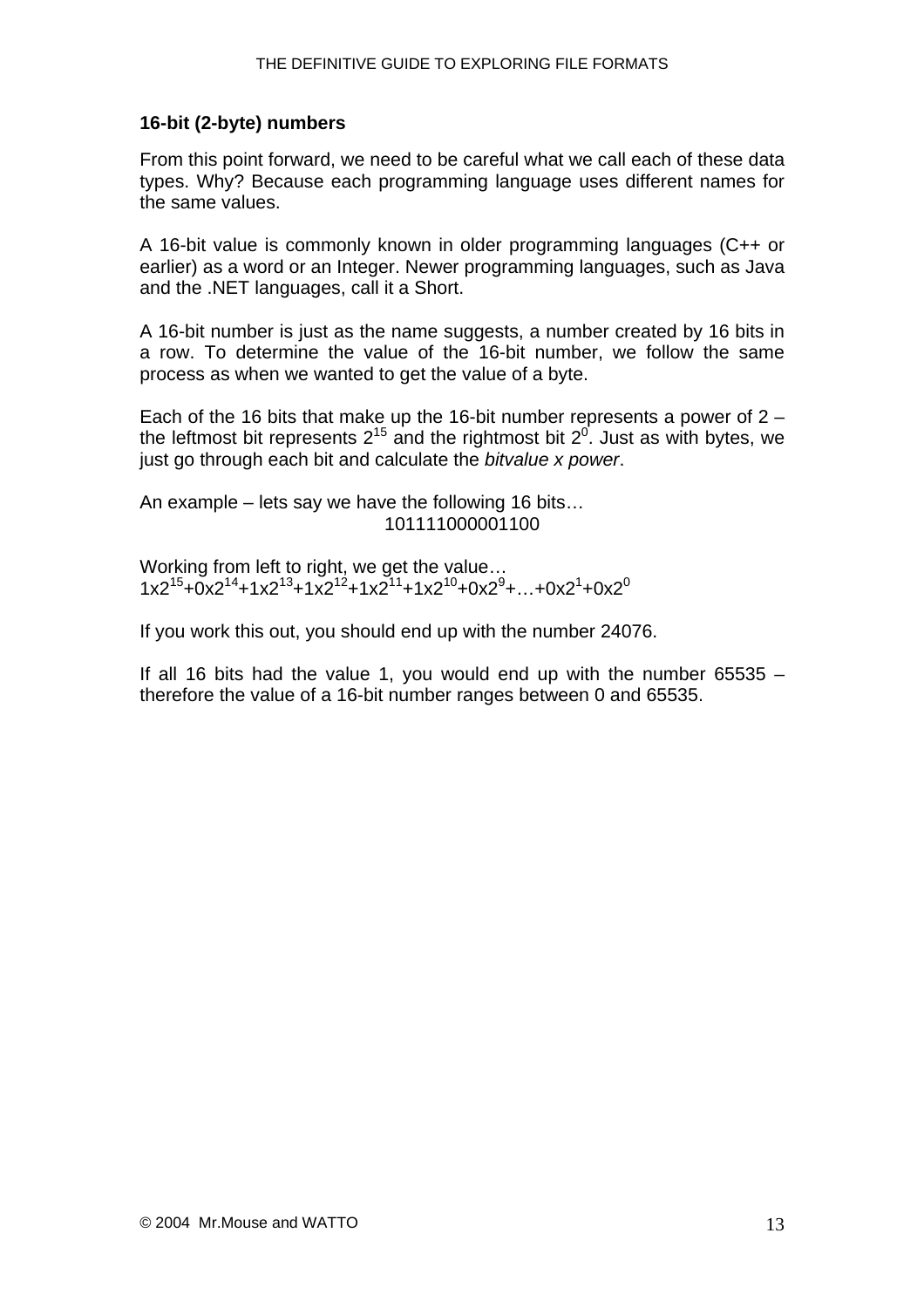#### <span id="page-12-0"></span>**16-bit (2-byte) numbers**

From this point forward, we need to be careful what we call each of these data types. Why? Because each programming language uses different names for the same values.

A 16-bit value is commonly known in older programming languages (C++ or earlier) as a word or an Integer. Newer programming languages, such as Java and the .NET languages, call it a Short.

A 16-bit number is just as the name suggests, a number created by 16 bits in a row. To determine the value of the 16-bit number, we follow the same process as when we wanted to get the value of a byte.

Each of the 16 bits that make up the 16-bit number represents a power of 2 – the leftmost bit represents 2<sup>15</sup> and the rightmost bit 2<sup>0</sup>. Just as with bytes, we just go through each bit and calculate the *bitvalue x power*.

An example – lets say we have the following 16 bits… 101111000001100

Working from left to right, we get the value…  $1x2^{15} + 0x2^{14} + 1x2^{13} + 1x2^{12} + 1x2^{11} + 1x2^{10} + 0x2^9 + ... + 0x2^1 + 0x2^0$ 

If you work this out, you should end up with the number 24076.

If all 16 bits had the value 1, you would end up with the number 65535  $$ therefore the value of a 16-bit number ranges between 0 and 65535.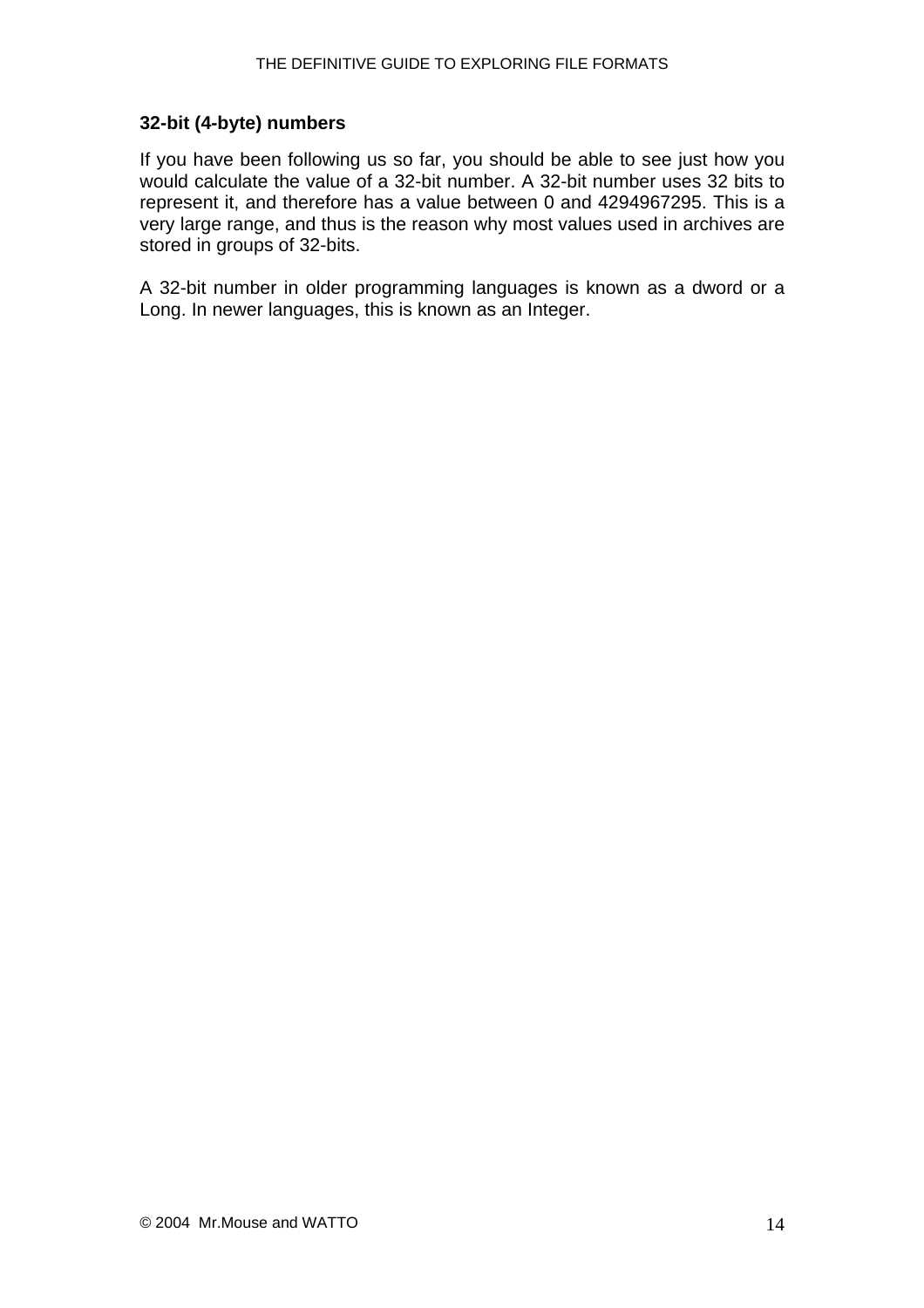#### <span id="page-13-0"></span>**32-bit (4-byte) numbers**

If you have been following us so far, you should be able to see just how you would calculate the value of a 32-bit number. A 32-bit number uses 32 bits to represent it, and therefore has a value between 0 and 4294967295. This is a very large range, and thus is the reason why most values used in archives are stored in groups of 32-bits.

A 32-bit number in older programming languages is known as a dword or a Long. In newer languages, this is known as an Integer.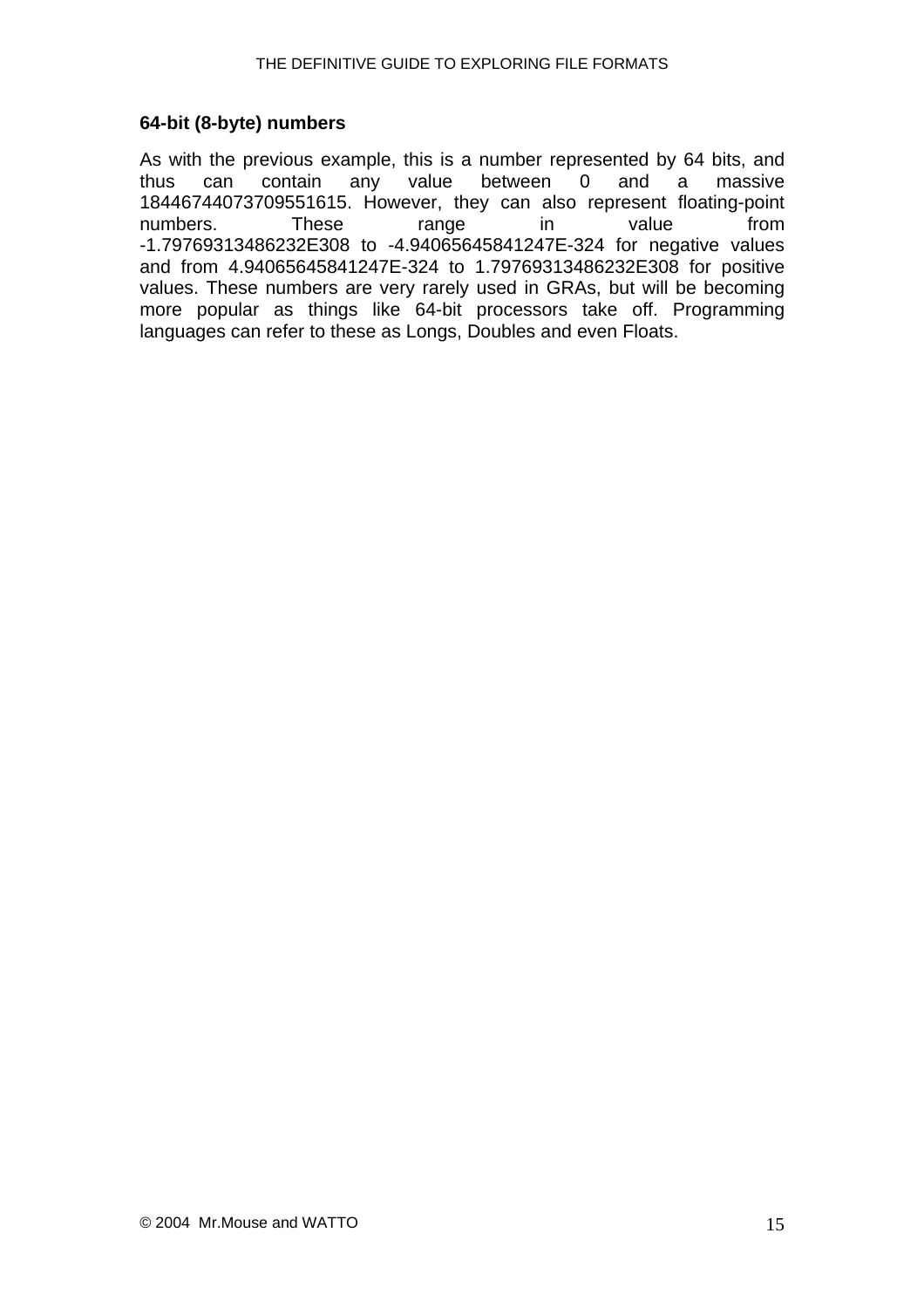#### <span id="page-14-0"></span>**64-bit (8-byte) numbers**

As with the previous example, this is a number represented by 64 bits, and thus can contain any value between 0 and a massive 18446744073709551615. However, they can also represent floating-point numbers. These range in value from -1.79769313486232E308 to -4.94065645841247E-324 for negative values and from 4.94065645841247E-324 to 1.79769313486232E308 for positive values. These numbers are very rarely used in GRAs, but will be becoming more popular as things like 64-bit processors take off. Programming languages can refer to these as Longs, Doubles and even Floats.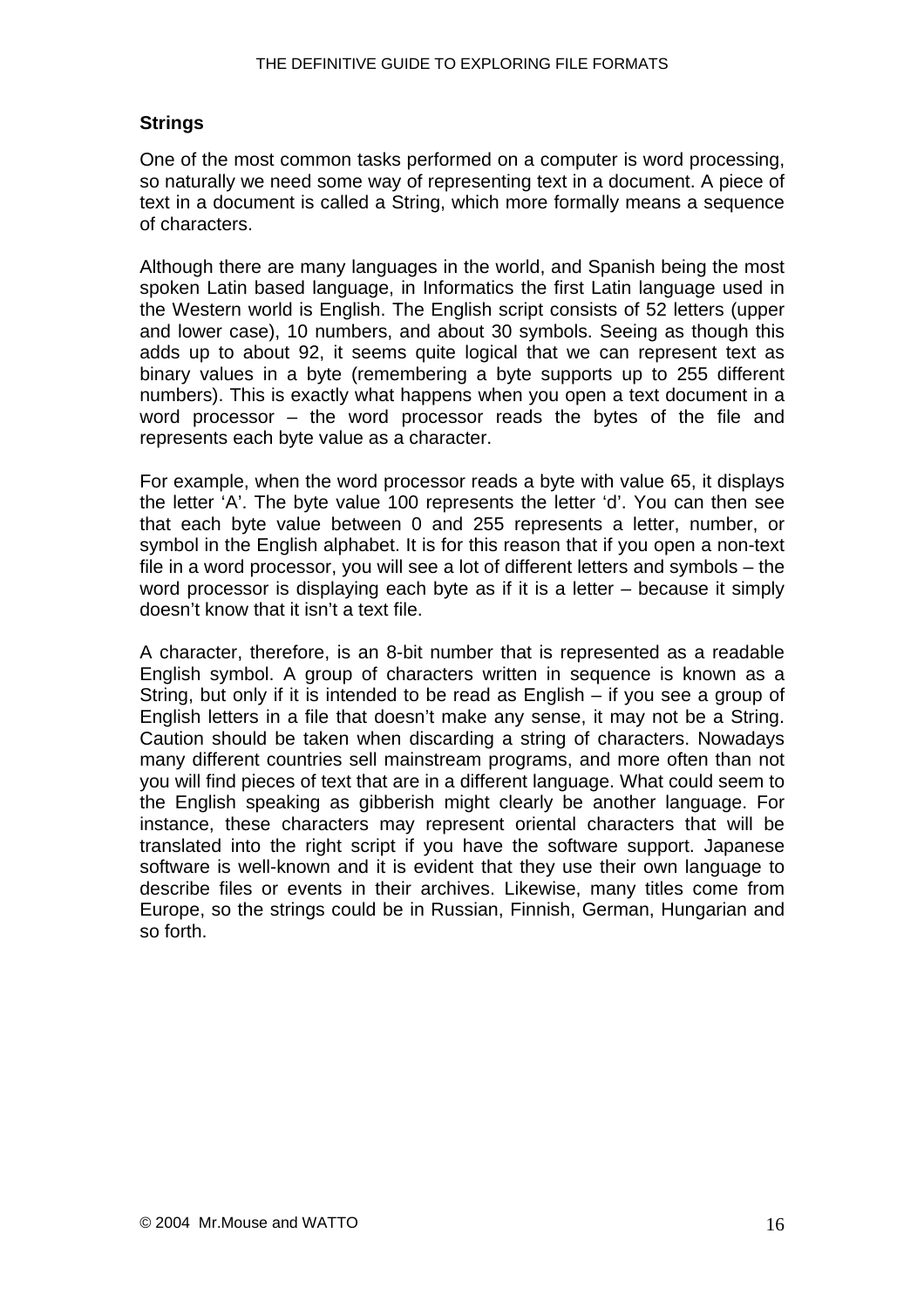#### <span id="page-15-0"></span>**Strings**

One of the most common tasks performed on a computer is word processing, so naturally we need some way of representing text in a document. A piece of text in a document is called a String, which more formally means a sequence of characters.

Although there are many languages in the world, and Spanish being the most spoken Latin based language, in Informatics the first Latin language used in the Western world is English. The English script consists of 52 letters (upper and lower case), 10 numbers, and about 30 symbols. Seeing as though this adds up to about 92, it seems quite logical that we can represent text as binary values in a byte (remembering a byte supports up to 255 different numbers). This is exactly what happens when you open a text document in a word processor – the word processor reads the bytes of the file and represents each byte value as a character.

For example, when the word processor reads a byte with value 65, it displays the letter 'A'. The byte value 100 represents the letter 'd'. You can then see that each byte value between 0 and 255 represents a letter, number, or symbol in the English alphabet. It is for this reason that if you open a non-text file in a word processor, you will see a lot of different letters and symbols – the word processor is displaying each byte as if it is a letter – because it simply doesn't know that it isn't a text file.

A character, therefore, is an 8-bit number that is represented as a readable English symbol. A group of characters written in sequence is known as a String, but only if it is intended to be read as English – if you see a group of English letters in a file that doesn't make any sense, it may not be a String. Caution should be taken when discarding a string of characters. Nowadays many different countries sell mainstream programs, and more often than not you will find pieces of text that are in a different language. What could seem to the English speaking as gibberish might clearly be another language. For instance, these characters may represent oriental characters that will be translated into the right script if you have the software support. Japanese software is well-known and it is evident that they use their own language to describe files or events in their archives. Likewise, many titles come from Europe, so the strings could be in Russian, Finnish, German, Hungarian and so forth.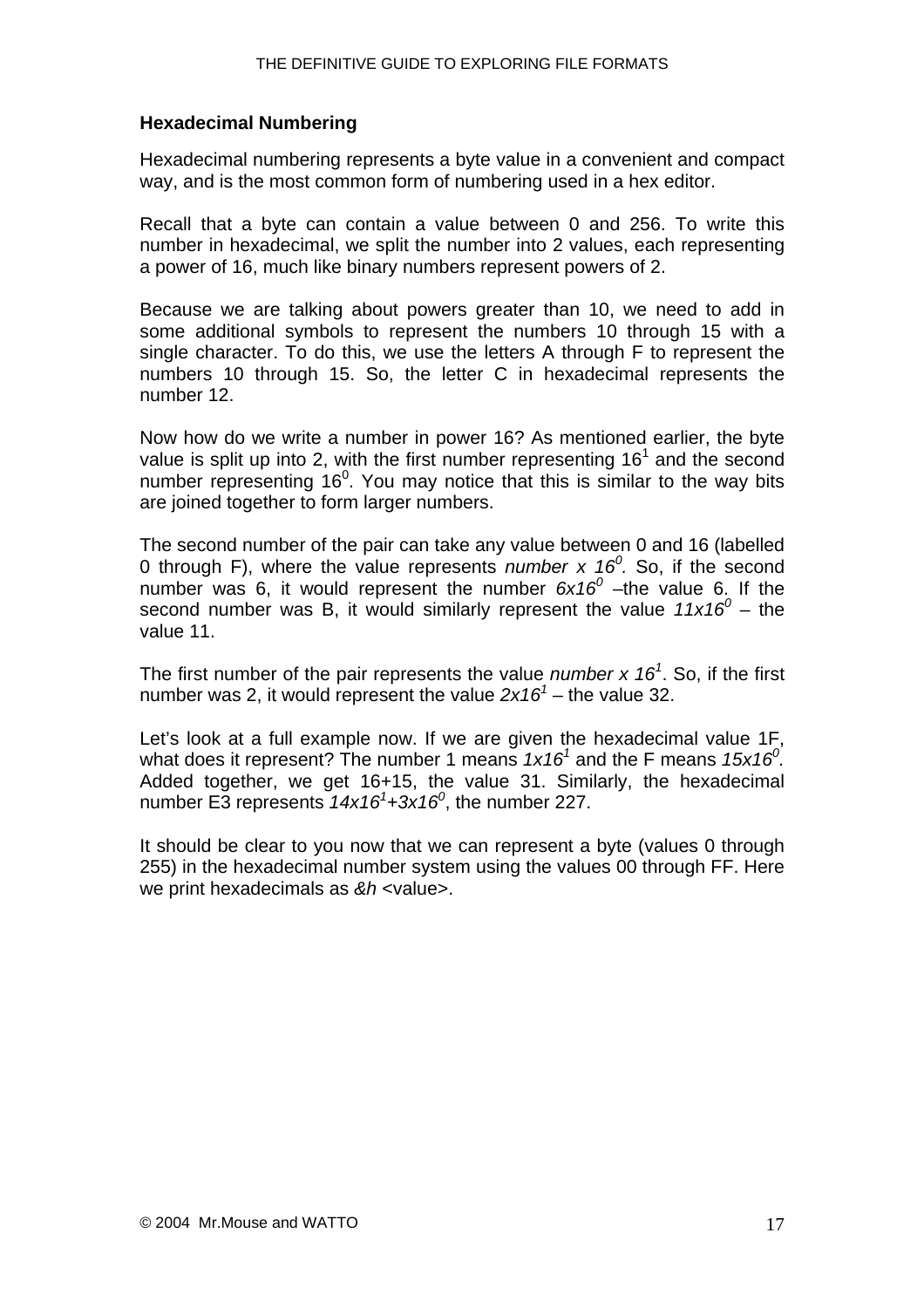#### <span id="page-16-0"></span>**Hexadecimal Numbering**

Hexadecimal numbering represents a byte value in a convenient and compact way, and is the most common form of numbering used in a hex editor.

Recall that a byte can contain a value between 0 and 256. To write this number in hexadecimal, we split the number into 2 values, each representing a power of 16, much like binary numbers represent powers of 2.

Because we are talking about powers greater than 10, we need to add in some additional symbols to represent the numbers 10 through 15 with a single character. To do this, we use the letters A through F to represent the numbers 10 through 15. So, the letter C in hexadecimal represents the number 12.

Now how do we write a number in power 16? As mentioned earlier, the byte value is split up into 2, with the first number representing  $16<sup>1</sup>$  and the second number representing 16 $^0$ . You may notice that this is similar to the way bits are joined together to form larger numbers.

The second number of the pair can take any value between 0 and 16 (labelled 0 through F), where the value represents *number x 16<sup>0</sup>*. So, if the second number was 6, it would represent the number  $6x16^0$  -the value 6. If the second number was B, it would similarly represent the value  $11x16^0$  – the value 11.

The first number of the pair represents the value *number x 16<sup>1</sup>* . So, if the first number was 2, it would represent the value  $2x16<sup>1</sup>$  – the value 32.

Let's look at a full example now. If we are given the hexadecimal value 1F, what does it represent? The number 1 means 1x16<sup>1</sup> and the F means 15x16<sup>0</sup>. Added together, we get 16+15, the value 31. Similarly, the hexadecimal number E3 represents *14x16<sup>1</sup> +3x160* , the number 227.

It should be clear to you now that we can represent a byte (values 0 through 255) in the hexadecimal number system using the values 00 through FF. Here we print hexadecimals as *&h* <value>.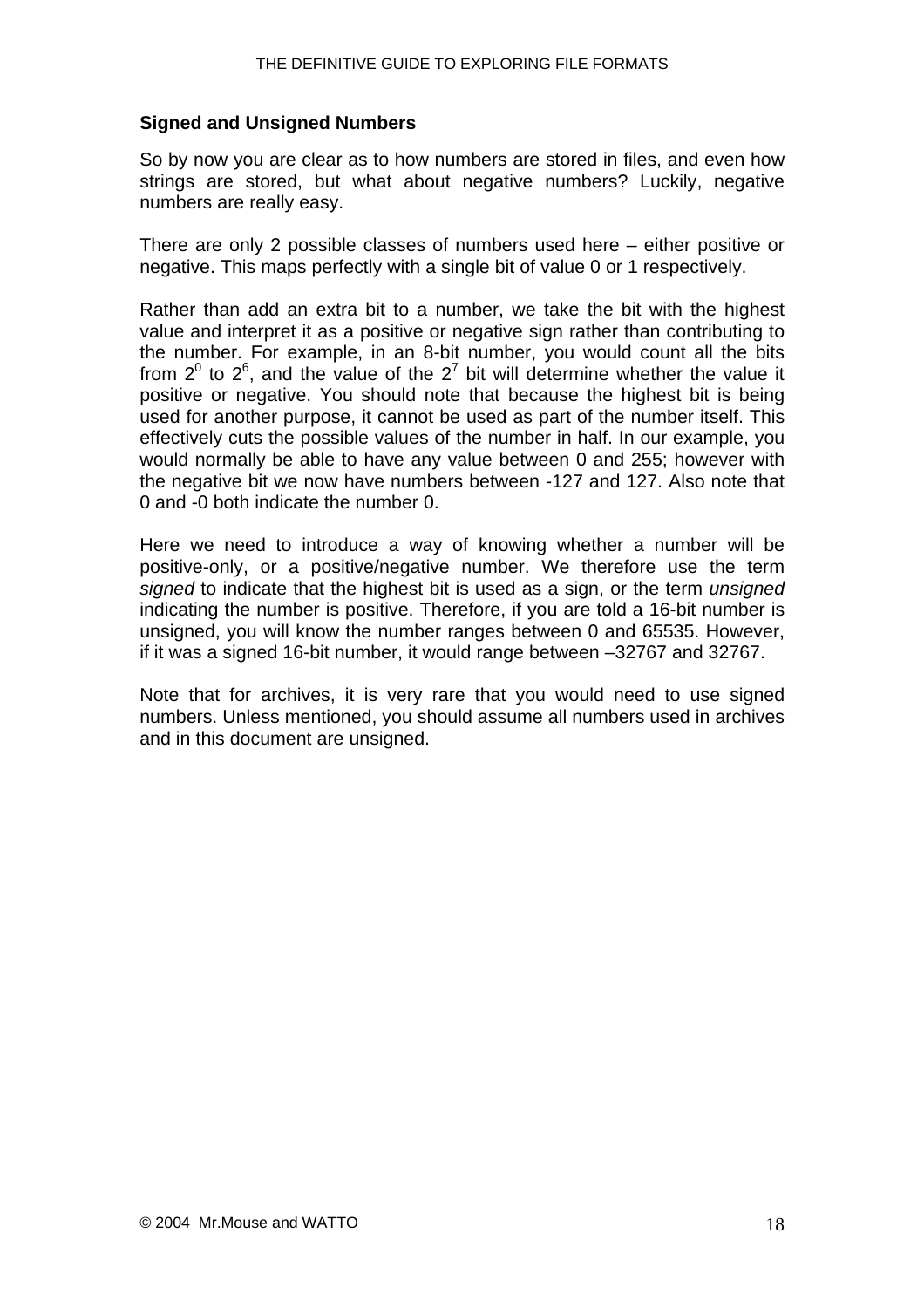#### <span id="page-17-0"></span>**Signed and Unsigned Numbers**

So by now you are clear as to how numbers are stored in files, and even how strings are stored, but what about negative numbers? Luckily, negative numbers are really easy.

There are only 2 possible classes of numbers used here – either positive or negative. This maps perfectly with a single bit of value 0 or 1 respectively.

Rather than add an extra bit to a number, we take the bit with the highest value and interpret it as a positive or negative sign rather than contributing to the number. For example, in an 8-bit number, you would count all the bits from  $2^0$  to  $2^6$ , and the value of the  $2^7$  bit will determine whether the value it positive or negative. You should note that because the highest bit is being used for another purpose, it cannot be used as part of the number itself. This effectively cuts the possible values of the number in half. In our example, you would normally be able to have any value between 0 and 255; however with the negative bit we now have numbers between -127 and 127. Also note that 0 and -0 both indicate the number 0.

Here we need to introduce a way of knowing whether a number will be positive-only, or a positive/negative number. We therefore use the term *signed* to indicate that the highest bit is used as a sign, or the term *unsigned* indicating the number is positive. Therefore, if you are told a 16-bit number is unsigned, you will know the number ranges between 0 and 65535. However, if it was a signed 16-bit number, it would range between –32767 and 32767.

Note that for archives, it is very rare that you would need to use signed numbers. Unless mentioned, you should assume all numbers used in archives and in this document are unsigned.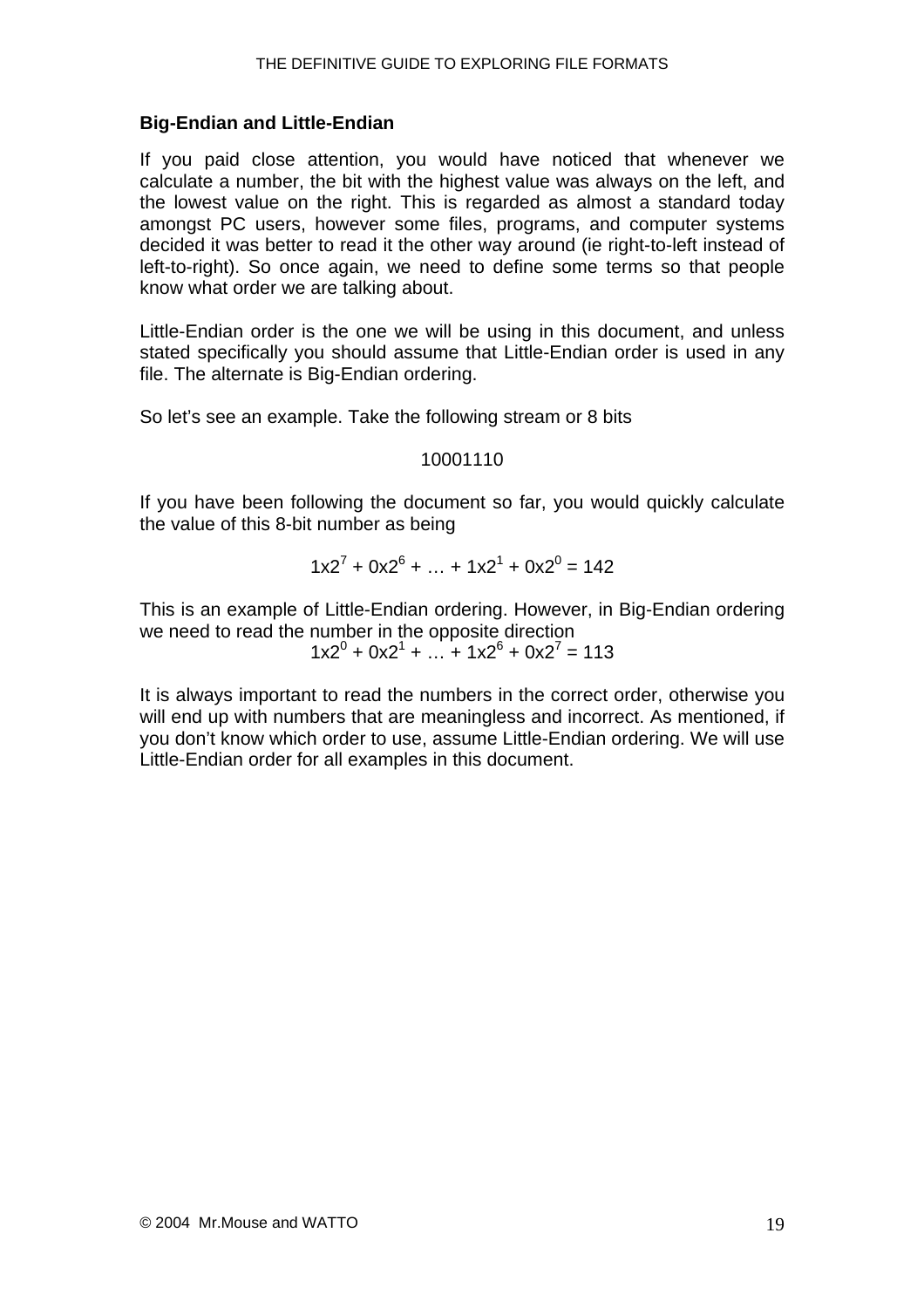#### <span id="page-18-0"></span>**Big-Endian and Little-Endian**

If you paid close attention, you would have noticed that whenever we calculate a number, the bit with the highest value was always on the left, and the lowest value on the right. This is regarded as almost a standard today amongst PC users, however some files, programs, and computer systems decided it was better to read it the other way around (ie right-to-left instead of left-to-right). So once again, we need to define some terms so that people know what order we are talking about.

Little-Endian order is the one we will be using in this document, and unless stated specifically you should assume that Little-Endian order is used in any file. The alternate is Big-Endian ordering.

So let's see an example. Take the following stream or 8 bits

#### 10001110

If you have been following the document so far, you would quickly calculate the value of this 8-bit number as being

$$
1x2^{7} + 0x2^{6} + ... + 1x2^{1} + 0x2^{0} = 142
$$

This is an example of Little-Endian ordering. However, in Big-Endian ordering we need to read the number in the opposite direction

 $1 \times 2^{0} + 0 \times 2^{1} + ... + 1 \times 2^{6} + 0 \times 2^{7} = 113$ 

It is always important to read the numbers in the correct order, otherwise you will end up with numbers that are meaningless and incorrect. As mentioned, if you don't know which order to use, assume Little-Endian ordering. We will use Little-Endian order for all examples in this document.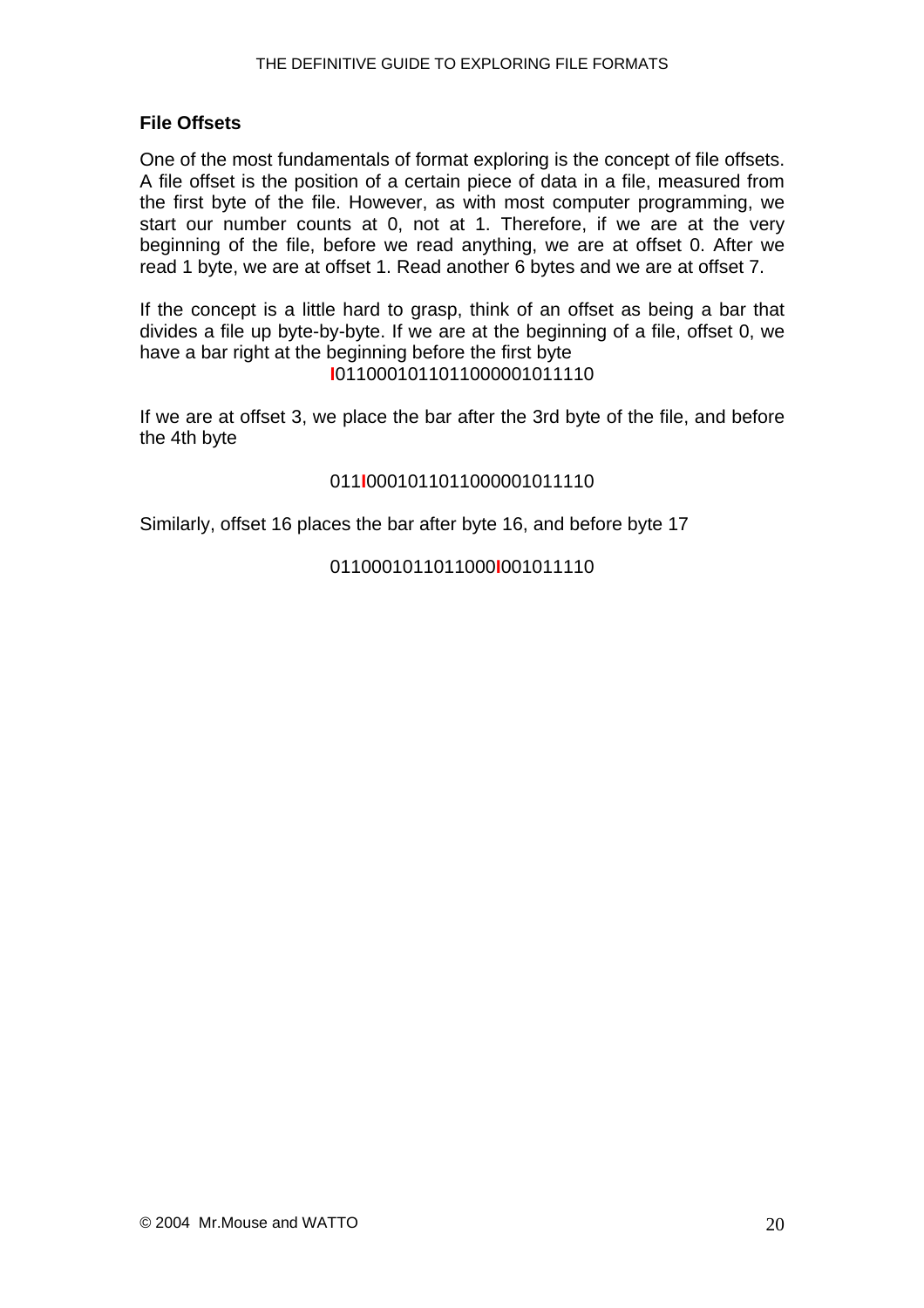#### <span id="page-19-0"></span>**File Offsets**

One of the most fundamentals of format exploring is the concept of file offsets. A file offset is the position of a certain piece of data in a file, measured from the first byte of the file. However, as with most computer programming, we start our number counts at 0, not at 1. Therefore, if we are at the very beginning of the file, before we read anything, we are at offset 0. After we read 1 byte, we are at offset 1. Read another 6 bytes and we are at offset 7.

If the concept is a little hard to grasp, think of an offset as being a bar that divides a file up byte-by-byte. If we are at the beginning of a file, offset 0, we have a bar right at the beginning before the first byte **I**0110001011011000001011110

If we are at offset 3, we place the bar after the 3rd byte of the file, and before the 4th byte

#### 011**I**0001011011000001011110

Similarly, offset 16 places the bar after byte 16, and before byte 17

#### 0110001011011000**I**001011110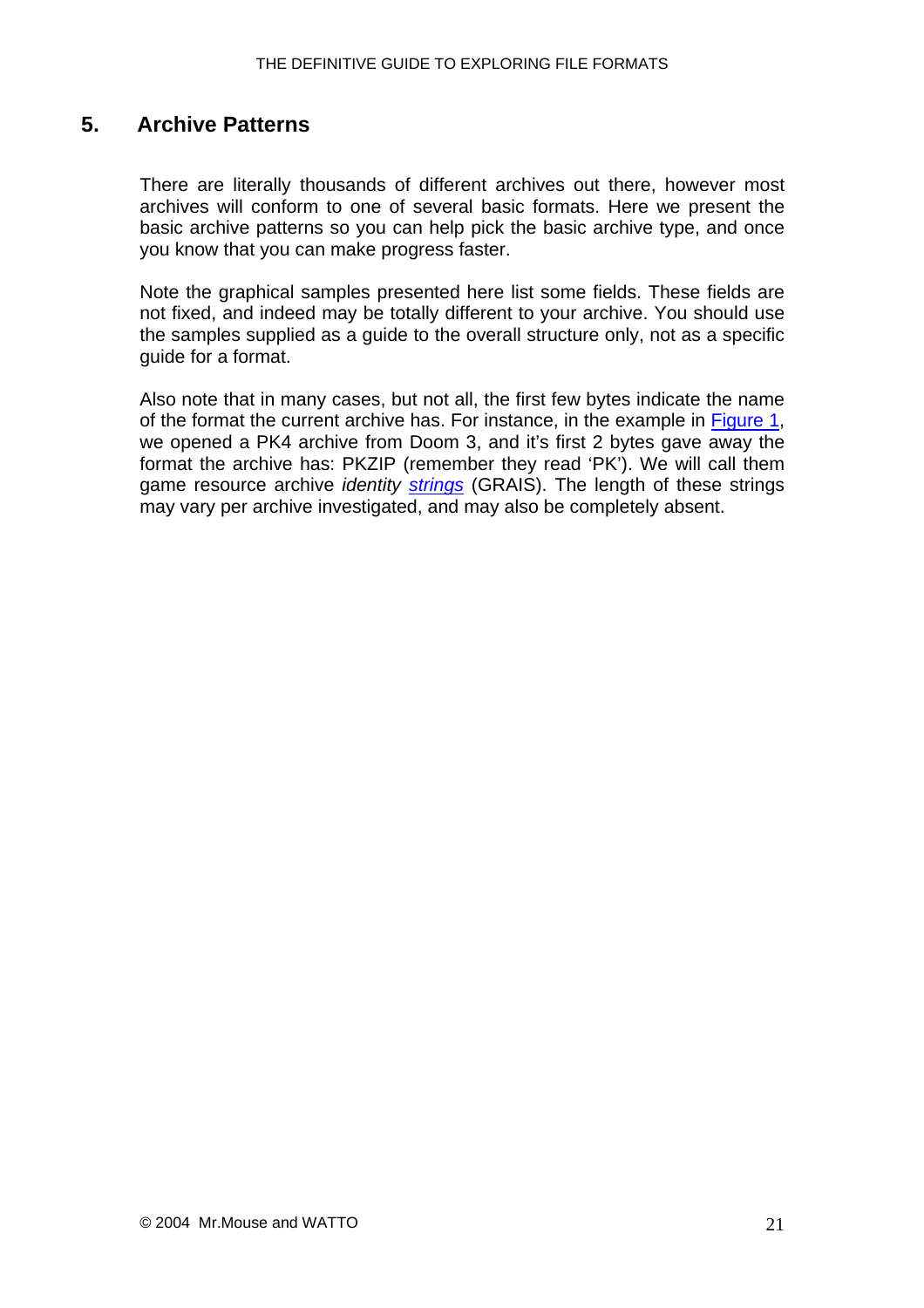### <span id="page-20-0"></span>**5. Archive Patterns**

There are literally thousands of different archives out there, however most archives will conform to one of several basic formats. Here we present the basic archive patterns so you can help pick the basic archive type, and once you know that you can make progress faster.

Note the graphical samples presented here list some fields. These fields are not fixed, and indeed may be totally different to your archive. You should use the samples supplied as a guide to the overall structure only, not as a specific guide for a format.

Also note that in many cases, but not all, the first few bytes indicate the name of the format the current archive has. For instance, in the example in [Figure 1,](#page-0-0) we opened a PK4 archive from Doom 3, and it's first 2 bytes gave away the format the archive has: PKZIP (remember they read 'PK'). We will call them game resource archive *identity [strings](#page-15-0)* (GRAIS). The length of these strings may vary per archive investigated, and may also be completely absent.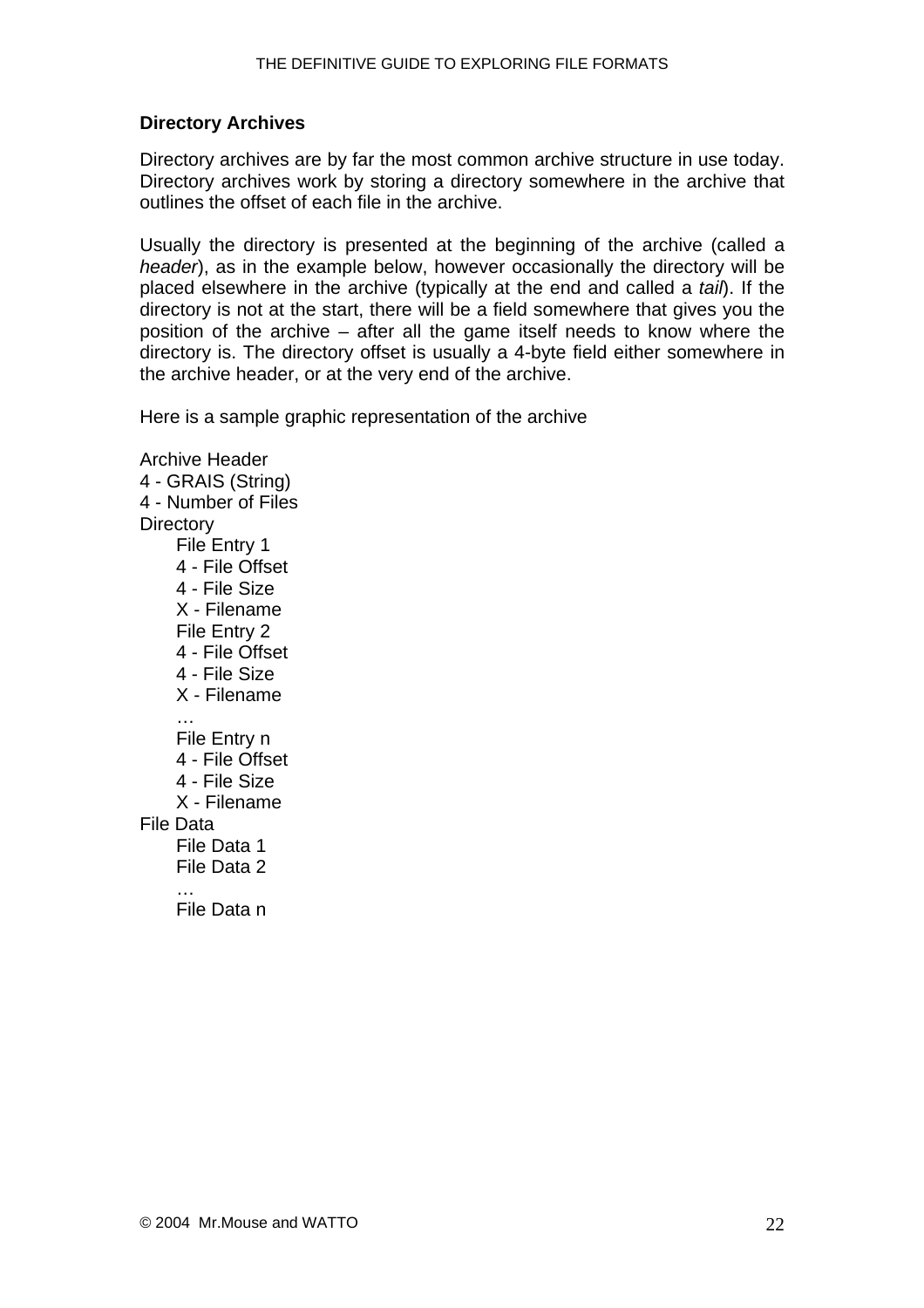#### <span id="page-21-0"></span>**Directory Archives**

Directory archives are by far the most common archive structure in use today. Directory archives work by storing a directory somewhere in the archive that outlines the offset of each file in the archive.

Usually the directory is presented at the beginning of the archive (called a *header*), as in the example below, however occasionally the directory will be placed elsewhere in the archive (typically at the end and called a *tail*). If the directory is not at the start, there will be a field somewhere that gives you the position of the archive – after all the game itself needs to know where the directory is. The directory offset is usually a 4-byte field either somewhere in the archive header, or at the very end of the archive.

Here is a sample graphic representation of the archive

Archive Header 4 - GRAIS (String) 4 - Number of Files **Directory** File Entry 1 4 - File Offset 4 - File Size X - Filename File Entry 2 4 - File Offset 4 - File Size X - Filename … File Entry n 4 - File Offset 4 - File Size X - Filename File Data File Data 1 File Data 2 … File Data n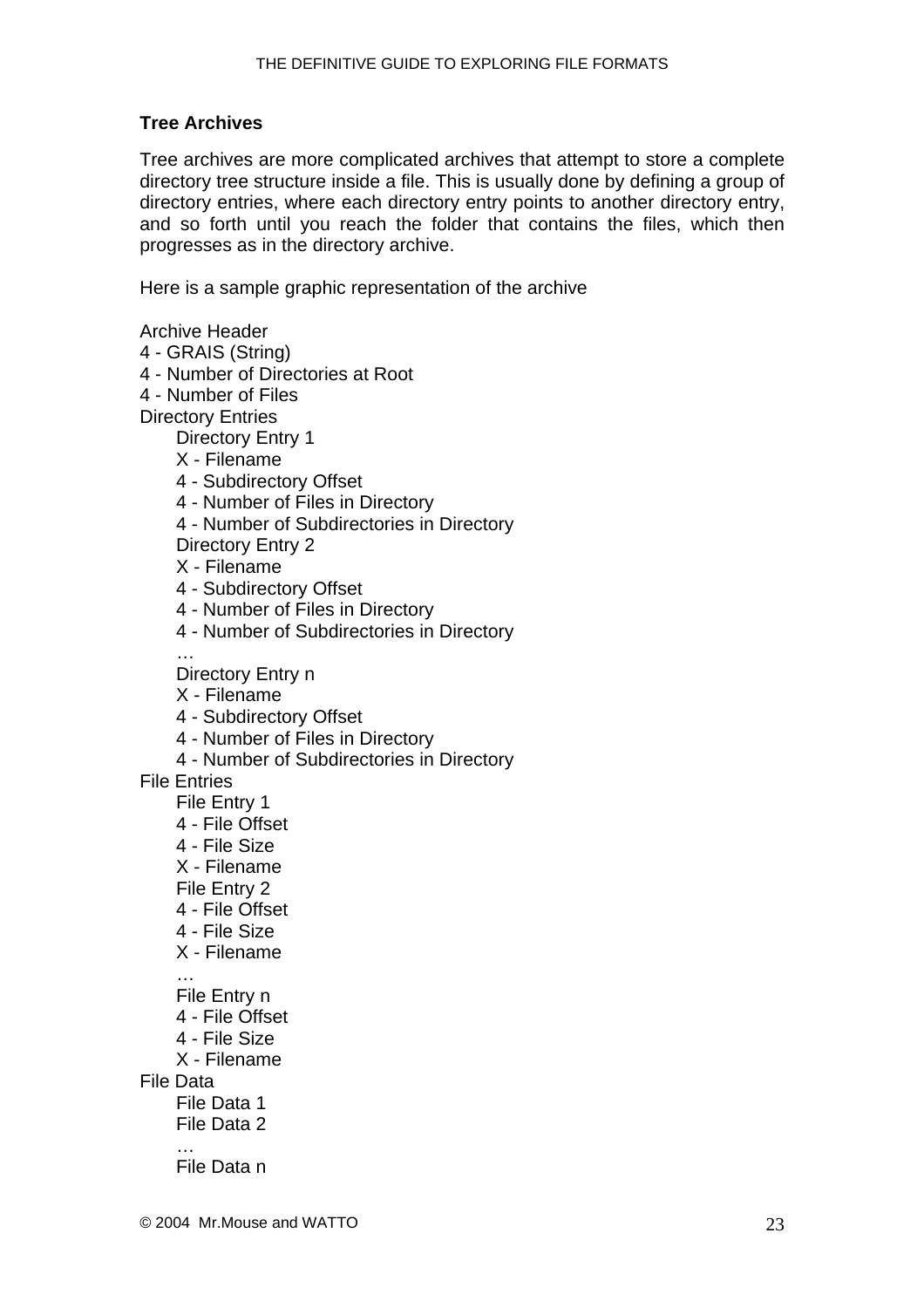#### <span id="page-22-0"></span>**Tree Archives**

Tree archives are more complicated archives that attempt to store a complete directory tree structure inside a file. This is usually done by defining a group of directory entries, where each directory entry points to another directory entry, and so forth until you reach the folder that contains the files, which then progresses as in the directory archive.

Here is a sample graphic representation of the archive

Archive Header

- 4 GRAIS (String)
- 4 Number of Directories at Root
- 4 Number of Files

Directory Entries

Directory Entry 1

- X Filename
- 4 Subdirectory Offset
- 4 Number of Files in Directory
- 4 Number of Subdirectories in Directory
- Directory Entry 2
- X Filename
- 4 Subdirectory Offset
- 4 Number of Files in Directory
- 4 Number of Subdirectories in Directory

Directory Entry n

- X Filename
- 4 Subdirectory Offset
- 4 Number of Files in Directory
- 4 Number of Subdirectories in Directory

File Entries

…

File Entry 1

- 4 File Offset
- 4 File Size
- X Filename
- File Entry 2
- 4 File Offset
- 4 File Size
- X Filename
- File Entry n
- 4 File Offset
- 4 File Size
- X Filename

File Data

…

- File Data 1
- File Data 2
- … File Data n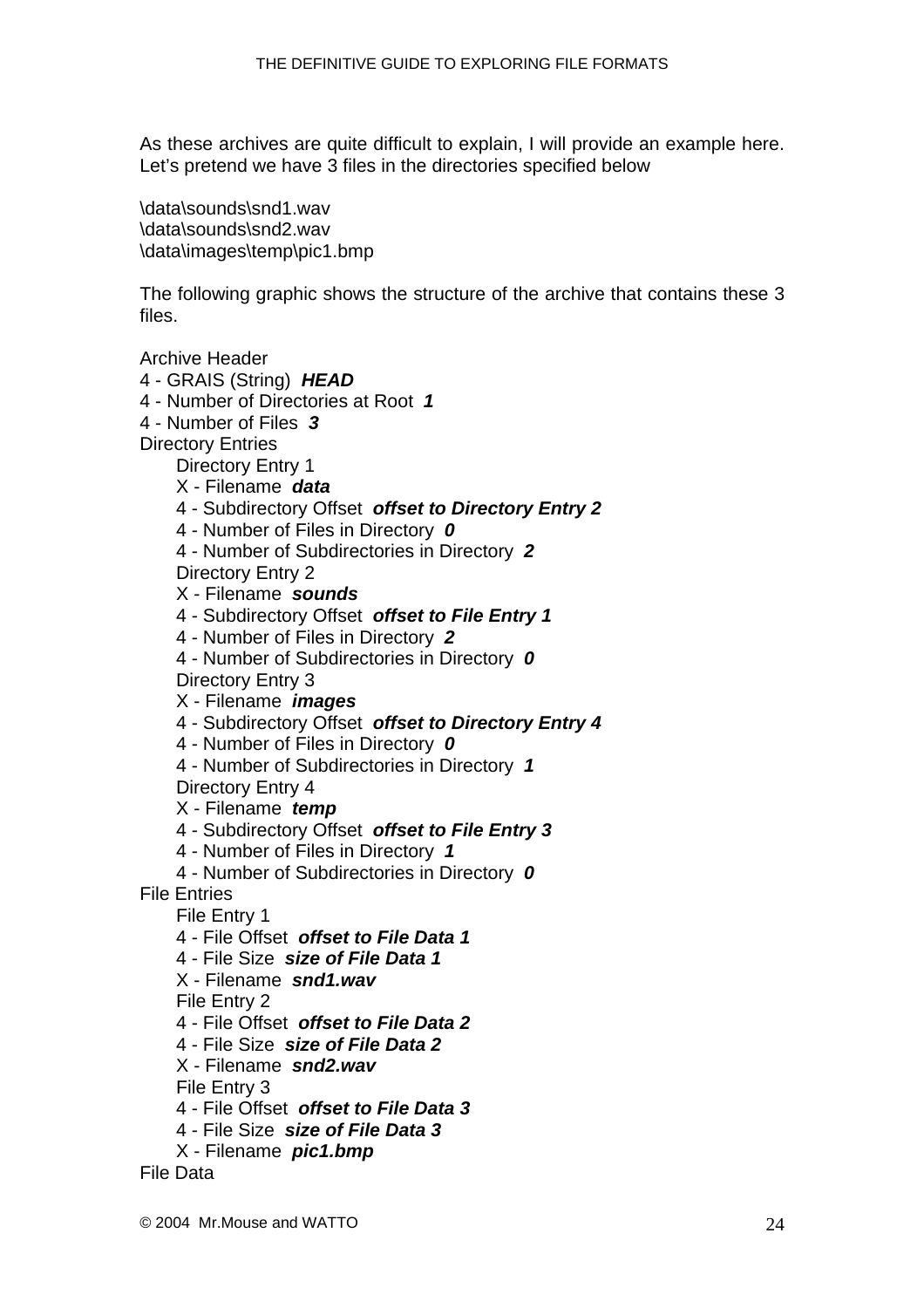As these archives are quite difficult to explain, I will provide an example here. Let's pretend we have 3 files in the directories specified below

\data\sounds\snd1.wav \data\sounds\snd2.wav \data\images\temp\pic1.bmp

The following graphic shows the structure of the archive that contains these 3 files.

Archive Header

- 4 GRAIS (String) *HEAD*
- 4 Number of Directories at Root *1*
- 4 Number of Files *3*
- Directory Entries

Directory Entry 1

- X Filename *data*
- 4 Subdirectory Offset *offset to Directory Entry 2*
- 4 Number of Files in Directory *0*
- 4 Number of Subdirectories in Directory *2*

Directory Entry 2

- X Filename *sounds*
- 4 Subdirectory Offset *offset to File Entry 1*
- 4 Number of Files in Directory *2*
- 4 Number of Subdirectories in Directory *0*

Directory Entry 3

- X Filename *images*
- 4 Subdirectory Offset *offset to Directory Entry 4*
- 4 Number of Files in Directory *0*
- 4 Number of Subdirectories in Directory *1*
- Directory Entry 4
- X Filename *temp*
- 4 Subdirectory Offset *offset to File Entry 3*
- 4 Number of Files in Directory *1*
- 4 Number of Subdirectories in Directory *0*
- File Entries
	- File Entry 1
	- 4 File Offset *offset to File Data 1*
	- 4 File Size *size of File Data 1*
	- X Filename *snd1.wav*

File Entry 2

- 4 File Offset *offset to File Data 2*
- 4 File Size *size of File Data 2*
- X Filename *snd2.wav*
- File Entry 3
- 4 File Offset *offset to File Data 3*
- 4 File Size *size of File Data 3*
- X Filename *pic1.bmp*

File Data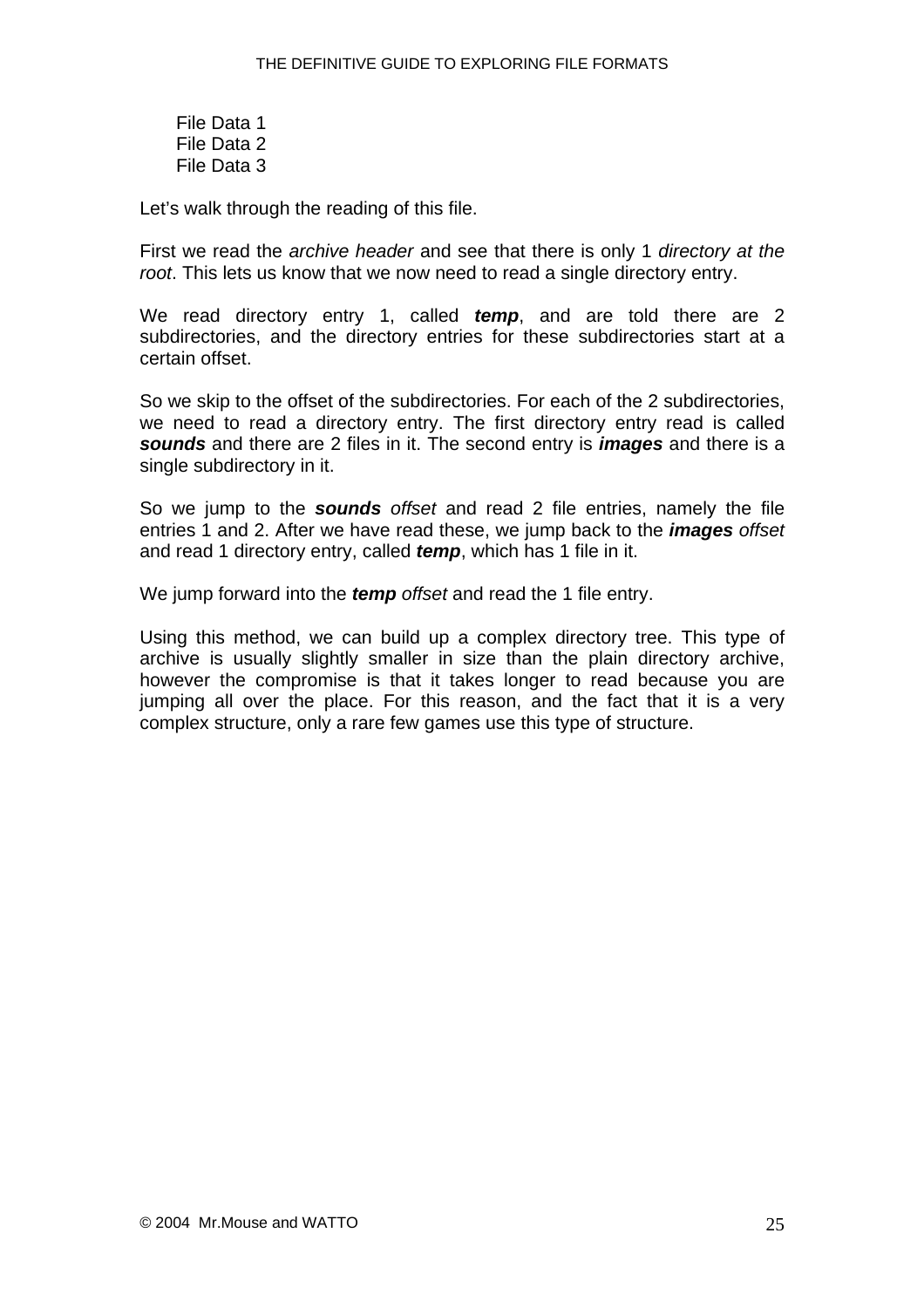File Data 1 File Data 2 File Data 3

Let's walk through the reading of this file.

First we read the *archive header* and see that there is only 1 *directory at the root*. This lets us know that we now need to read a single directory entry.

We read directory entry 1, called *temp*, and are told there are 2 subdirectories, and the directory entries for these subdirectories start at a certain offset.

So we skip to the offset of the subdirectories. For each of the 2 subdirectories, we need to read a directory entry. The first directory entry read is called *sounds* and there are 2 files in it. The second entry is *images* and there is a single subdirectory in it.

So we jump to the *sounds offset* and read 2 file entries, namely the file entries 1 and 2. After we have read these, we jump back to the *images offset* and read 1 directory entry, called *temp*, which has 1 file in it.

We jump forward into the *temp offset* and read the 1 file entry.

Using this method, we can build up a complex directory tree. This type of archive is usually slightly smaller in size than the plain directory archive, however the compromise is that it takes longer to read because you are jumping all over the place. For this reason, and the fact that it is a very complex structure, only a rare few games use this type of structure.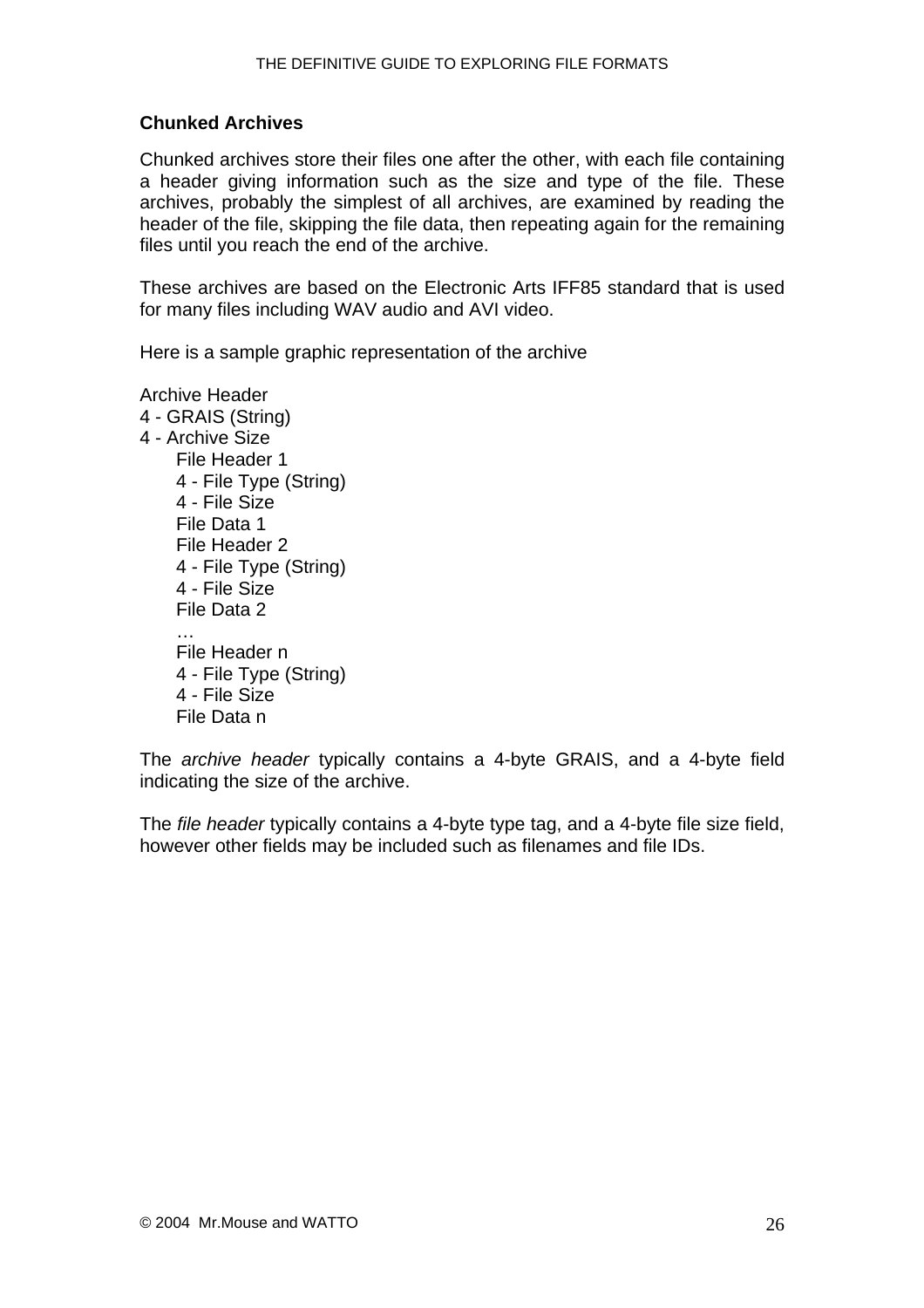#### <span id="page-25-0"></span>**Chunked Archives**

Chunked archives store their files one after the other, with each file containing a header giving information such as the size and type of the file. These archives, probably the simplest of all archives, are examined by reading the header of the file, skipping the file data, then repeating again for the remaining files until you reach the end of the archive.

These archives are based on the Electronic Arts IFF85 standard that is used for many files including WAV audio and AVI video.

Here is a sample graphic representation of the archive

Archive Header 4 - GRAIS (String) 4 - Archive Size File Header 1 4 - File Type (String) 4 - File Size File Data 1 File Header 2 4 - File Type (String) 4 - File Size File Data 2 … File Header n 4 - File Type (String) 4 - File Size File Data n

The *archive header* typically contains a 4-byte GRAIS, and a 4-byte field indicating the size of the archive.

The *file header* typically contains a 4-byte type tag, and a 4-byte file size field, however other fields may be included such as filenames and file IDs.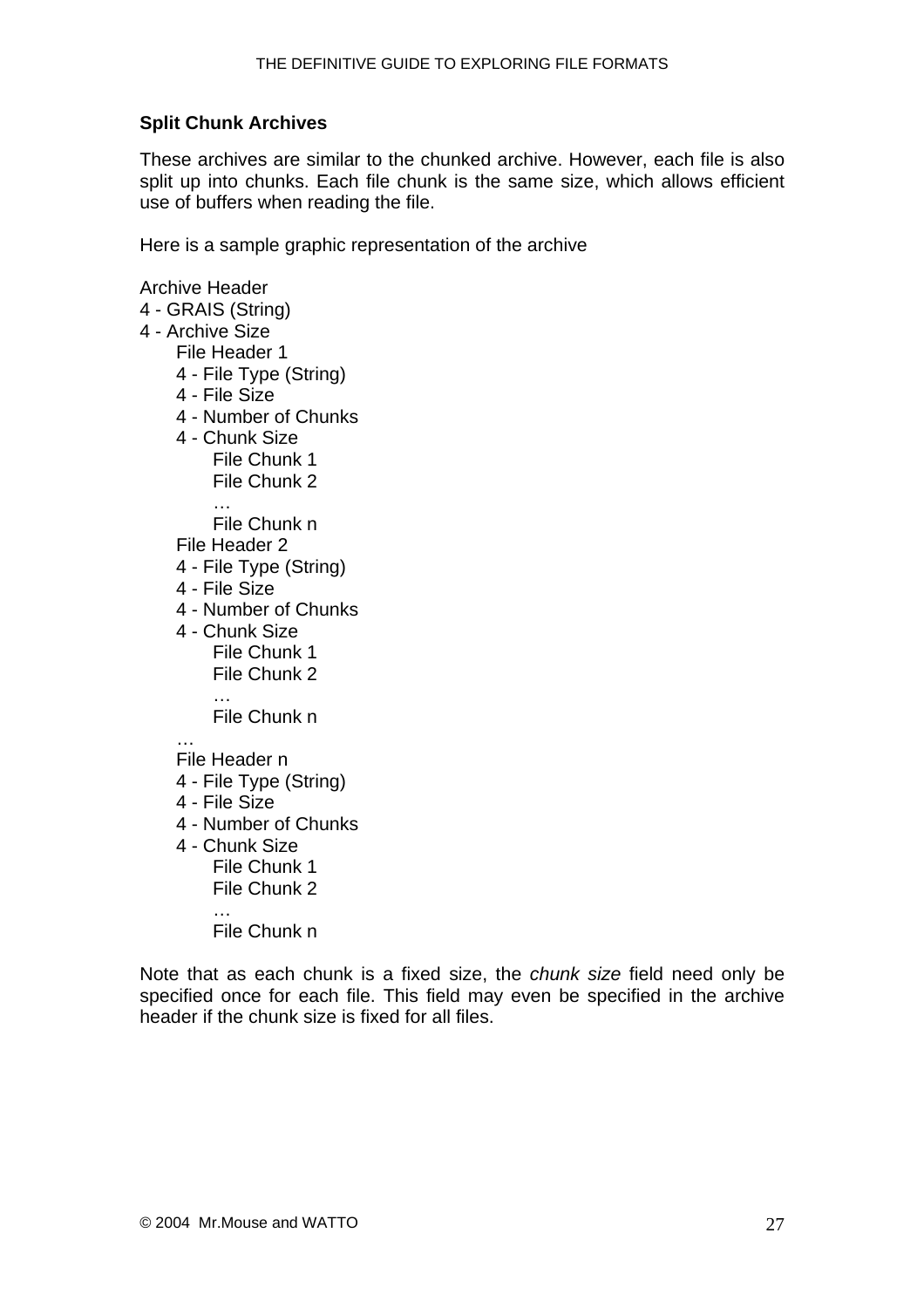#### <span id="page-26-0"></span>**Split Chunk Archives**

These archives are similar to the chunked archive. However, each file is also split up into chunks. Each file chunk is the same size, which allows efficient use of buffers when reading the file.

Here is a sample graphic representation of the archive

Archive Header 4 - GRAIS (String) 4 - Archive Size File Header 1 4 - File Type (String) 4 - File Size 4 - Number of Chunks 4 - Chunk Size File Chunk 1 File Chunk 2 File Chunk n File Header 2 4 - File Type (String) 4 - File Size 4 - Number of Chunks 4 - Chunk Size File Chunk 1 File Chunk 2 … File Chunk n … File Header n 4 - File Type (String) 4 - File Size 4 - Number of Chunks 4 - Chunk Size File Chunk 1 File Chunk 2 … File Chunk n

Note that as each chunk is a fixed size, the *chunk size* field need only be specified once for each file. This field may even be specified in the archive header if the chunk size is fixed for all files.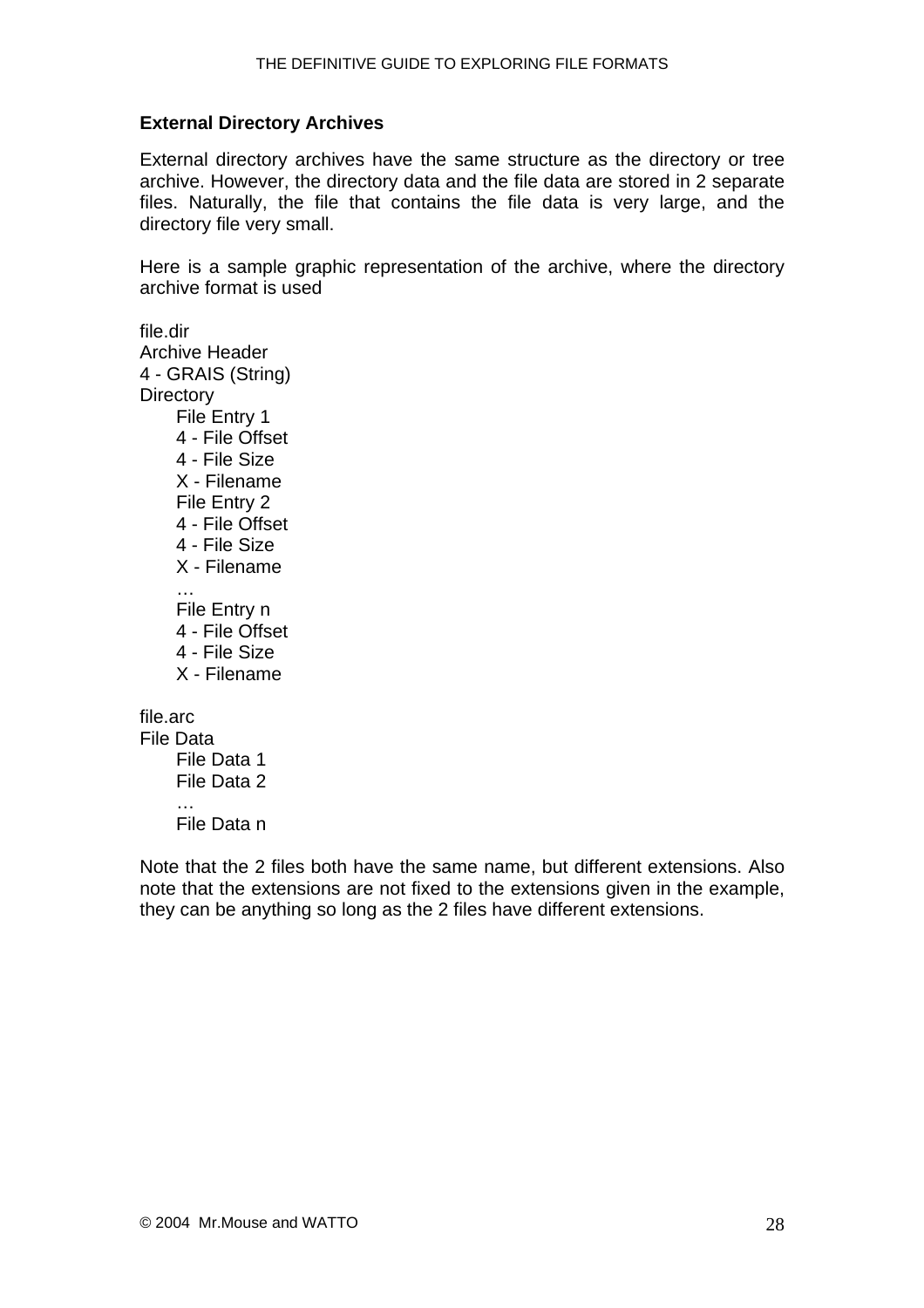#### <span id="page-27-0"></span>**External Directory Archives**

External directory archives have the same structure as the directory or tree archive. However, the directory data and the file data are stored in 2 separate files. Naturally, the file that contains the file data is very large, and the directory file very small.

Here is a sample graphic representation of the archive, where the directory archive format is used

file.dir Archive Header 4 - GRAIS (String) **Directory** File Entry 1 4 - File Offset 4 - File Size X - Filename File Entry 2 4 - File Offset 4 - File Size X - Filename … File Entry n 4 - File Offset 4 - File Size X - Filename file.arc File Data File Data 1 File Data 2

File Data n

…

Note that the 2 files both have the same name, but different extensions. Also note that the extensions are not fixed to the extensions given in the example, they can be anything so long as the 2 files have different extensions.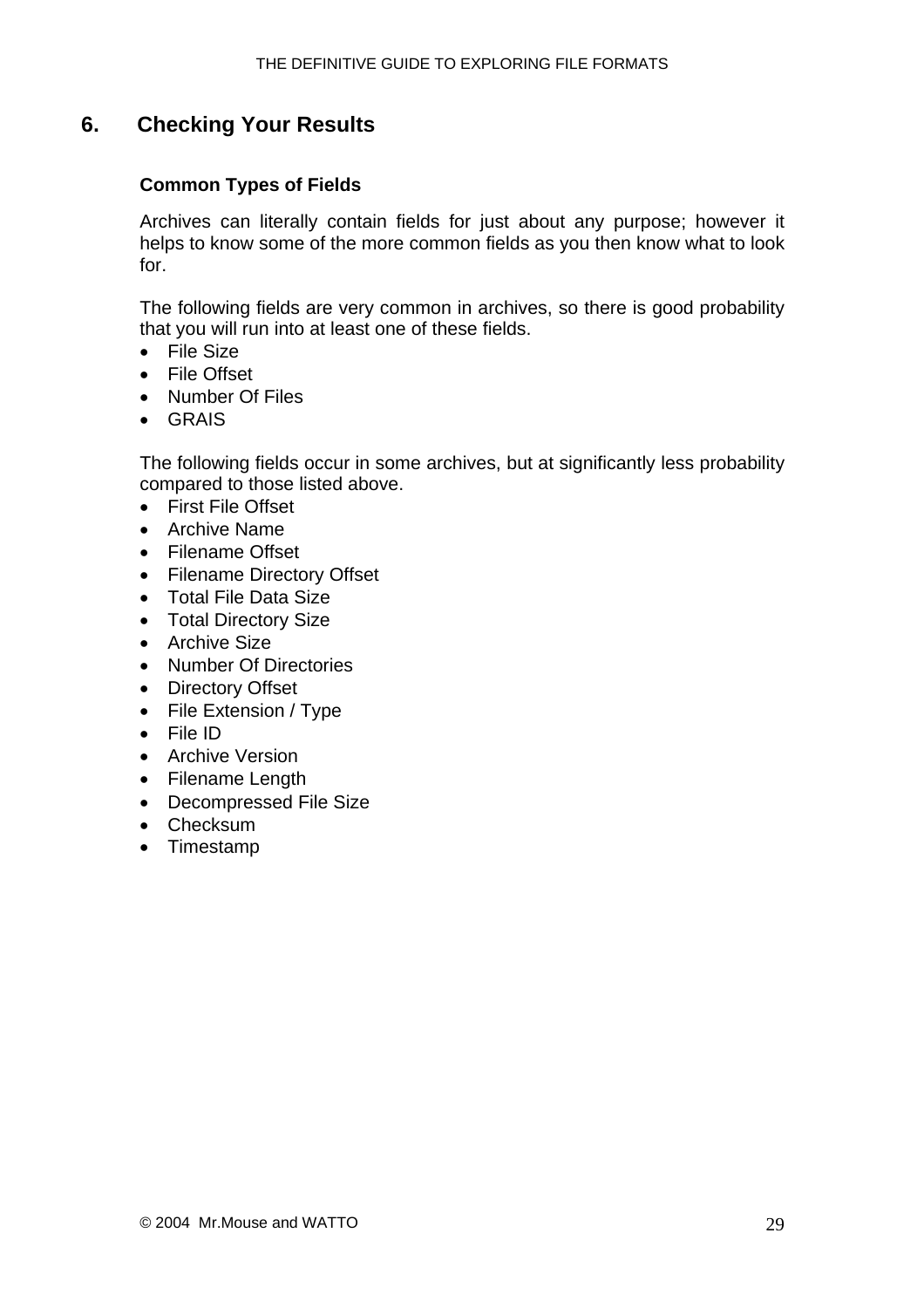## <span id="page-28-0"></span>**6. Checking Your Results**

#### **Common Types of Fields**

Archives can literally contain fields for just about any purpose; however it helps to know some of the more common fields as you then know what to look for.

The following fields are very common in archives, so there is good probability that you will run into at least one of these fields.

- File Size
- File Offset
- Number Of Files
- GRAIS

The following fields occur in some archives, but at significantly less probability compared to those listed above.

- First File Offset
- Archive Name
- Filename Offset
- Filename Directory Offset
- Total File Data Size
- Total Directory Size
- Archive Size
- Number Of Directories
- Directory Offset
- File Extension / Type
- File ID
- Archive Version
- Filename Length
- Decompressed File Size
- Checksum
- Timestamp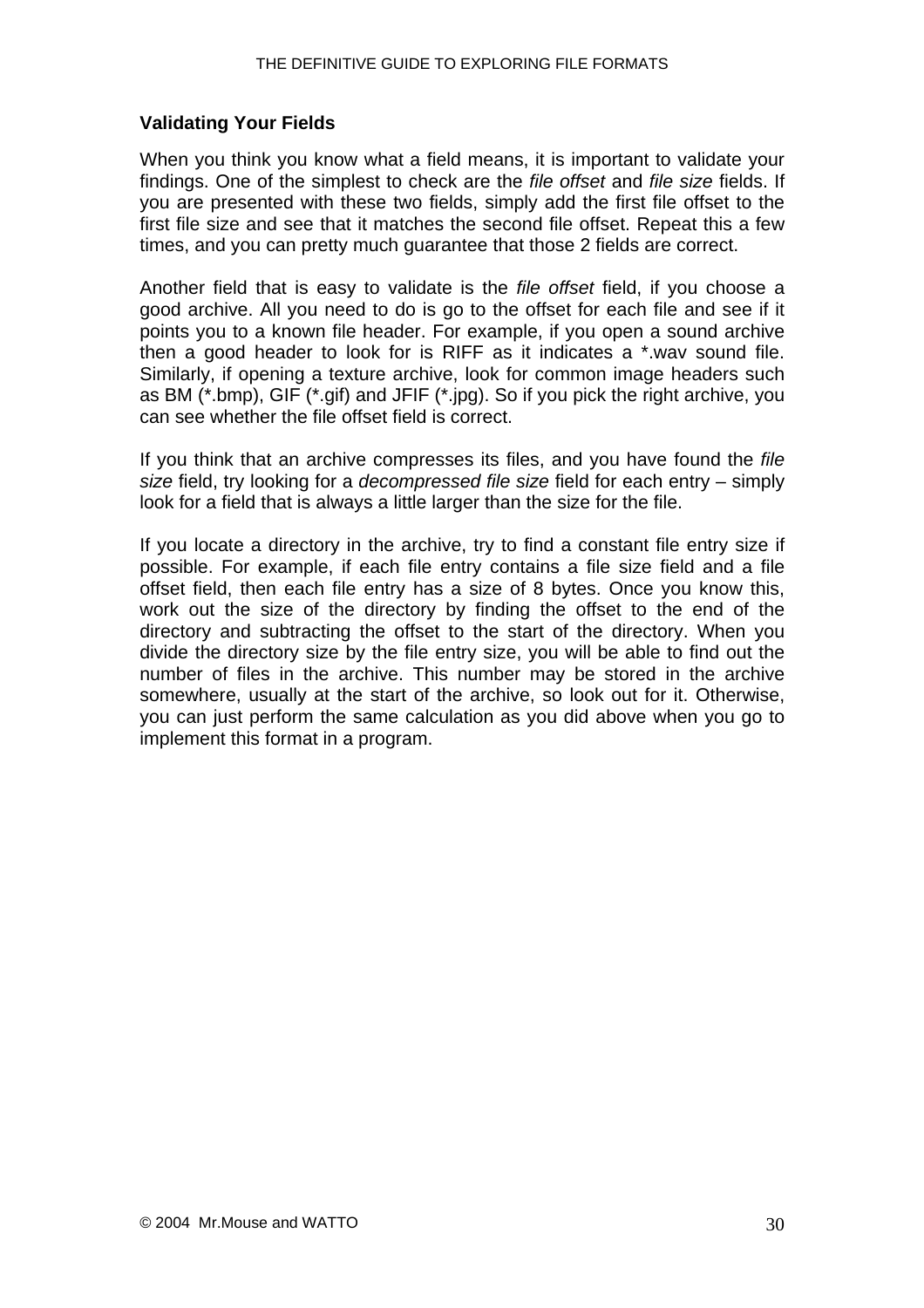#### <span id="page-29-0"></span>**Validating Your Fields**

When you think you know what a field means, it is important to validate your findings. One of the simplest to check are the *file offset* and *file size* fields. If you are presented with these two fields, simply add the first file offset to the first file size and see that it matches the second file offset. Repeat this a few times, and you can pretty much guarantee that those 2 fields are correct.

Another field that is easy to validate is the *file offset* field, if you choose a good archive. All you need to do is go to the offset for each file and see if it points you to a known file header. For example, if you open a sound archive then a good header to look for is RIFF as it indicates a \*.wav sound file. Similarly, if opening a texture archive, look for common image headers such as BM (\*.bmp), GIF (\*.gif) and JFIF (\*.jpg). So if you pick the right archive, you can see whether the file offset field is correct.

If you think that an archive compresses its files, and you have found the *file size* field, try looking for a *decompressed file size* field for each entry – simply look for a field that is always a little larger than the size for the file.

If you locate a directory in the archive, try to find a constant file entry size if possible. For example, if each file entry contains a file size field and a file offset field, then each file entry has a size of 8 bytes. Once you know this, work out the size of the directory by finding the offset to the end of the directory and subtracting the offset to the start of the directory. When you divide the directory size by the file entry size, you will be able to find out the number of files in the archive. This number may be stored in the archive somewhere, usually at the start of the archive, so look out for it. Otherwise, you can just perform the same calculation as you did above when you go to implement this format in a program.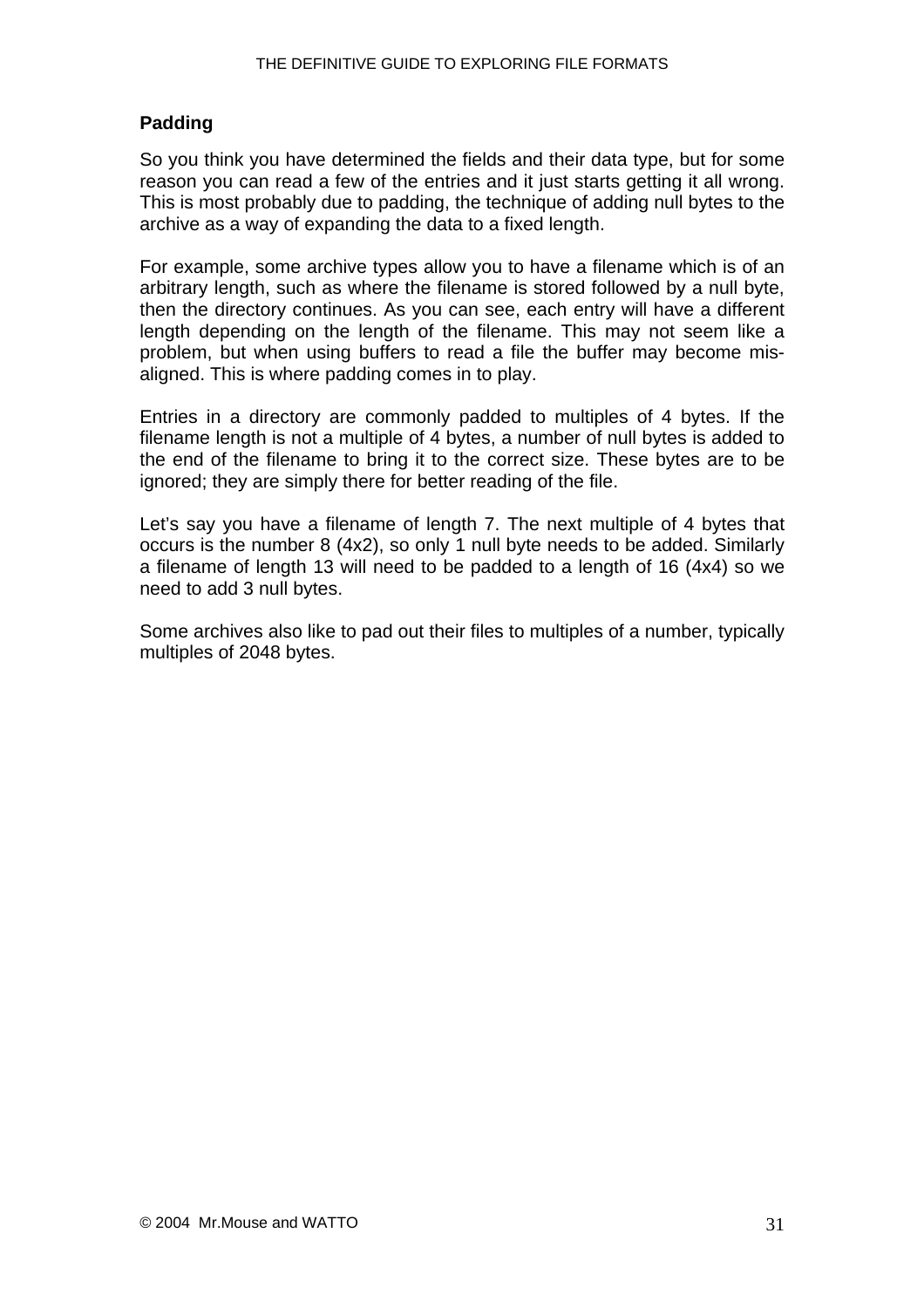#### <span id="page-30-0"></span>**Padding**

So you think you have determined the fields and their data type, but for some reason you can read a few of the entries and it just starts getting it all wrong. This is most probably due to padding, the technique of adding null bytes to the archive as a way of expanding the data to a fixed length.

For example, some archive types allow you to have a filename which is of an arbitrary length, such as where the filename is stored followed by a null byte, then the directory continues. As you can see, each entry will have a different length depending on the length of the filename. This may not seem like a problem, but when using buffers to read a file the buffer may become misaligned. This is where padding comes in to play.

Entries in a directory are commonly padded to multiples of 4 bytes. If the filename length is not a multiple of 4 bytes, a number of null bytes is added to the end of the filename to bring it to the correct size. These bytes are to be ignored; they are simply there for better reading of the file.

Let's say you have a filename of length 7. The next multiple of 4 bytes that occurs is the number 8 (4x2), so only 1 null byte needs to be added. Similarly a filename of length 13 will need to be padded to a length of 16 (4x4) so we need to add 3 null bytes.

Some archives also like to pad out their files to multiples of a number, typically multiples of 2048 bytes.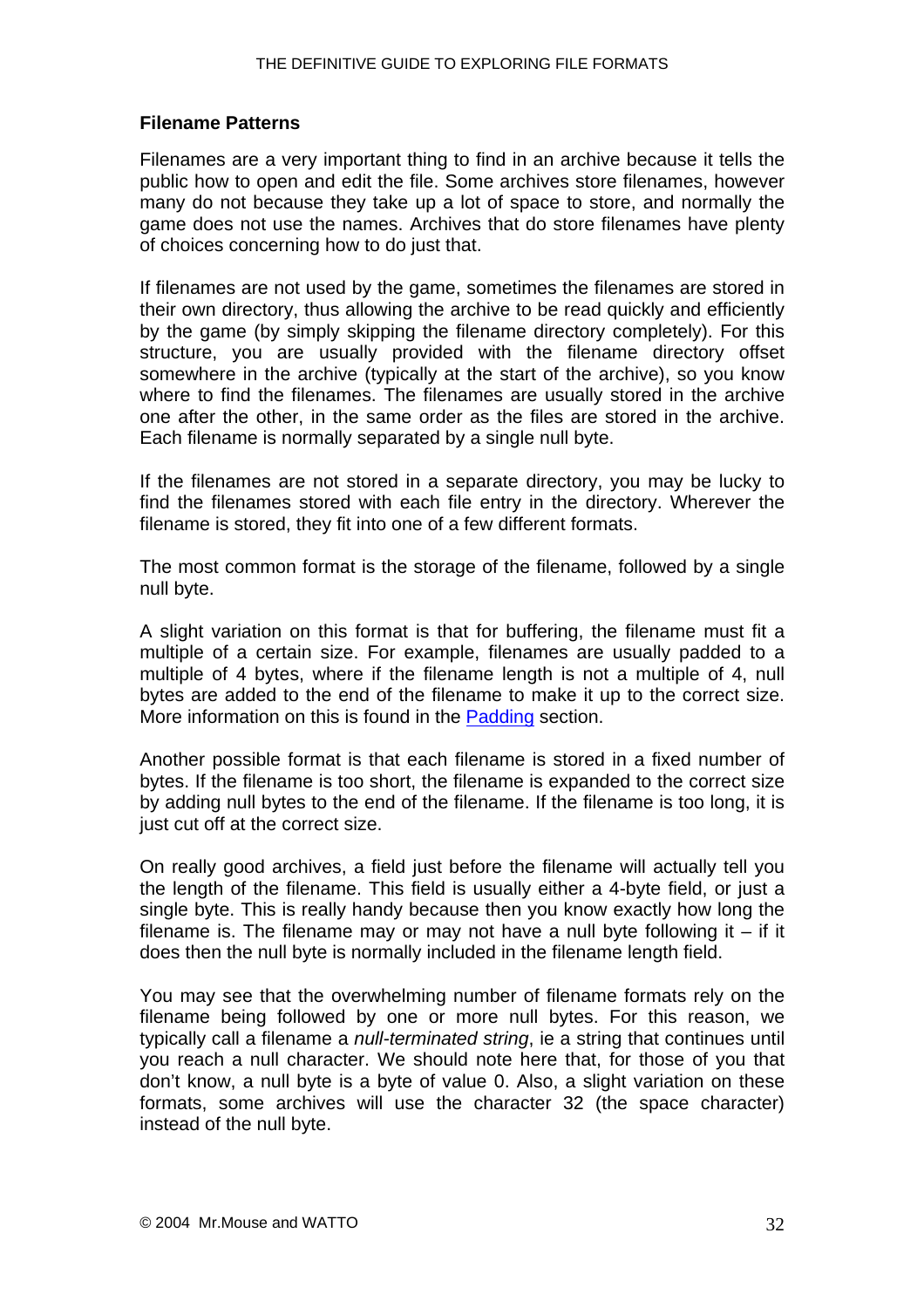#### <span id="page-31-0"></span>**Filename Patterns**

Filenames are a very important thing to find in an archive because it tells the public how to open and edit the file. Some archives store filenames, however many do not because they take up a lot of space to store, and normally the game does not use the names. Archives that do store filenames have plenty of choices concerning how to do just that.

If filenames are not used by the game, sometimes the filenames are stored in their own directory, thus allowing the archive to be read quickly and efficiently by the game (by simply skipping the filename directory completely). For this structure, you are usually provided with the filename directory offset somewhere in the archive (typically at the start of the archive), so you know where to find the filenames. The filenames are usually stored in the archive one after the other, in the same order as the files are stored in the archive. Each filename is normally separated by a single null byte.

If the filenames are not stored in a separate directory, you may be lucky to find the filenames stored with each file entry in the directory. Wherever the filename is stored, they fit into one of a few different formats.

The most common format is the storage of the filename, followed by a single null byte.

A slight variation on this format is that for buffering, the filename must fit a multiple of a certain size. For example, filenames are usually padded to a multiple of 4 bytes, where if the filename length is not a multiple of 4, null bytes are added to the end of the filename to make it up to the correct size. More information on this is found in the [Padding](#page-29-0) section.

Another possible format is that each filename is stored in a fixed number of bytes. If the filename is too short, the filename is expanded to the correct size by adding null bytes to the end of the filename. If the filename is too long, it is just cut off at the correct size.

On really good archives, a field just before the filename will actually tell you the length of the filename. This field is usually either a 4-byte field, or just a single byte. This is really handy because then you know exactly how long the filename is. The filename may or may not have a null byte following it  $-$  if it does then the null byte is normally included in the filename length field.

You may see that the overwhelming number of filename formats rely on the filename being followed by one or more null bytes. For this reason, we typically call a filename a *null-terminated string*, ie a string that continues until you reach a null character. We should note here that, for those of you that don't know, a null byte is a byte of value 0. Also, a slight variation on these formats, some archives will use the character 32 (the space character) instead of the null byte.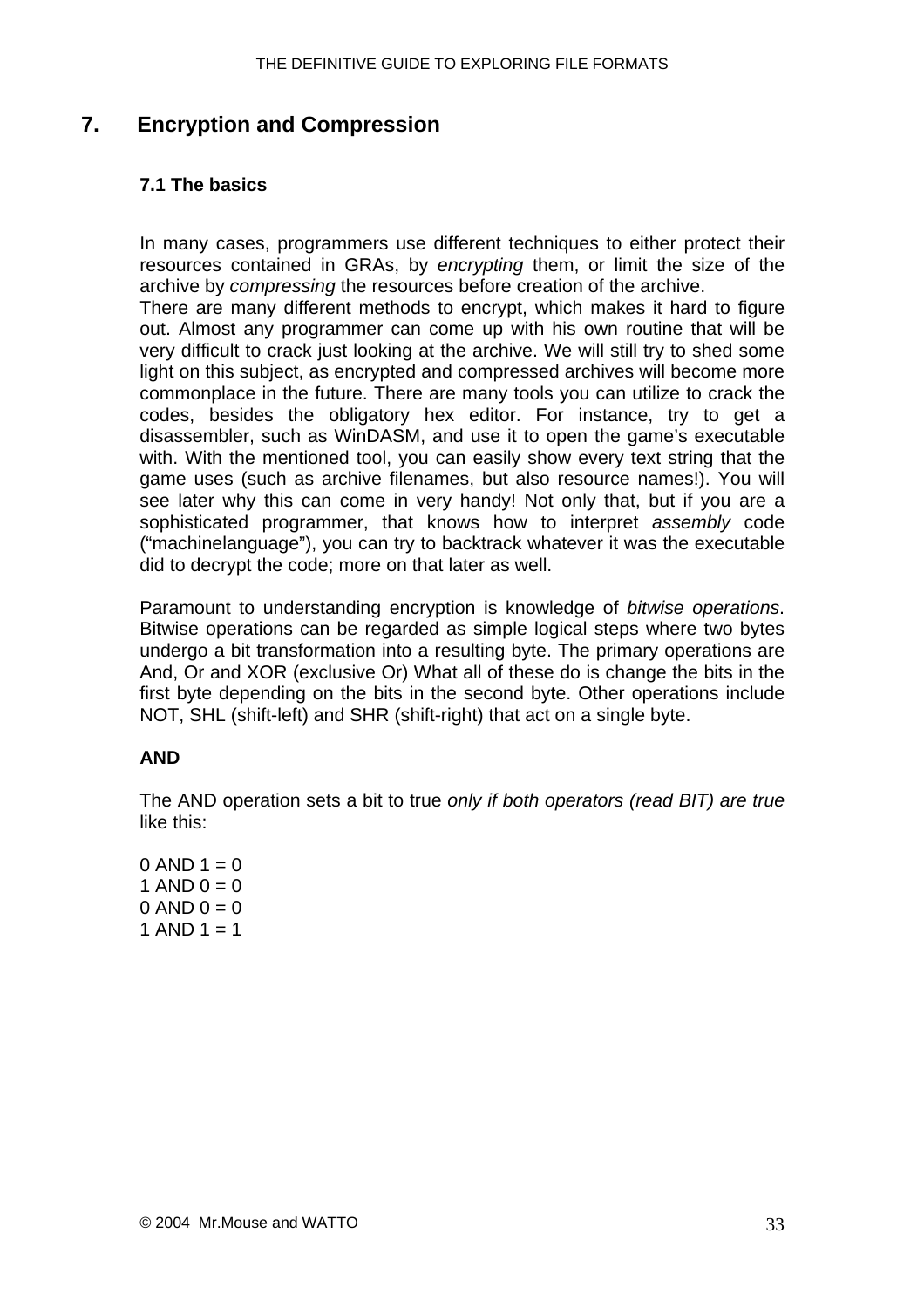## <span id="page-32-0"></span>**7. Encryption and Compression**

#### **7.1 The basics**

In many cases, programmers use different techniques to either protect their resources contained in GRAs, by *encrypting* them, or limit the size of the archive by *compressing* the resources before creation of the archive.

There are many different methods to encrypt, which makes it hard to figure out. Almost any programmer can come up with his own routine that will be very difficult to crack just looking at the archive. We will still try to shed some light on this subject, as encrypted and compressed archives will become more commonplace in the future. There are many tools you can utilize to crack the codes, besides the obligatory hex editor. For instance, try to get a disassembler, such as WinDASM, and use it to open the game's executable with. With the mentioned tool, you can easily show every text string that the game uses (such as archive filenames, but also resource names!). You will see later why this can come in very handy! Not only that, but if you are a sophisticated programmer, that knows how to interpret *assembly* code ("machinelanguage"), you can try to backtrack whatever it was the executable did to decrypt the code; more on that later as well.

Paramount to understanding encryption is knowledge of *bitwise operations*. Bitwise operations can be regarded as simple logical steps where two bytes undergo a bit transformation into a resulting byte. The primary operations are And, Or and XOR (exclusive Or) What all of these do is change the bits in the first byte depending on the bits in the second byte. Other operations include NOT, SHL (shift-left) and SHR (shift-right) that act on a single byte.

#### **AND**

The AND operation sets a bit to true *only if both operators (read BIT) are true* like this:

 $0$  AND  $1 = 0$ 1 AND  $0 = 0$  $0$  AND  $0 = 0$ 1 AND  $1 = 1$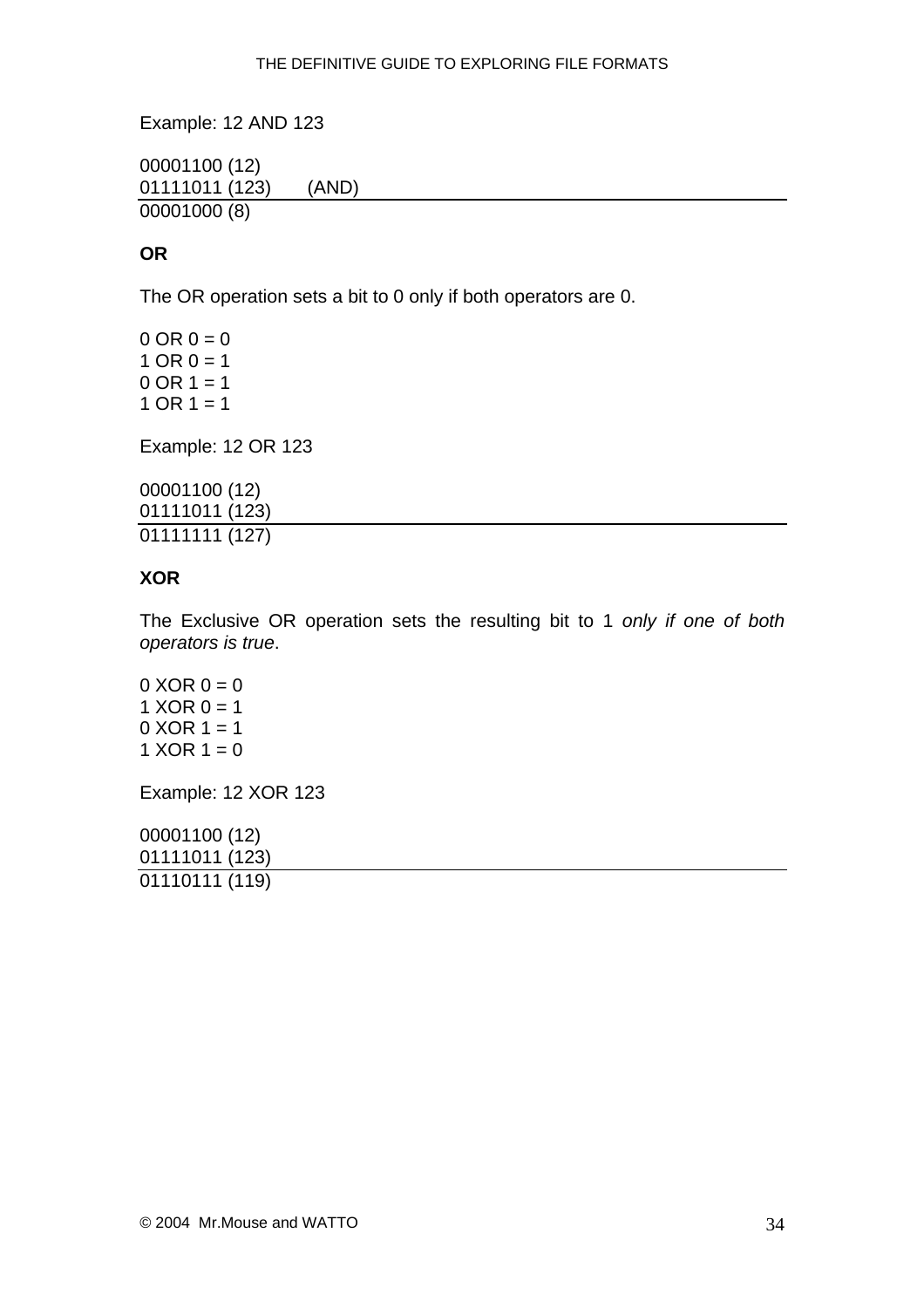<span id="page-33-0"></span>Example: 12 AND 123

00001100 (12) 01111011 (123) (AND) 00001000 (8)

#### **OR**

The OR operation sets a bit to 0 only if both operators are 0.

 $0 \text{ OR } 0 = 0$  $1$  OR  $0 = 1$  $0$  OR  $1 = 1$  $1$  OR  $1 = 1$ 

Example: 12 OR 123

00001100 (12) 01111011 (123) 01111111 (127)

#### **XOR**

The Exclusive OR operation sets the resulting bit to 1 *only if one of both operators is true*.

 $0 \text{ XOR } 0 = 0$ 1  $XOR 0 = 1$  $0$  XOR  $1 = 1$ 1  $XOR 1 = 0$ 

Example: 12 XOR 123

00001100 (12) 01111011 (123) 01110111 (119)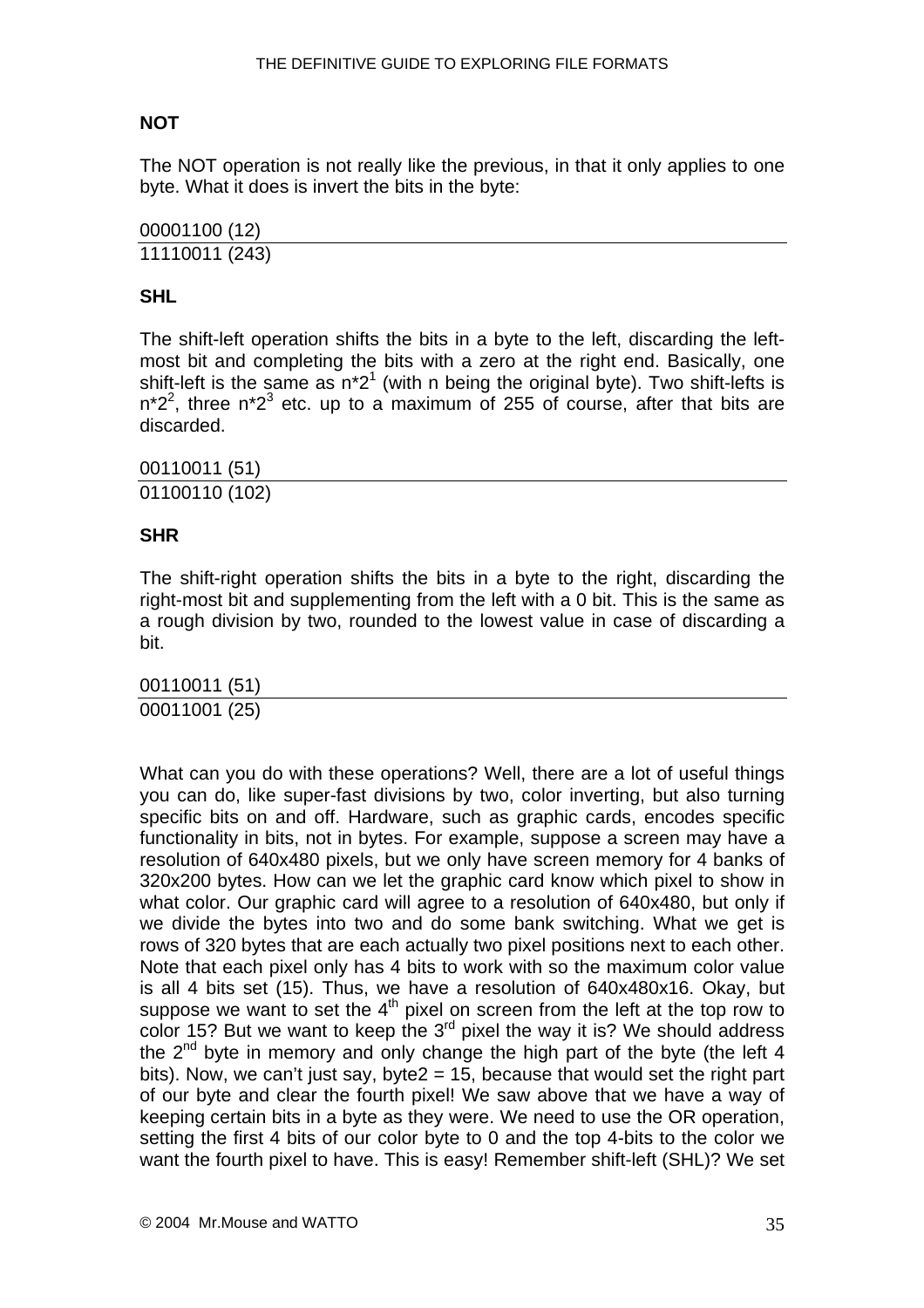### <span id="page-34-0"></span>**NOT**

The NOT operation is not really like the previous, in that it only applies to one byte. What it does is invert the bits in the byte:

00001100 (12) 11110011 (243)

#### **SHL**

The shift-left operation shifts the bits in a byte to the left, discarding the leftmost bit and completing the bits with a zero at the right end. Basically, one shift-left is the same as  $n^2$ <sup>1</sup> (with n being the original byte). Two shift-lefts is  $n^*2^2$ , three n<sup>\*23</sup> etc. up to a maximum of 255 of course, after that bits are discarded.

00110011 (51) 01100110 (102)

#### **SHR**

The shift-right operation shifts the bits in a byte to the right, discarding the right-most bit and supplementing from the left with a 0 bit. This is the same as a rough division by two, rounded to the lowest value in case of discarding a bit.

00110011 (51) 00011001 (25)

What can you do with these operations? Well, there are a lot of useful things you can do, like super-fast divisions by two, color inverting, but also turning specific bits on and off. Hardware, such as graphic cards, encodes specific functionality in bits, not in bytes. For example, suppose a screen may have a resolution of 640x480 pixels, but we only have screen memory for 4 banks of 320x200 bytes. How can we let the graphic card know which pixel to show in what color. Our graphic card will agree to a resolution of 640x480, but only if we divide the bytes into two and do some bank switching. What we get is rows of 320 bytes that are each actually two pixel positions next to each other. Note that each pixel only has 4 bits to work with so the maximum color value is all 4 bits set (15). Thus, we have a resolution of 640x480x16. Okay, but suppose we want to set the  $4<sup>th</sup>$  pixel on screen from the left at the top row to color 15? But we want to keep the  $3<sup>rd</sup>$  pixel the way it is? We should address the  $2<sup>nd</sup>$  byte in memory and only change the high part of the byte (the left 4 bits). Now, we can't just say, byte2 = 15, because that would set the right part of our byte and clear the fourth pixel! We saw above that we have a way of keeping certain bits in a byte as they were. We need to use the OR operation, setting the first 4 bits of our color byte to 0 and the top 4-bits to the color we want the fourth pixel to have. This is easy! Remember shift-left (SHL)? We set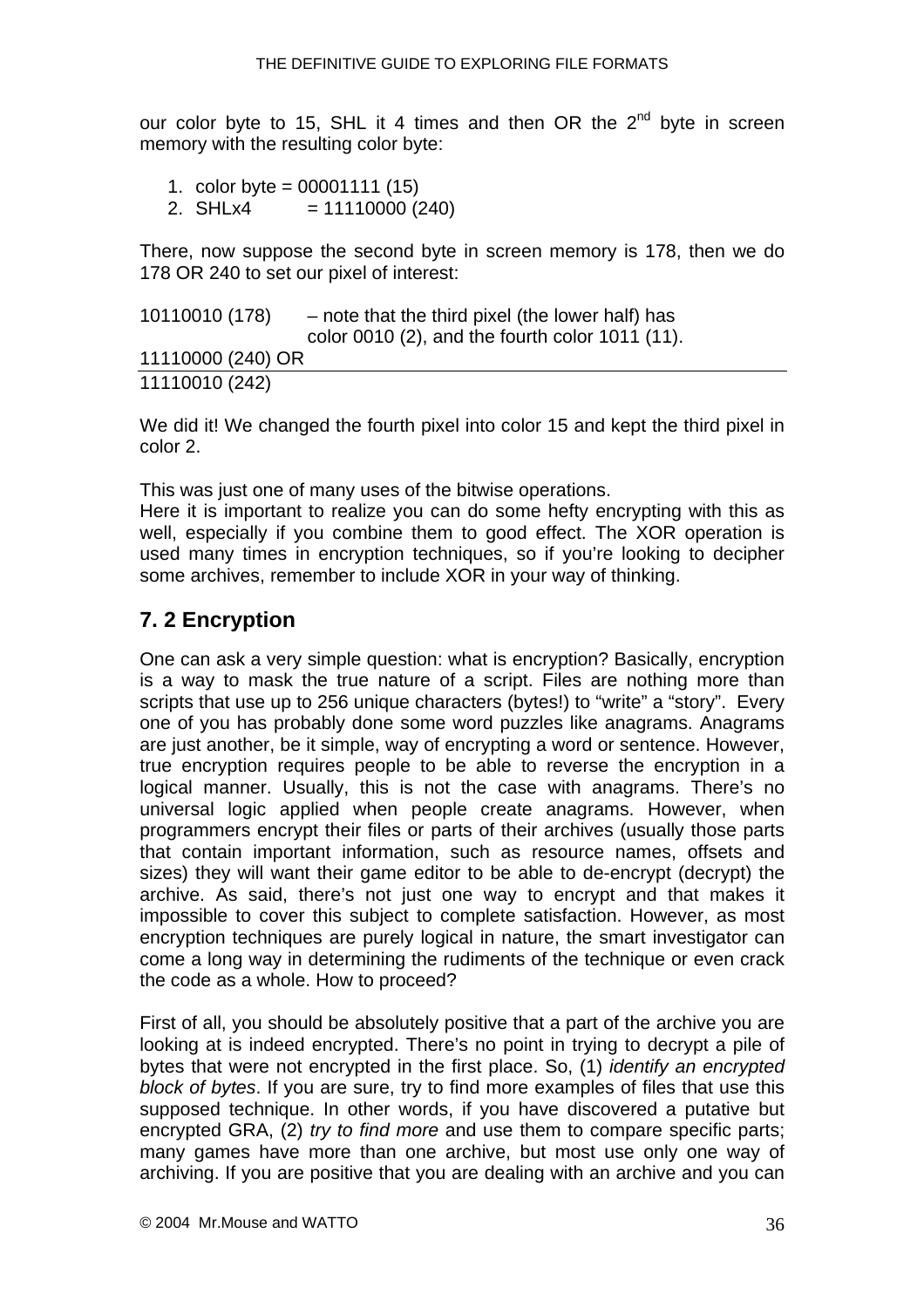<span id="page-35-0"></span>our color byte to 15, SHL it 4 times and then OR the  $2^{nd}$  byte in screen memory with the resulting color byte:

- 1. color byte = 00001111 (15)
- 2. SHLx4  $= 11110000 (240)$

There, now suppose the second byte in screen memory is 178, then we do 178 OR 240 to set our pixel of interest:

| 10110010 (178)    | - note that the third pixel (the lower half) has |
|-------------------|--------------------------------------------------|
|                   | color 0010 (2), and the fourth color 1011 (11).  |
| 11110000 (240) OR |                                                  |
| 11110010 (242)    |                                                  |

We did it! We changed the fourth pixel into color 15 and kept the third pixel in color 2.

This was just one of many uses of the bitwise operations.

Here it is important to realize you can do some hefty encrypting with this as well, especially if you combine them to good effect. The XOR operation is used many times in encryption techniques, so if you're looking to decipher some archives, remember to include XOR in your way of thinking.

## **7. 2 Encryption**

One can ask a very simple question: what is encryption? Basically, encryption is a way to mask the true nature of a script. Files are nothing more than scripts that use up to 256 unique characters (bytes!) to "write" a "story". Every one of you has probably done some word puzzles like anagrams. Anagrams are just another, be it simple, way of encrypting a word or sentence. However, true encryption requires people to be able to reverse the encryption in a logical manner. Usually, this is not the case with anagrams. There's no universal logic applied when people create anagrams. However, when programmers encrypt their files or parts of their archives (usually those parts that contain important information, such as resource names, offsets and sizes) they will want their game editor to be able to de-encrypt (decrypt) the archive. As said, there's not just one way to encrypt and that makes it impossible to cover this subject to complete satisfaction. However, as most encryption techniques are purely logical in nature, the smart investigator can come a long way in determining the rudiments of the technique or even crack the code as a whole. How to proceed?

First of all, you should be absolutely positive that a part of the archive you are looking at is indeed encrypted. There's no point in trying to decrypt a pile of bytes that were not encrypted in the first place. So, (1) *identify an encrypted block of bytes*. If you are sure, try to find more examples of files that use this supposed technique. In other words, if you have discovered a putative but encrypted GRA, (2) *try to find more* and use them to compare specific parts; many games have more than one archive, but most use only one way of archiving. If you are positive that you are dealing with an archive and you can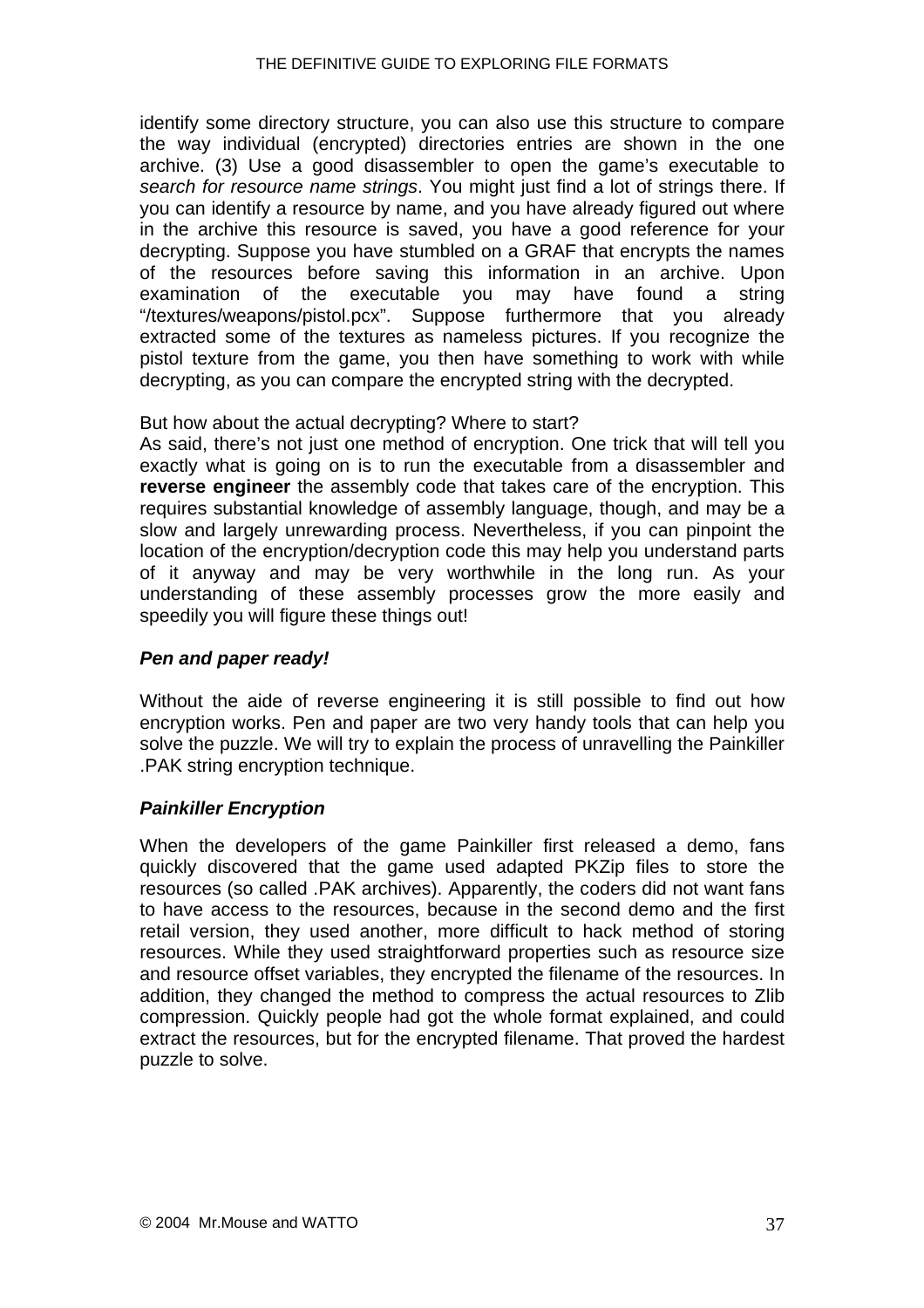<span id="page-36-0"></span>identify some directory structure, you can also use this structure to compare the way individual (encrypted) directories entries are shown in the one archive. (3) Use a good disassembler to open the game's executable to *search for resource name strings*. You might just find a lot of strings there. If you can identify a resource by name, and you have already figured out where in the archive this resource is saved, you have a good reference for your decrypting. Suppose you have stumbled on a GRAF that encrypts the names of the resources before saving this information in an archive. Upon examination of the executable you may have found a string "/textures/weapons/pistol.pcx". Suppose furthermore that you already extracted some of the textures as nameless pictures. If you recognize the pistol texture from the game, you then have something to work with while decrypting, as you can compare the encrypted string with the decrypted.

But how about the actual decrypting? Where to start?

As said, there's not just one method of encryption. One trick that will tell you exactly what is going on is to run the executable from a disassembler and **reverse engineer** the assembly code that takes care of the encryption. This requires substantial knowledge of assembly language, though, and may be a slow and largely unrewarding process. Nevertheless, if you can pinpoint the location of the encryption/decryption code this may help you understand parts of it anyway and may be very worthwhile in the long run. As your understanding of these assembly processes grow the more easily and speedily you will figure these things out!

#### *Pen and paper ready!*

Without the aide of reverse engineering it is still possible to find out how encryption works. Pen and paper are two very handy tools that can help you solve the puzzle. We will try to explain the process of unravelling the Painkiller .PAK string encryption technique.

#### *Painkiller Encryption*

When the developers of the game Painkiller first released a demo, fans quickly discovered that the game used adapted PKZip files to store the resources (so called .PAK archives). Apparently, the coders did not want fans to have access to the resources, because in the second demo and the first retail version, they used another, more difficult to hack method of storing resources. While they used straightforward properties such as resource size and resource offset variables, they encrypted the filename of the resources. In addition, they changed the method to compress the actual resources to Zlib compression. Quickly people had got the whole format explained, and could extract the resources, but for the encrypted filename. That proved the hardest puzzle to solve.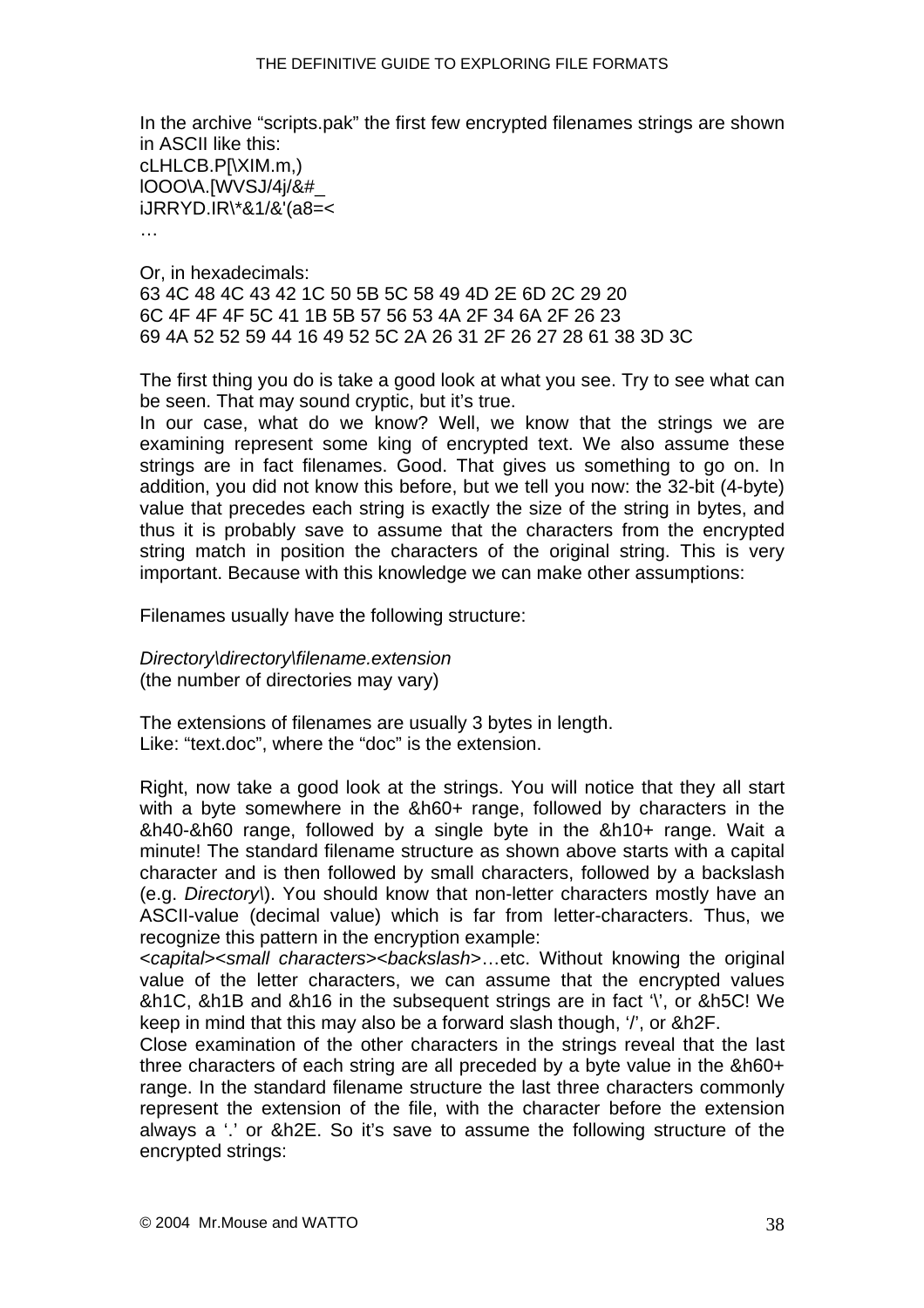In the archive "scripts.pak" the first few encrypted filenames strings are shown in [ASCII](#page-56-0) like this: cLHLCB.P[\XIM.m,) lOOO\A.[WVSJ/4j/&#\_ iJRRYD.IR\\*&1/&'(a8=< …

Or, in hexadecimals: 63 4C 48 4C 43 42 1C 50 5B 5C 58 49 4D 2E 6D 2C 29 20 6C 4F 4F 4F 5C 41 1B 5B 57 56 53 4A 2F 34 6A 2F 26 23 69 4A 52 52 59 44 16 49 52 5C 2A 26 31 2F 26 27 28 61 38 3D 3C

The first thing you do is take a good look at what you see. Try to see what can be seen. That may sound cryptic, but it's true.

In our case, what do we know? Well, we know that the strings we are examining represent some king of encrypted text. We also assume these strings are in fact filenames. Good. That gives us something to go on. In addition, you did not know this before, but we tell you now: the 32-bit (4-byte) value that precedes each string is exactly the size of the string in bytes, and thus it is probably save to assume that the characters from the encrypted string match in position the characters of the original string. This is very important. Because with this knowledge we can make other assumptions:

Filenames usually have the following structure:

*Directory\directory\filename.extension*  (the number of directories may vary)

The extensions of filenames are usually 3 bytes in length. Like: "text.doc", where the "doc" is the extension.

Right, now take a good look at the strings. You will notice that they all start with a byte somewhere in the &h60+ range, followed by characters in the &h40-&h60 range, followed by a single byte in the &h10+ range. Wait a minute! The standard filename structure as shown above starts with a capital character and is then followed by small characters, followed by a backslash (e.g. *Directory\*). You should know that non-letter characters mostly have an ASCII-value (decimal value) which is far from letter-characters. Thus, we recognize this pattern in the encryption example:

<*capital*><*small characters*><*backslash*>…etc. Without knowing the original value of the letter characters, we can assume that the encrypted values &h1C, &h1B and &h16 in the subsequent strings are in fact '\', or &h5C! We keep in mind that this may also be a forward slash though, '/', or &h2F.

Close examination of the other characters in the strings reveal that the last three characters of each string are all preceded by a byte value in the &h60+ range. In the standard filename structure the last three characters commonly represent the extension of the file, with the character before the extension always a '.' or &h2E. So it's save to assume the following structure of the encrypted strings: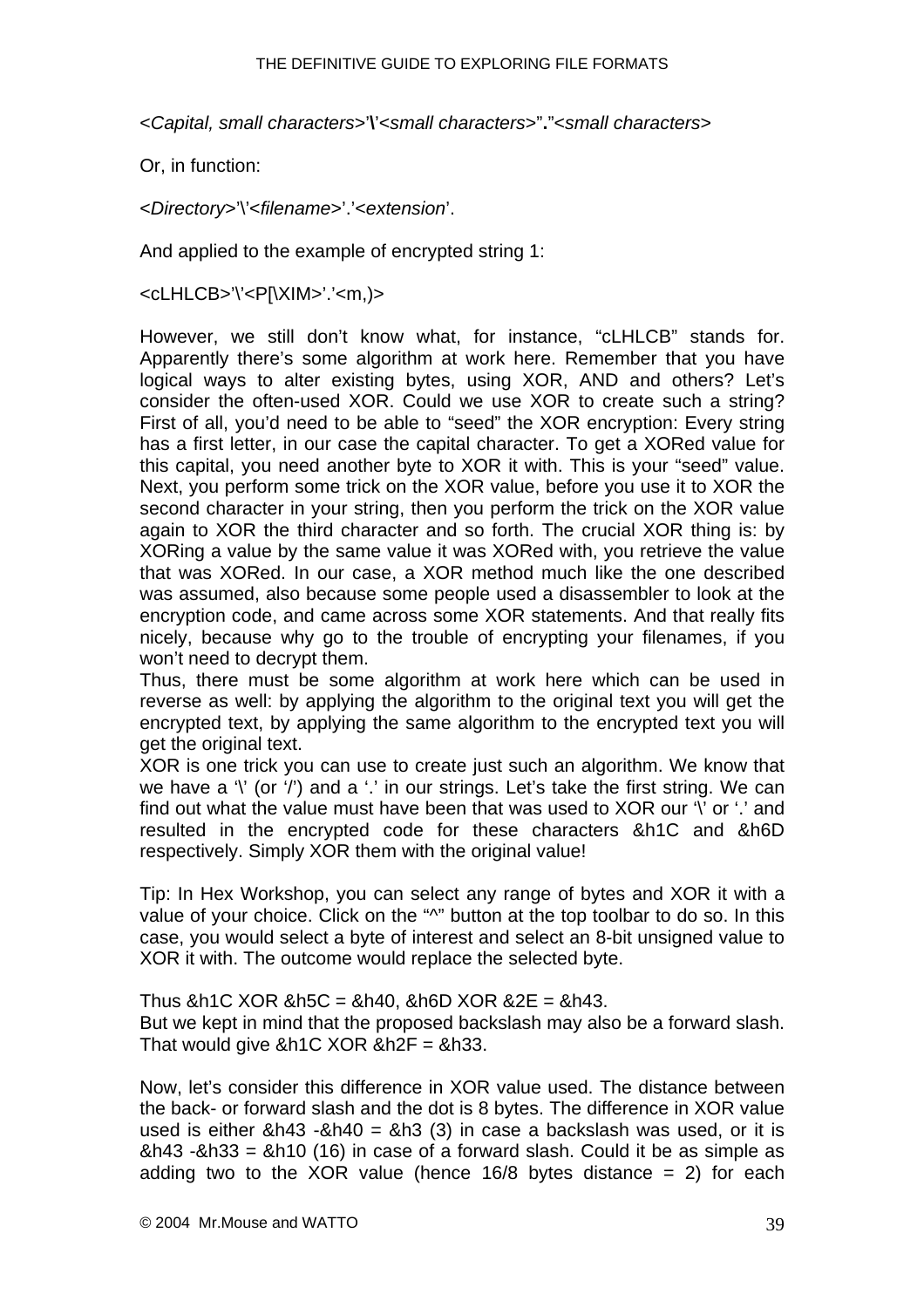<*Capital, small characters*>'**\**'<*small characters*>"**.**"<*small characters*>

Or, in function:

<*Directory*>'\'<*filename*>'.'<*extension*'.

And applied to the example of encrypted string 1:

<cLHLCB>'\'<P[\XIM>'.'<m,)>

However, we still don't know what, for instance, "cLHLCB" stands for. Apparently there's some algorithm at work here. Remember that you have logical ways to alter existing bytes, using XOR, AND and others? Let's consider the often-used XOR. Could we use XOR to create such a string? First of all, you'd need to be able to "seed" the XOR encryption: Every string has a first letter, in our case the capital character. To get a XORed value for this capital, you need another byte to XOR it with. This is your "seed" value. Next, you perform some trick on the XOR value, before you use it to XOR the second character in your string, then you perform the trick on the XOR value again to XOR the third character and so forth. The crucial XOR thing is: by XORing a value by the same value it was XORed with, you retrieve the value that was XORed. In our case, a XOR method much like the one described was assumed, also because some people used a disassembler to look at the encryption code, and came across some XOR statements. And that really fits nicely, because why go to the trouble of encrypting your filenames, if you won't need to decrypt them.

Thus, there must be some algorithm at work here which can be used in reverse as well: by applying the algorithm to the original text you will get the encrypted text, by applying the same algorithm to the encrypted text you will get the original text.

XOR is one trick you can use to create just such an algorithm. We know that we have a  $\gamma$  (or  $\gamma$ ) and a  $\gamma$  in our strings. Let's take the first string. We can find out what the value must have been that was used to XOR our '\' or '.' and resulted in the encrypted code for these characters &h1C and &h6D respectively. Simply XOR them with the original value!

Tip: In Hex Workshop, you can select any range of bytes and XOR it with a value of your choice. Click on the "^" button at the top toolbar to do so. In this case, you would select a byte of interest and select an 8-bit unsigned value to XOR it with. The outcome would replace the selected byte.

Thus  $8h1C$  XOR  $8h5C = 8h40$ ,  $8h6D$  XOR  $82E = 8h43$ . But we kept in mind that the proposed backslash may also be a forward slash. That would give  $&h1C$  XOR  $&h2F = &h33$ .

Now, let's consider this difference in XOR value used. The distance between the back- or forward slash and the dot is 8 bytes. The difference in XOR value used is either  $&h43 -&h40 =&h3(3)$  in case a backslash was used, or it is &h43 -&h33 = &h10 (16) in case of a forward slash. Could it be as simple as adding two to the XOR value (hence  $16/8$  bytes distance = 2) for each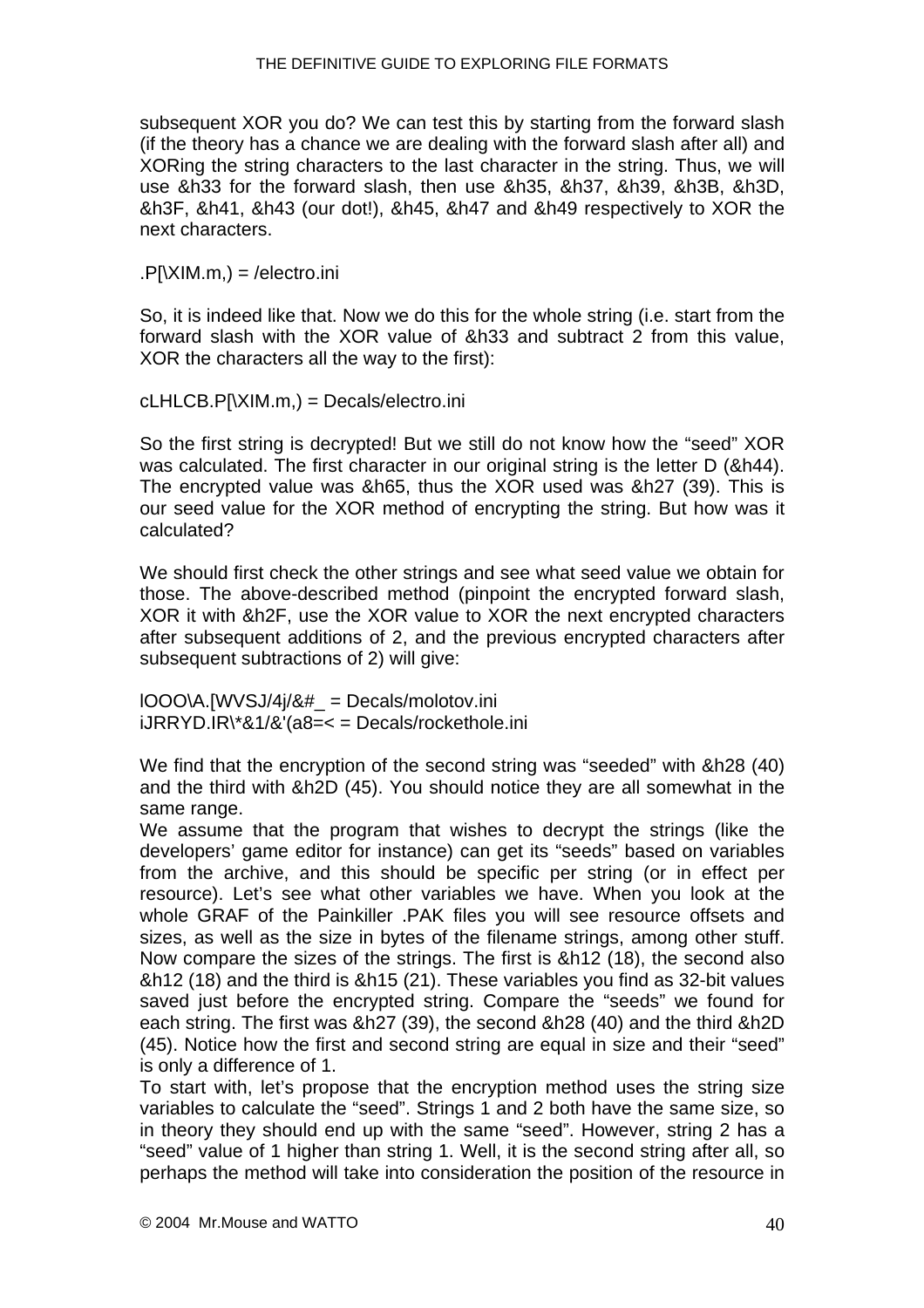subsequent XOR you do? We can test this by starting from the forward slash (if the theory has a chance we are dealing with the forward slash after all) and XORing the string characters to the last character in the string. Thus, we will use &h33 for the forward slash, then use &h35, &h37, &h39, &h3B, &h3D, &h3F, &h41, &h43 (our dot!), &h45, &h47 and &h49 respectively to XOR the next characters.

#### $.P[\exists M.m.) = / \text{electro.ini}$

So, it is indeed like that. Now we do this for the whole string (i.e. start from the forward slash with the XOR value of &h33 and subtract 2 from this value, XOR the characters all the way to the first):

cLHLCB.P[\XIM.m,) = Decals/electro.ini

So the first string is decrypted! But we still do not know how the "seed" XOR was calculated. The first character in our original string is the letter D (&h44). The encrypted value was &h65, thus the XOR used was &h27 (39). This is our seed value for the XOR method of encrypting the string. But how was it calculated?

We should first check the other strings and see what seed value we obtain for those. The above-described method (pinpoint the encrypted forward slash, XOR it with &h2F, use the XOR value to XOR the next encrypted characters after subsequent additions of 2, and the previous encrypted characters after subsequent subtractions of 2) will give:

 $IOOO\AA$ .[WVSJ/4 $i/8#$  = Decals/molotov.ini iJRRYD.IR\\*&1/&'(a8=< = Decals/rockethole.ini

We find that the encryption of the second string was "seeded" with &h28 (40) and the third with &h2D (45). You should notice they are all somewhat in the same range.

We assume that the program that wishes to decrypt the strings (like the developers' game editor for instance) can get its "seeds" based on variables from the archive, and this should be specific per string (or in effect per resource). Let's see what other variables we have. When you look at the whole GRAF of the Painkiller .PAK files you will see resource offsets and sizes, as well as the size in bytes of the filename strings, among other stuff. Now compare the sizes of the strings. The first is &h12 (18), the second also &h12 (18) and the third is &h15 (21). These variables you find as 32-bit values saved just before the encrypted string. Compare the "seeds" we found for each string. The first was &h27 (39), the second &h28 (40) and the third &h2D (45). Notice how the first and second string are equal in size and their "seed" is only a difference of 1.

To start with, let's propose that the encryption method uses the string size variables to calculate the "seed". Strings 1 and 2 both have the same size, so in theory they should end up with the same "seed". However, string 2 has a "seed" value of 1 higher than string 1. Well, it is the second string after all, so perhaps the method will take into consideration the position of the resource in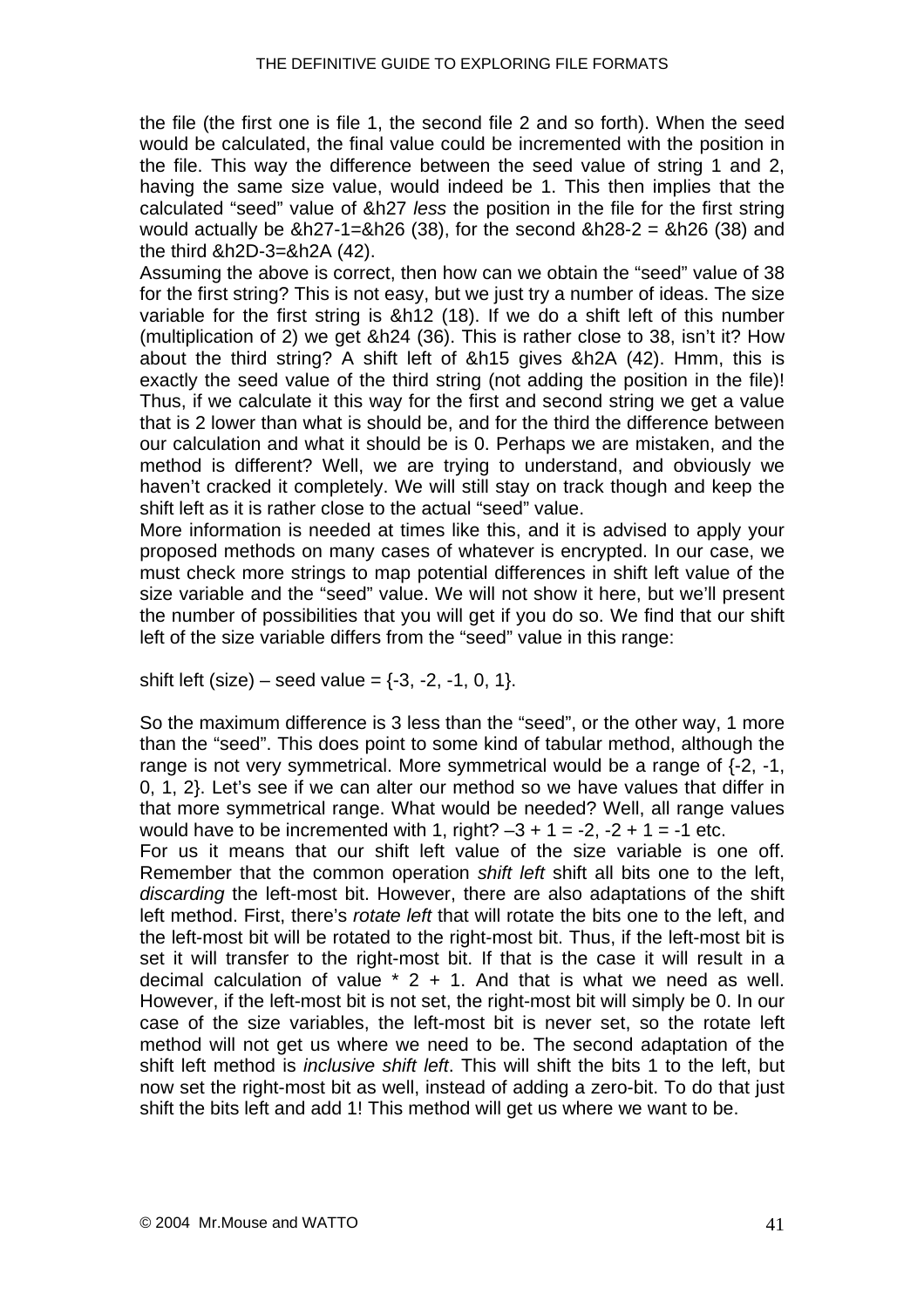the file (the first one is file 1, the second file 2 and so forth). When the seed would be calculated, the final value could be incremented with the position in the file. This way the difference between the seed value of string 1 and 2, having the same size value, would indeed be 1. This then implies that the calculated "seed" value of &h27 *less* the position in the file for the first string would actually be  $&h27-1=&h26$  (38), for the second  $&h28-2 =&h26$  (38) and the third &h2D-3=&h2A (42).

Assuming the above is correct, then how can we obtain the "seed" value of 38 for the first string? This is not easy, but we just try a number of ideas. The size variable for the first string is &h12 (18). If we do a [shift left](#page-34-0) of this number (multiplication of 2) we get &h24 (36). This is rather close to 38, isn't it? How about the third string? A shift left of &h15 gives &h2A (42). Hmm, this is exactly the seed value of the third string (not adding the position in the file)! Thus, if we calculate it this way for the first and second string we get a value that is 2 lower than what is should be, and for the third the difference between our calculation and what it should be is 0. Perhaps we are mistaken, and the method is different? Well, we are trying to understand, and obviously we haven't cracked it completely. We will still stay on track though and keep the shift left as it is rather close to the actual "seed" value.

More information is needed at times like this, and it is advised to apply your proposed methods on many cases of whatever is encrypted. In our case, we must check more strings to map potential differences in shift left value of the size variable and the "seed" value. We will not show it here, but we'll present the number of possibilities that you will get if you do so. We find that our shift left of the size variable differs from the "seed" value in this range:

shift left (size) – seed value =  $\{-3, -2, -1, 0, 1\}$ .

So the maximum difference is 3 less than the "seed", or the other way, 1 more than the "seed". This does point to some kind of tabular method, although the range is not very symmetrical. More symmetrical would be a range of {-2, -1, 0, 1, 2}. Let's see if we can alter our method so we have values that differ in that more symmetrical range. What would be needed? Well, all range values would have to be incremented with 1, right?  $-3 + 1 = -2$ ,  $-2 + 1 = -1$  etc.

For us it means that our shift left value of the size variable is one off. Remember that the common operation *shift left* shift all bits one to the left, *discarding* the left-most bit. However, there are also adaptations of the shift left method. First, there's *rotate left* that will rotate the bits one to the left, and the left-most bit will be rotated to the right-most bit. Thus, if the left-most bit is set it will transfer to the right-most bit. If that is the case it will result in a decimal calculation of value  $* 2 + 1$ . And that is what we need as well. However, if the left-most bit is not set, the right-most bit will simply be 0. In our case of the size variables, the left-most bit is never set, so the rotate left method will not get us where we need to be. The second adaptation of the shift left method is *inclusive shift left*. This will shift the bits 1 to the left, but now set the right-most bit as well, instead of adding a zero-bit. To do that just shift the bits left and add 1! This method will get us where we want to be.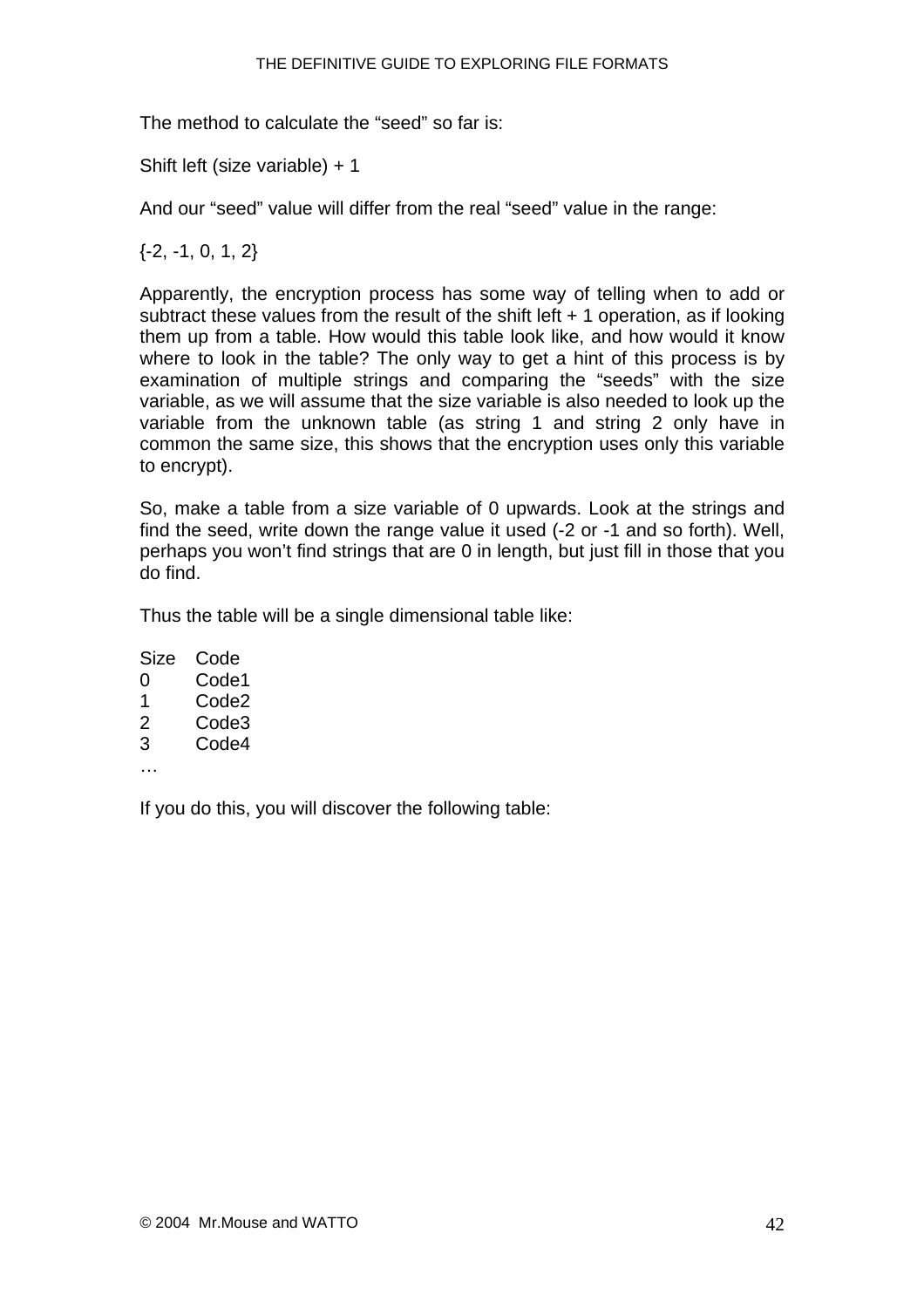The method to calculate the "seed" so far is:

Shift left (size variable) + 1

And our "seed" value will differ from the real "seed" value in the range:

{-2, -1, 0, 1, 2}

Apparently, the encryption process has some way of telling when to add or subtract these values from the result of the shift left + 1 operation, as if looking them up from a table. How would this table look like, and how would it know where to look in the table? The only way to get a hint of this process is by examination of multiple strings and comparing the "seeds" with the size variable, as we will assume that the size variable is also needed to look up the variable from the unknown table (as string 1 and string 2 only have in common the same size, this shows that the encryption uses only this variable to encrypt).

So, make a table from a size variable of 0 upwards. Look at the strings and find the seed, write down the range value it used (-2 or -1 and so forth). Well, perhaps you won't find strings that are 0 in length, but just fill in those that you do find.

Thus the table will be a single dimensional table like:

Size Code 0 Code1 1 Code2 2 Code3 3 Code4

…

If you do this, you will discover the following table: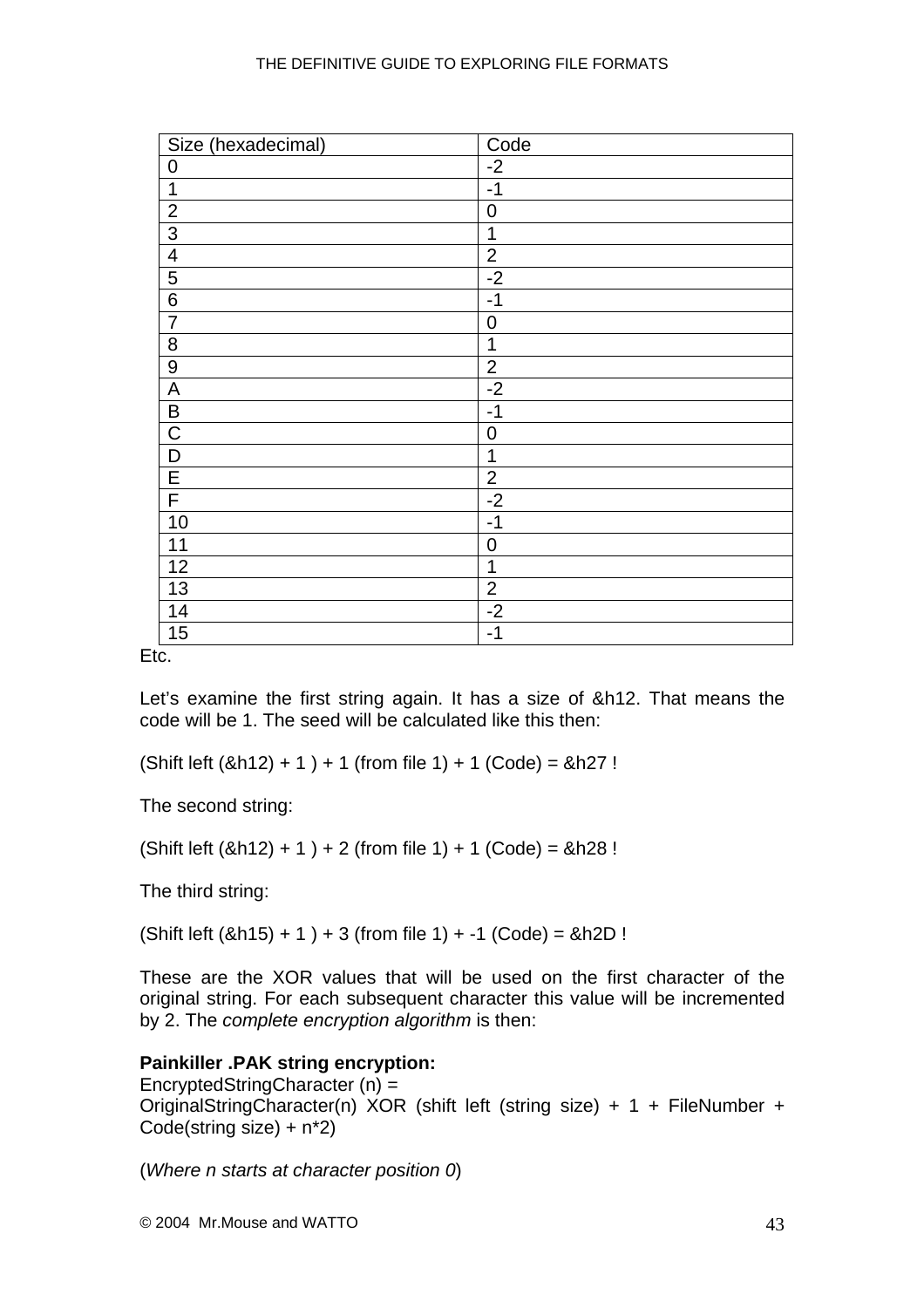| Size (hexadecimal) | Code           |
|--------------------|----------------|
| $\pmb{0}$          | $-2$           |
| $\mathbf{1}$       | $-1$           |
| $\overline{2}$     | $\mathbf 0$    |
| $\overline{3}$     | 1              |
| $\overline{4}$     | $\overline{2}$ |
| $\overline{5}$     | $-2$           |
| $\overline{6}$     | $-1$           |
| $\overline{7}$     | $\mathbf 0$    |
| $\overline{8}$     | 1              |
| $\overline{9}$     | $\overline{2}$ |
| $\overline{A}$     | $-2$           |
| $\sf B$            | $-1$           |
| $\overline{C}$     | $\overline{0}$ |
| $\overline{D}$     | 1              |
| $rac{E}{F}$        | $\overline{2}$ |
|                    | $-2$           |
| 10                 | $-1$           |
| 11                 | $\mathbf 0$    |
| 12                 | 1              |
| 13                 | $\overline{2}$ |
| 14                 | $-2$           |
| 15                 | $-1$           |

Etc.

Let's examine the first string again. It has a size of &h12. That means the code will be 1. The seed will be calculated like this then:

 $(Shif 1)$  eft  $(8h12) + 1$  + 1 (from file 1) + 1 (Code) =  $8h27$ !

The second string:

 $(Shif 1) + 1 + 2$  (from file 1) + 1 (Code) = &h28 !

The third string:

 $(Shif left (8h15) + 1) + 3 (from file 1) + -1 (Code) = 8h2D!$ 

These are the XOR values that will be used on the first character of the original string. For each subsequent character this value will be incremented by 2. The *complete encryption algorithm* is then:

#### **Painkiller .PAK string encryption:**

EncryptedStringCharacter (n) = OriginalStringCharacter(n) XOR (shift left (string size) + 1 + FileNumber + Code(string size) + n\*2)

(*Where n starts at character position 0*)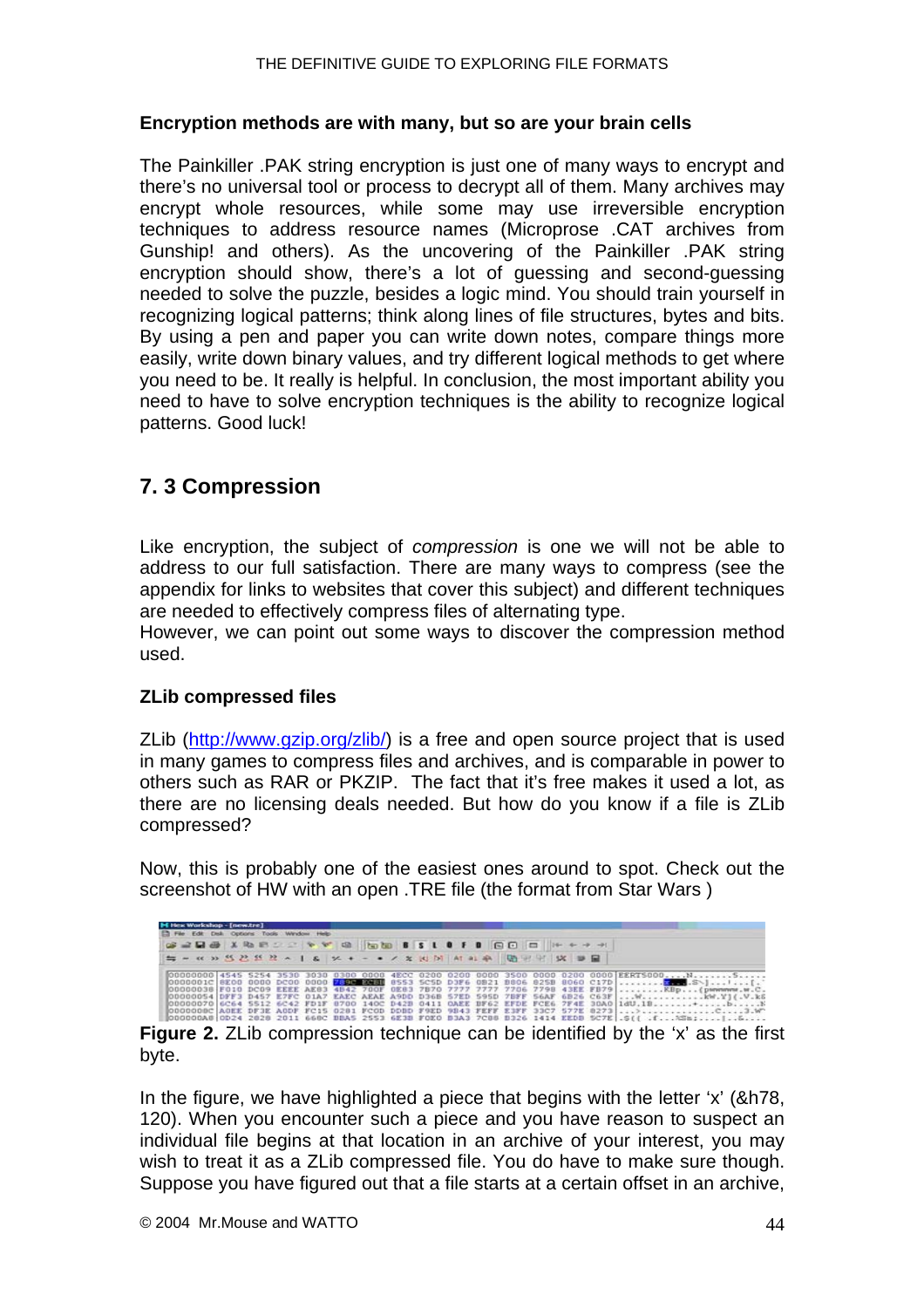#### <span id="page-43-0"></span>**Encryption methods are with many, but so are your brain cells**

The Painkiller .PAK string encryption is just one of many ways to encrypt and there's no universal tool or process to decrypt all of them. Many archives may encrypt whole resources, while some may use irreversible encryption techniques to address resource names (Microprose .CAT archives from Gunship! and others). As the uncovering of the Painkiller .PAK string encryption should show, there's a lot of guessing and second-guessing needed to solve the puzzle, besides a logic mind. You should train yourself in recognizing logical patterns; think along lines of file structures, bytes and bits. By using a pen and paper you can write down notes, compare things more easily, write down binary values, and try different logical methods to get where you need to be. It really is helpful. In conclusion, the most important ability you need to have to solve encryption techniques is the ability to recognize logical patterns. Good luck!

## **7. 3 Compression**

Like encryption, the subject of *compression* is one we will not be able to address to our full satisfaction. There are many ways to compress (see the appendix for links to websites that cover this subject) and different techniques are needed to effectively compress files of alternating type.

However, we can point out some ways to discover the compression method used.

#### **ZLib compressed files**

ZLib (<http://www.gzip.org/zlib/>) is a free and open source project that is used in many games to compress files and archives, and is comparable in power to others such as RAR or PKZIP. The fact that it's free makes it used a lot, as there are no licensing deals needed. But how do you know if a file is ZLib compressed?

Now, this is probably one of the easiest ones around to spot. Check out the screenshot of HW with an open .TRE file (the format from Star Wars )

| H Hex Workshop - [new.tre] |  |  |  | Et File Edit Disk Options Tools Window Help- |  |  |  |  |  |                                                                                                                                                                                                                                                                                                                                                                                                                                                                                                                                                                                    |
|----------------------------|--|--|--|----------------------------------------------|--|--|--|--|--|------------------------------------------------------------------------------------------------------------------------------------------------------------------------------------------------------------------------------------------------------------------------------------------------------------------------------------------------------------------------------------------------------------------------------------------------------------------------------------------------------------------------------------------------------------------------------------|
|                            |  |  |  |                                              |  |  |  |  |  |                                                                                                                                                                                                                                                                                                                                                                                                                                                                                                                                                                                    |
|                            |  |  |  |                                              |  |  |  |  |  |                                                                                                                                                                                                                                                                                                                                                                                                                                                                                                                                                                                    |
|                            |  |  |  |                                              |  |  |  |  |  | 00000000 4545 5254 3530 3030 0300 0000 4ECC 0200 0200 0000 3500 0000 0200 0000 EERTS000NS<br>00000036 F010 DC09 EEEE AE83 4842 700F 0E83 7870 7777 7777 7706 7798 43EE FB79  KBp (pwwww.w.C.<br>OOOOOOS4 DFF3 D457 E7FC DIA7 EAEC AEAE A9DD D36B 57ED 595D 7BFF 56AF 6B26 C63F  W KW.Y] (.V.kS<br>00000070 6C64 5512 6C42 FD1F 8700 140C D42B 0411 OAEE BF62 EFDE FCE6 7F4E 30A0 1dU.1B+b<br>00000008ClAGEE DF3E AODF FC15 0281 FCOD DDBD F9ED 9843 FEFF E3FF 33C7 577E 82731>C3.W<br>  000000A8 0D24 2828 2011 668C BBA5 2553 6E3B FOEO B3A3 7C88 B326 1414 EEDB 5C7E .S(( .f%Sm; |

**Figure 2.** ZLib compression technique can be identified by the 'x' as the first byte.

In the figure, we have highlighted a piece that begins with the letter 'x' (&h78, 120). When you encounter such a piece and you have reason to suspect an individual file begins at that location in an archive of your interest, you may wish to treat it as a ZLib compressed file. You do have to make sure though. Suppose you have figured out that a file starts at a certain offset in an archive,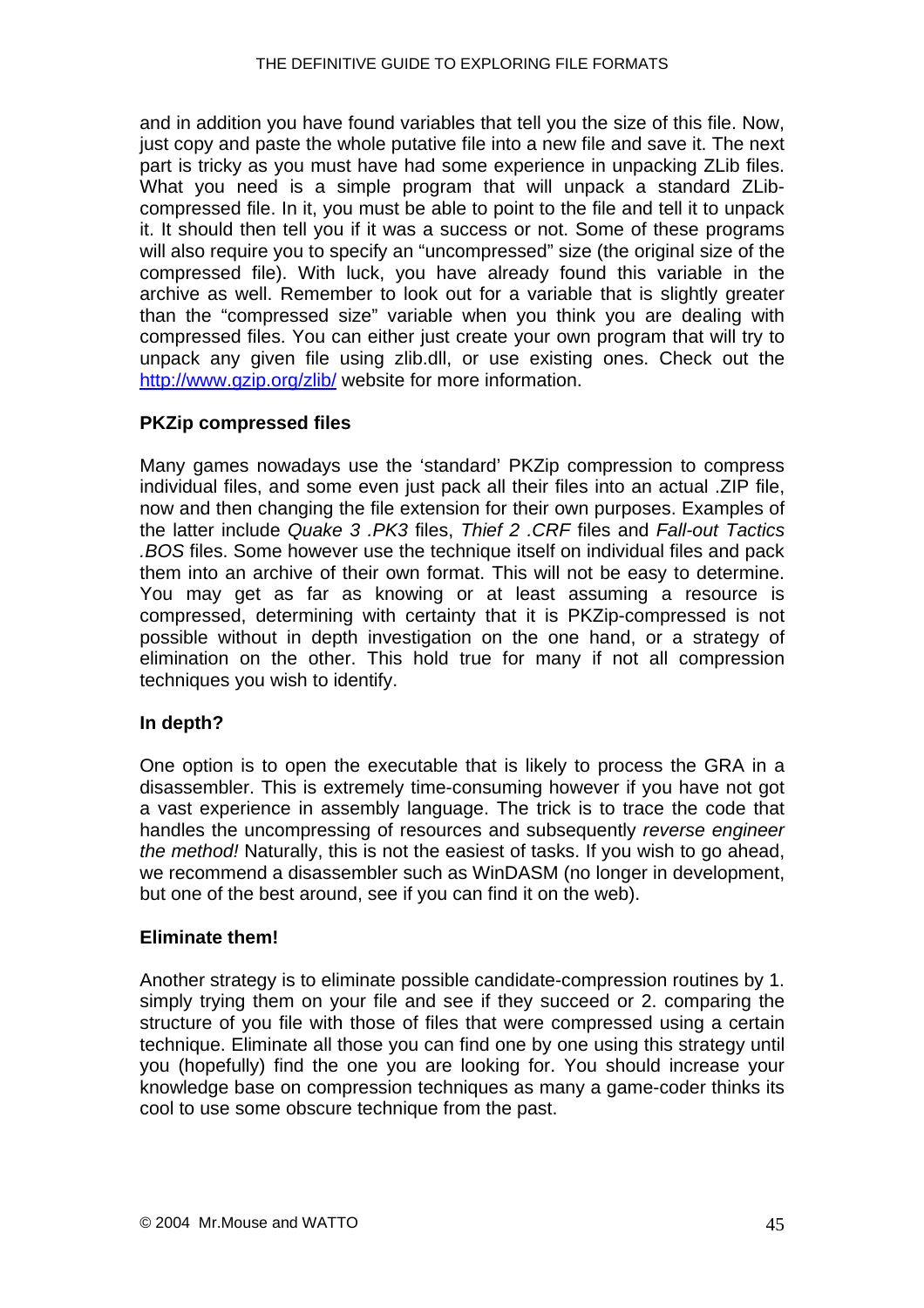and in addition you have found variables that tell you the size of this file. Now, just copy and paste the whole putative file into a new file and save it. The next part is tricky as you must have had some experience in unpacking ZLib files. What you need is a simple program that will unpack a standard ZLibcompressed file. In it, you must be able to point to the file and tell it to unpack it. It should then tell you if it was a success or not. Some of these programs will also require you to specify an "uncompressed" size (the original size of the compressed file). With luck, you have already found this variable in the archive as well. Remember to look out for a variable that is slightly greater than the "compressed size" variable when you think you are dealing with compressed files. You can either just create your own program that will try to unpack any given file using zlib.dll, or use existing ones. Check out the <http://www.gzip.org/zlib/>website for more information.

#### **PKZip compressed files**

Many games nowadays use the 'standard' PKZip compression to compress individual files, and some even just pack all their files into an actual .ZIP file, now and then changing the file extension for their own purposes. Examples of the latter include *Quake 3 .PK3* files, *Thief 2 .CRF* files and *Fall-out Tactics .BOS* files. Some however use the technique itself on individual files and pack them into an archive of their own format. This will not be easy to determine. You may get as far as knowing or at least assuming a resource is compressed, determining with certainty that it is PKZip-compressed is not possible without in depth investigation on the one hand, or a strategy of elimination on the other. This hold true for many if not all compression techniques you wish to identify.

#### **In depth?**

One option is to open the executable that is likely to process the GRA in a disassembler. This is extremely time-consuming however if you have not got a vast experience in assembly language. The trick is to trace the code that handles the uncompressing of resources and subsequently *reverse engineer the method!* Naturally, this is not the easiest of tasks. If you wish to go ahead, we recommend a disassembler such as WinDASM (no longer in development, but one of the best around, see if you can find it on the web).

#### **Eliminate them!**

Another strategy is to eliminate possible candidate-compression routines by 1. simply trying them on your file and see if they succeed or 2. comparing the structure of you file with those of files that were compressed using a certain technique. Eliminate all those you can find one by one using this strategy until you (hopefully) find the one you are looking for. You should increase your knowledge base on compression techniques as many a game-coder thinks its cool to use some obscure technique from the past.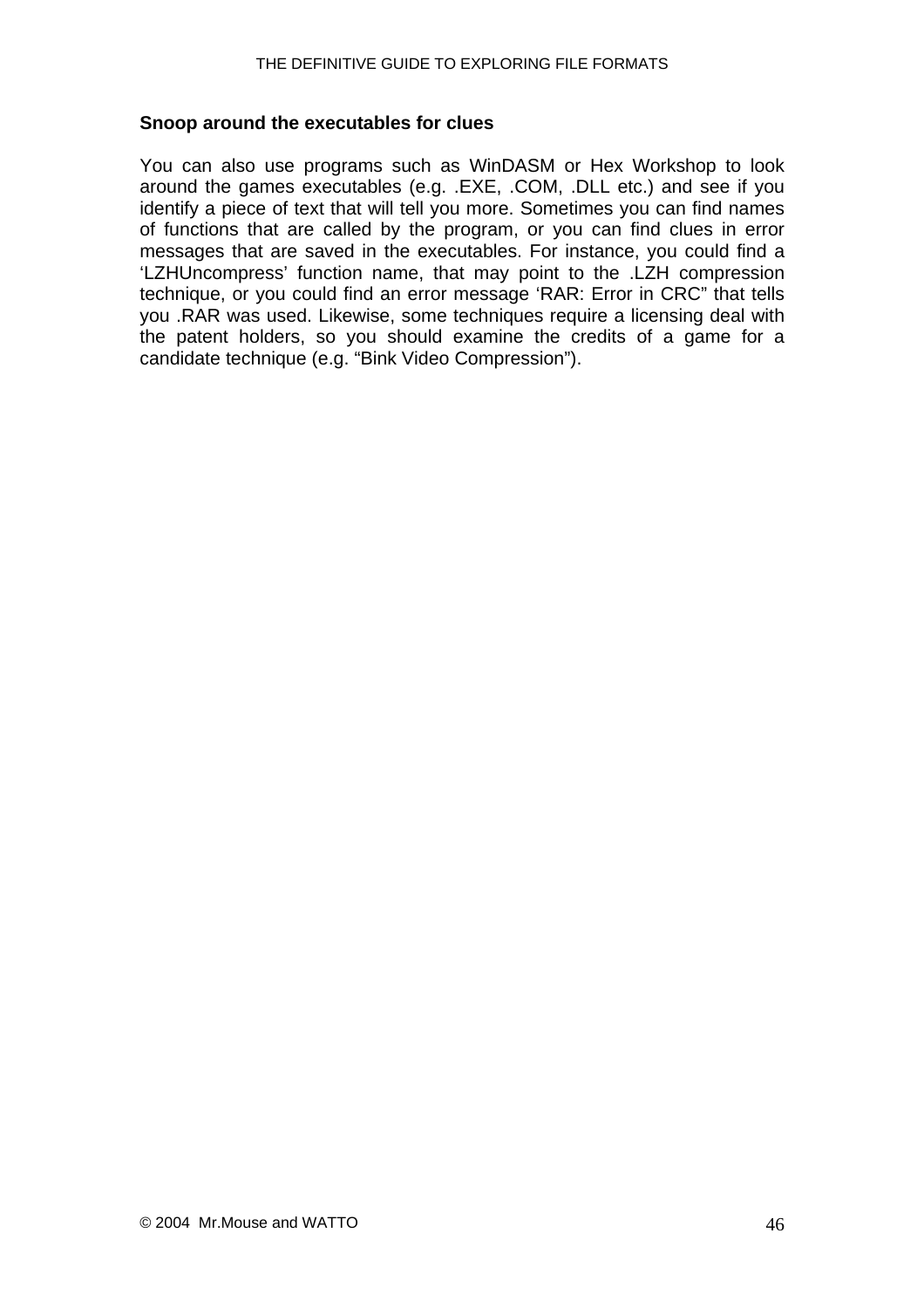#### **Snoop around the executables for clues**

You can also use programs such as WinDASM or Hex Workshop to look around the games executables (e.g. .EXE, .COM, .DLL etc.) and see if you identify a piece of text that will tell you more. Sometimes you can find names of functions that are called by the program, or you can find clues in error messages that are saved in the executables. For instance, you could find a 'LZHUncompress' function name, that may point to the .LZH compression technique, or you could find an error message 'RAR: Error in CRC" that tells you .RAR was used. Likewise, some techniques require a licensing deal with the patent holders, so you should examine the credits of a game for a candidate technique (e.g. "Bink Video Compression").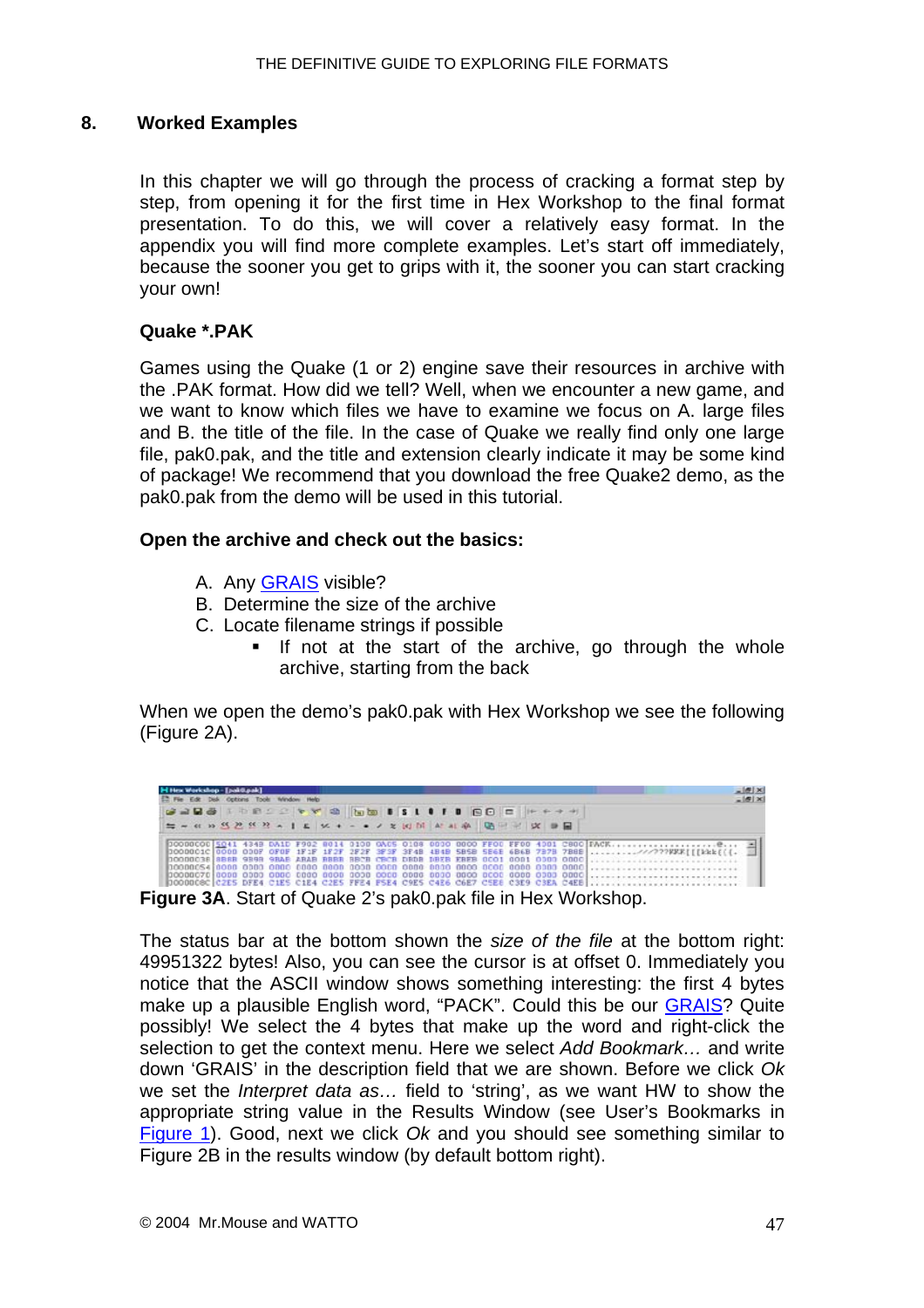#### <span id="page-46-0"></span>**8. Worked Examples**

In this chapter we will go through the process of cracking a format step by step, from opening it for the first time in Hex Workshop to the final format presentation. To do this, we will cover a relatively easy format. In the appendix you will find more complete examples. Let's start off immediately, because the sooner you get to grips with it, the sooner you can start cracking your own!

#### **Quake \*.PAK**

Games using the Quake (1 or 2) engine save their resources in archive with the .PAK format. How did we tell? Well, when we encounter a new game, and we want to know which files we have to examine we focus on A. large files and B. the title of the file. In the case of Quake we really find only one large file, pak0.pak, and the title and extension clearly indicate it may be some kind of package! We recommend that you download the free Quake2 demo, as the pak0.pak from the demo will be used in this tutorial.

#### **Open the archive and check out the basics:**

- A. Any [GRAIS](#page-20-0) visible?
- B. Determine the size of the archive
- C. Locate filename strings if possible
	- If not at the start of the archive, go through the whole archive, starting from the back

When we open the demo's pak0.pak with Hex Workshop we see the following (Figure 2A).



The status bar at the bottom shown the *size of the file* at the bottom right: 49951322 bytes! Also, you can see the cursor is at offset 0. Immediately you notice that the ASCII window shows something interesting: the first 4 bytes make up a plausible English word, "PACK". Could this be our [GRAIS?](#page-20-0) Quite possibly! We select the 4 bytes that make up the word and right-click the selection to get the context menu. Here we select *Add Bookmark…* and write down 'GRAIS' in the description field that we are shown. Before we click *Ok* we set the *Interpret data as…* field to 'string', as we want HW to show the appropriate string value in the Results Window (see User's Bookmarks in [Figure 1\)](#page-0-0). Good, next we click *Ok* and you should see something similar to Figure 2B in the results window (by default bottom right).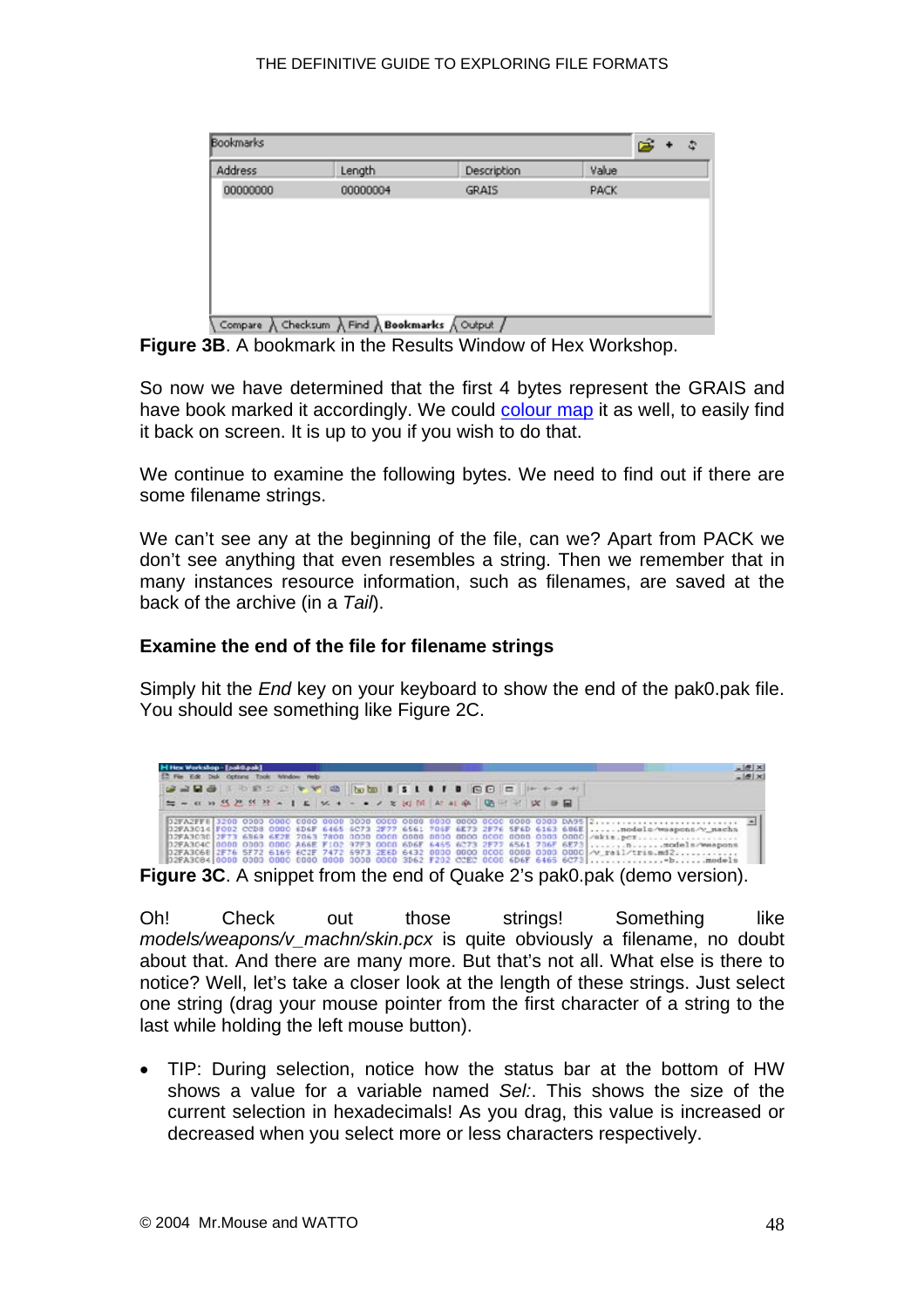| Address  | Length   | Description  | Value |  |
|----------|----------|--------------|-------|--|
| 00000000 | 00000004 | <b>GRAIS</b> | PACK  |  |
|          |          |              |       |  |
|          |          |              |       |  |
|          |          |              |       |  |
|          |          |              |       |  |
|          |          |              |       |  |
|          |          |              |       |  |
|          |          |              |       |  |

**Figure 3B**. A bookmark in the Results Window of Hex Workshop.

So now we have determined that the first 4 bytes represent the GRAIS and have book marked it accordingly. We could [colour map](#page-7-0) it as well, to easily find it back on screen. It is up to you if you wish to do that.

We continue to examine the following bytes. We need to find out if there are some filename strings.

We can't see any at the beginning of the file, can we? Apart from PACK we don't see anything that even resembles a string. Then we remember that in many instances resource information, such as filenames, are saved at the back of the archive (in a *Tail*).

#### **Examine the end of the file for filename strings**

Simply hit the *End* key on your keyboard to show the end of the pak0.pak file. You should see something like Figure 2C.

| E. Fie Edit Disk Options Tools Window Help<br>220313 100 2 0 0 3 b b 1 3 1 0 1 0 0 0 0 0 0 0 0 0 1 | H Hex Workshop - [pak@pak] |  |  |  |  |  |  | $\frac{  \mathbf{F}  \mathbf{x}}{  \mathbf{F}  \mathbf{x}}$                                           |
|----------------------------------------------------------------------------------------------------|----------------------------|--|--|--|--|--|--|-------------------------------------------------------------------------------------------------------|
|                                                                                                    |                            |  |  |  |  |  |  |                                                                                                       |
|                                                                                                    |                            |  |  |  |  |  |  |                                                                                                       |
|                                                                                                    |                            |  |  |  |  |  |  | 02FA3014 F002 CCD8 0000 6D6F 6465 6C73 2F77 6561 706F 6E73 2F76 5F6D 6163 686E nodels/wsapons/v_nachs |
|                                                                                                    |                            |  |  |  |  |  |  | 02FA3068 2F76 5F72 6169 6C2F 7472 6973 2E6D 6432 0000 0000 0000 0000 0000 0000 /v reil/tris.md2       |

Oh! Check out those strings! Something like *models/weapons/v\_machn/skin.pcx* is quite obviously a filename, no doubt about that. And there are many more. But that's not all. What else is there to notice? Well, let's take a closer look at the length of these strings. Just select one string (drag your mouse pointer from the first character of a string to the last while holding the left mouse button).

• TIP: During selection, notice how the status bar at the bottom of HW shows a value for a variable named *Sel:*. This shows the size of the current selection in hexadecimals! As you drag, this value is increased or decreased when you select more or less characters respectively.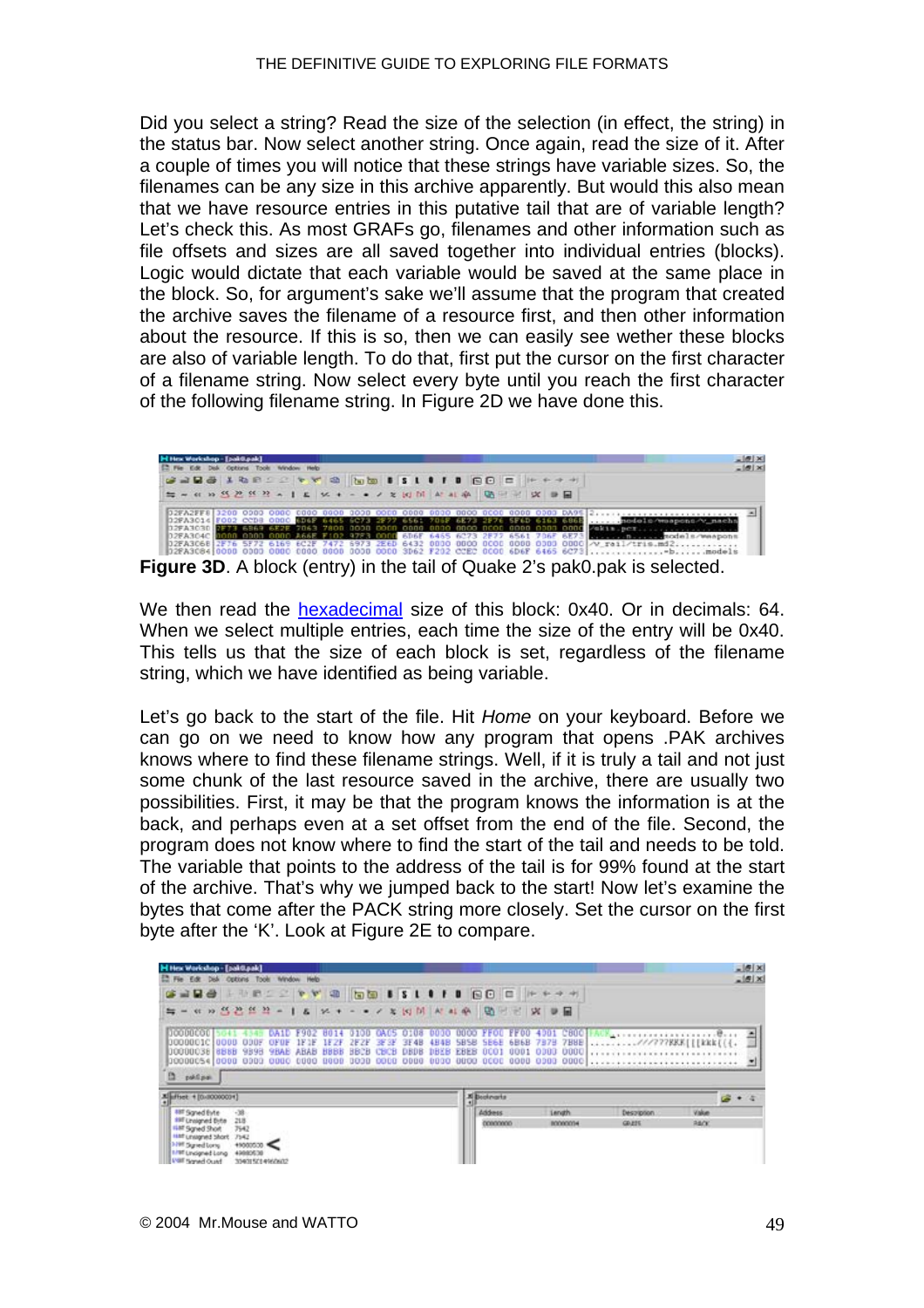Did you select a string? Read the size of the selection (in effect, the string) in the status bar. Now select another string. Once again, read the size of it. After a couple of times you will notice that these strings have variable sizes. So, the filenames can be any size in this archive apparently. But would this also mean that we have resource entries in this putative tail that are of variable length? Let's check this. As most GRAFs go, filenames and other information such as file offsets and sizes are all saved together into individual entries (blocks). Logic would dictate that each variable would be saved at the same place in the block. So, for argument's sake we'll assume that the program that created the archive saves the filename of a resource first, and then other information about the resource. If this is so, then we can easily see wether these blocks are also of variable length. To do that, first put the cursor on the first character of a filename string. Now select every byte until you reach the first character of the following filename string. In Figure 2D we have done this.



We then read the [hexadecimal](#page-16-0) size of this block: 0x40. Or in decimals: 64. When we select multiple entries, each time the size of the entry will be 0x40. This tells us that the size of each block is set, regardless of the filename string, which we have identified as being variable.

Let's go back to the start of the file. Hit *Home* on your keyboard. Before we can go on we need to know how any program that opens .PAK archives knows where to find these filename strings. Well, if it is truly a tail and not just some chunk of the last resource saved in the archive, there are usually two possibilities. First, it may be that the program knows the information is at the back, and perhaps even at a set offset from the end of the file. Second, the program does not know where to find the start of the tail and needs to be told. The variable that points to the address of the tail is for 99% found at the start of the archive. That's why we jumped back to the start! Now let's examine the bytes that come after the PACK string more closely. Set the cursor on the first byte after the 'K'. Look at Figure 2E to compare.

| H Hex Workshop - [pak0.pak]                                                                                                                                                                                                                                 |                                                              |                                        | $=$ $ g $ $\times$ |
|-------------------------------------------------------------------------------------------------------------------------------------------------------------------------------------------------------------------------------------------------------------|--------------------------------------------------------------|----------------------------------------|--------------------|
| E. Fie Edit Disk Options Took Window Help                                                                                                                                                                                                                   |                                                              |                                        | $-151x$            |
| <b>GARA ANDERWA GO ISLIID GO E HHAM</b>                                                                                                                                                                                                                     |                                                              |                                        |                    |
|                                                                                                                                                                                                                                                             |                                                              |                                        |                    |
| 100000001<br>0100 GACS 0108<br>0000<br>DA1D F982<br>8014<br>3008801C 0088<br>4日4日<br><b>ZEZF BESE BE4B</b><br><b>ODDF</b><br><b>IFAF IFZF</b><br>OFDF<br>10000038 8888<br>DBEB<br>9898<br>BBCB<br>CBCB<br><b>SHAB</b><br><b>ABAB</b><br>DRDB<br><b>HBBB</b> | 5858 5E6E 6B6B 7878 7B8E ///777888[[[kkk[[{.<br>EBEB<br>0001 |                                        |                    |
| 0000 0000 0000<br>0000<br>00000054 0000 0000 0000 0000 0000<br>D.<br>publishes.                                                                                                                                                                             |                                                              |                                        |                    |
| Eleftest + [0.00000001]                                                                                                                                                                                                                                     | <b>X</b> Bestmarts                                           |                                        |                    |
| and Baned Evile<br>$-38$<br>197 Linnigned Byte<br>218<br>7542<br>Haff Sgred Shot                                                                                                                                                                            | <b>Length</b><br>Address<br>00000000<br>80000094             | Value<br>Despription<br>RADE<br>GR/ESS |                    |
| HAR Unsagned Short 7542<br><b>MAR Signed Long</b><br>$+5000500$ .<br>49080530<br>1/97 Undgred Long<br><b>USE Served Ocald</b><br>3343152149600632                                                                                                           |                                                              |                                        |                    |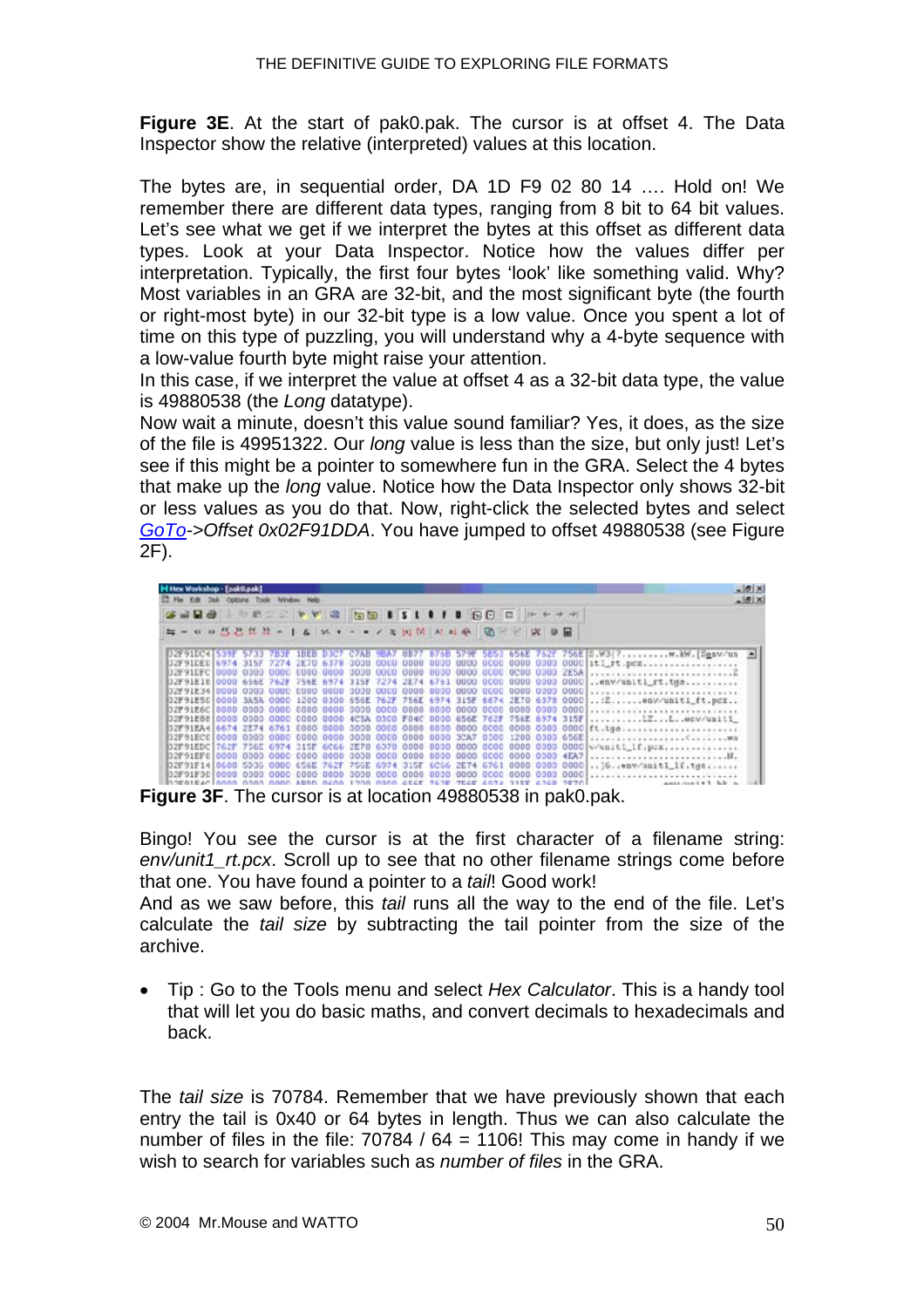**Figure 3E**. At the start of pak0.pak. The cursor is at offset 4. The Data Inspector show the relative (interpreted) values at this location.

The bytes are, in sequential order, DA 1D F9 02 80 14 …. Hold on! We remember there are different data types, ranging from 8 bit to 64 bit values. Let's see what we get if we interpret the bytes at this offset as different data types. Look at your Data Inspector. Notice how the values differ per interpretation. Typically, the first four bytes 'look' like something valid. Why? Most variables in an GRA are 32-bit, and the most significant byte (the fourth or right-most byte) in our 32-bit type is a low value. Once you spent a lot of time on this type of puzzling, you will understand why a 4-byte sequence with a low-value fourth byte might raise your attention.

In this case, if we interpret the value at offset 4 as a 32-bit data type, the value is 49880538 (the *Long* datatype).

Now wait a minute, doesn't this value sound familiar? Yes, it does, as the size of the file is 49951322. Our *long* value is less than the size, but only just! Let's see if this might be a pointer to somewhere fun in the GRA. Select the 4 bytes that make up the *long* value. Notice how the Data Inspector only shows 32-bit or less values as you do that. Now, right-click the selected bytes and select *[GoTo](#page-7-0)->Offset 0x02F91DDA*. You have jumped to offset 49880538 (see Figure 2F).

|  |  | H Hex Workshop - [pak@aak] |  | 12 Fie Edit Disk Options Tools Window Help |  |  |  |  |                                                                                 |                                                                                                      | $=$ $6$ $\times$<br>$-15$ |
|--|--|----------------------------|--|--------------------------------------------|--|--|--|--|---------------------------------------------------------------------------------|------------------------------------------------------------------------------------------------------|---------------------------|
|  |  |                            |  |                                            |  |  |  |  | G 2 R & L D B 2 2 Y Y 8 5 5 6 5 5 6 6 6 6 6 7 7 7 7                             |                                                                                                      |                           |
|  |  |                            |  |                                            |  |  |  |  | ■● W H M B W H W H W Y Y Y Y W W H W W W W B B                                  |                                                                                                      |                           |
|  |  |                            |  |                                            |  |  |  |  |                                                                                 | D2F91DC41539F 5733 783F 1BEB D3C7 C7AB 9BA7 8B77 876B 579F 5E53 656E 762F 756E S.W3(?w.kW.[Senv/un = |                           |
|  |  |                            |  |                                            |  |  |  |  |                                                                                 |                                                                                                      |                           |
|  |  |                            |  |                                            |  |  |  |  |                                                                                 |                                                                                                      |                           |
|  |  |                            |  |                                            |  |  |  |  |                                                                                 | D2F91E18 0000 656E 762F 756E 6974 315F 7274 2E74 6751 0000 0000 0000 0000 0000 env/uniti_rt.tgs      |                           |
|  |  |                            |  |                                            |  |  |  |  |                                                                                 |                                                                                                      |                           |
|  |  |                            |  |                                            |  |  |  |  |                                                                                 | 02F91E50 0000 3A5A 0000 1200 0300 656E 762F 756E 6974 315F 6674 2E70 6378 0000  Z env/uniti_ft.pcr   |                           |
|  |  |                            |  |                                            |  |  |  |  |                                                                                 |                                                                                                      |                           |
|  |  |                            |  |                                            |  |  |  |  |                                                                                 | 02F91E88 0000 0000 0000 0000 0000 4CSA 0300 F04C 0000 656E 762F 756E 6974 315F LZLenv/unit1          |                           |
|  |  |                            |  |                                            |  |  |  |  |                                                                                 |                                                                                                      |                           |
|  |  |                            |  |                                            |  |  |  |  |                                                                                 |                                                                                                      |                           |
|  |  |                            |  |                                            |  |  |  |  |                                                                                 |                                                                                                      |                           |
|  |  |                            |  |                                            |  |  |  |  |                                                                                 |                                                                                                      |                           |
|  |  |                            |  |                                            |  |  |  |  |                                                                                 | 02F91F14 0600 5006 0000 656E 762F 756E 6974 315F 6C66 2E74 6761 0000 0000 0000] [6. enw/anit1_lf.tgq |                           |
|  |  |                            |  |                                            |  |  |  |  |                                                                                 |                                                                                                      |                           |
|  |  |                            |  |                                            |  |  |  |  | integrationan anna anna sona acha 1200 anna cear 7630 2040 anns 1100 6240 2020) | wants depart # 1 - lab - a                                                                           |                           |

**Figure 3F**. The cursor is at location 49880538 in pak0.pak.

Bingo! You see the cursor is at the first character of a filename string: *env/unit1\_rt.pcx*. Scroll up to see that no other filename strings come before that one. You have found a pointer to a *tail*! Good work!

And as we saw before, this *tail* runs all the way to the end of the file. Let's calculate the *tail size* by subtracting the tail pointer from the size of the archive.

• Tip : Go to the Tools menu and select *Hex Calculator*. This is a handy tool that will let you do basic maths, and convert decimals to hexadecimals and back.

The *tail size* is 70784. Remember that we have previously shown that each entry the tail is 0x40 or 64 bytes in length. Thus we can also calculate the number of files in the file:  $70784 / 64 = 1106!$  This may come in handy if we wish to search for variables such as *number of files* in the GRA.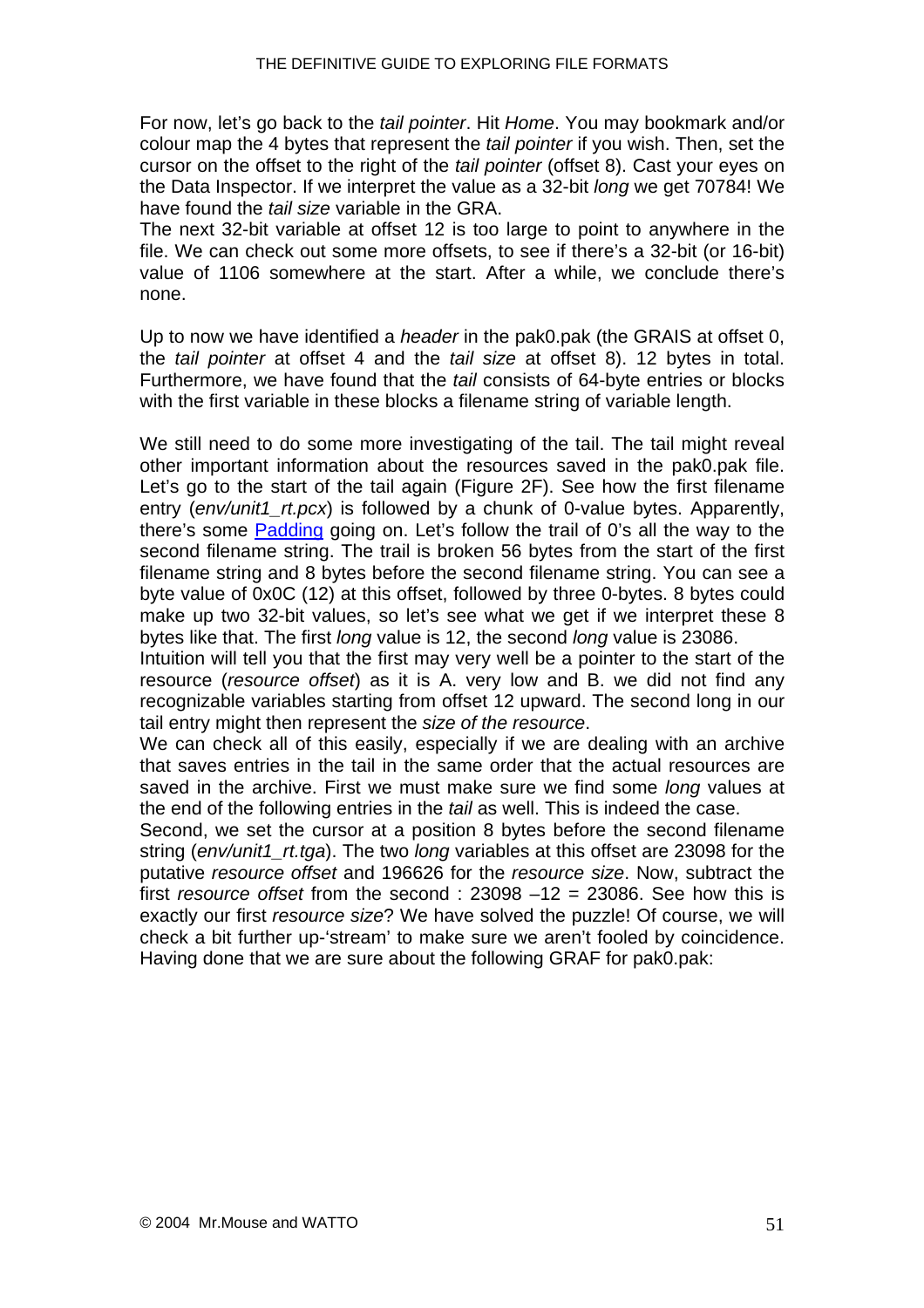For now, let's go back to the *tail pointer*. Hit *Home*. You may bookmark and/or colour map the 4 bytes that represent the *tail pointer* if you wish. Then, set the cursor on the offset to the right of the *tail pointer* (offset 8). Cast your eyes on the Data Inspector. If we interpret the value as a 32-bit *long* we get 70784! We have found the *tail size* variable in the GRA.

The next 32-bit variable at offset 12 is too large to point to anywhere in the file. We can check out some more offsets, to see if there's a 32-bit (or 16-bit) value of 1106 somewhere at the start. After a while, we conclude there's none.

Up to now we have identified a *header* in the pak0.pak (the GRAIS at offset 0, the *tail pointer* at offset 4 and the *tail size* at offset 8). 12 bytes in total. Furthermore, we have found that the *tail* consists of 64-byte entries or blocks with the first variable in these blocks a filename string of variable length.

We still need to do some more investigating of the tail. The tail might reveal other important information about the resources saved in the pak0.pak file. Let's go to the start of the tail again (Figure 2F). See how the first filename entry (*env/unit1\_rt.pcx*) is followed by a chunk of 0-value bytes. Apparently, there's some [Padding](#page-30-0) going on. Let's follow the trail of 0's all the way to the second filename string. The trail is broken 56 bytes from the start of the first filename string and 8 bytes before the second filename string. You can see a byte value of 0x0C (12) at this offset, followed by three 0-bytes. 8 bytes could make up two 32-bit values, so let's see what we get if we interpret these 8 bytes like that. The first *long* value is 12, the second *long* value is 23086.

Intuition will tell you that the first may very well be a pointer to the start of the resource (*resource offset*) as it is A. very low and B. we did not find any recognizable variables starting from offset 12 upward. The second long in our tail entry might then represent the *size of the resource*.

We can check all of this easily, especially if we are dealing with an archive that saves entries in the tail in the same order that the actual resources are saved in the archive. First we must make sure we find some *long* values at the end of the following entries in the *tail* as well. This is indeed the case.

Second, we set the cursor at a position 8 bytes before the second filename string (*env/unit1\_rt.tga*). The two *long* variables at this offset are 23098 for the putative *resource offset* and 196626 for the *resource size*. Now, subtract the first *resource offset* from the second : 23098 –12 = 23086. See how this is exactly our first *resource size*? We have solved the puzzle! Of course, we will check a bit further up-'stream' to make sure we aren't fooled by coincidence. Having done that we are sure about the following GRAF for pak0.pak: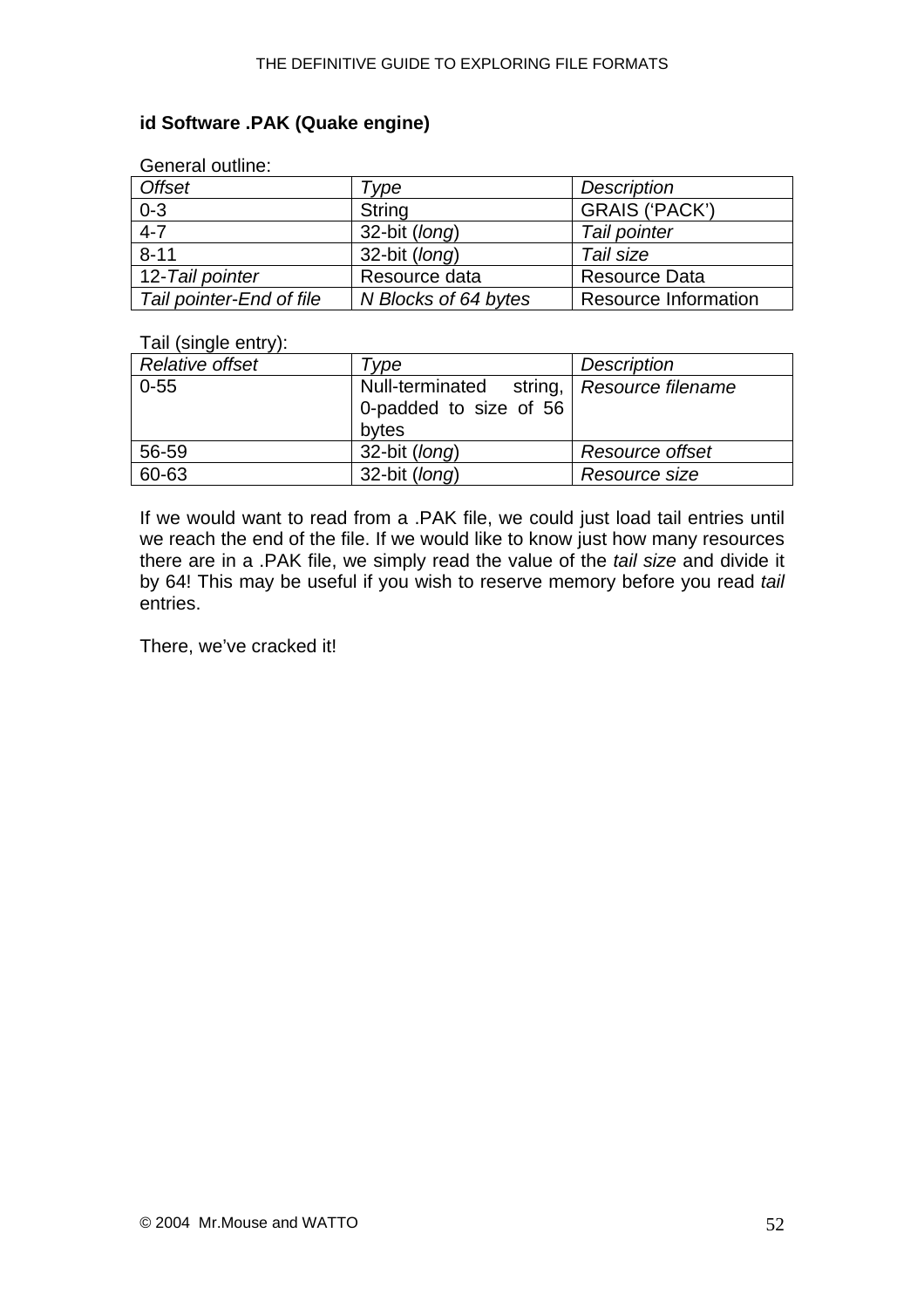#### **id Software .PAK (Quake engine)**

| OCHCIAI UUUILE.          |                      |                             |
|--------------------------|----------------------|-----------------------------|
| <b>Offset</b>            | Tvpe                 | <b>Description</b>          |
| $0 - 3$                  | String               | <b>GRAIS ('PACK')</b>       |
| $4 - 7$                  | 32-bit (long)        | Tail pointer                |
| $8 - 11$                 | 32-bit (long)        | Tail size                   |
| 12-Tail pointer          | Resource data        | <b>Resource Data</b>        |
| Tail pointer-End of file | N Blocks of 64 bytes | <b>Resource Information</b> |

## General outline:

#### Tail (single entry):

| Relative offset | Type                                                                         | Description     |
|-----------------|------------------------------------------------------------------------------|-----------------|
| $0 - 55$        | Null-terminated string, Resource filename<br>0-padded to size of 56<br>bytes |                 |
| 56-59           | 32-bit (long)                                                                | Resource offset |
| 60-63           | 32-bit (long)                                                                | Resource size   |

If we would want to read from a .PAK file, we could just load tail entries until we reach the end of the file. If we would like to know just how many resources there are in a .PAK file, we simply read the value of the *tail size* and divide it by 64! This may be useful if you wish to reserve memory before you read *tail*  entries.

There, we've cracked it!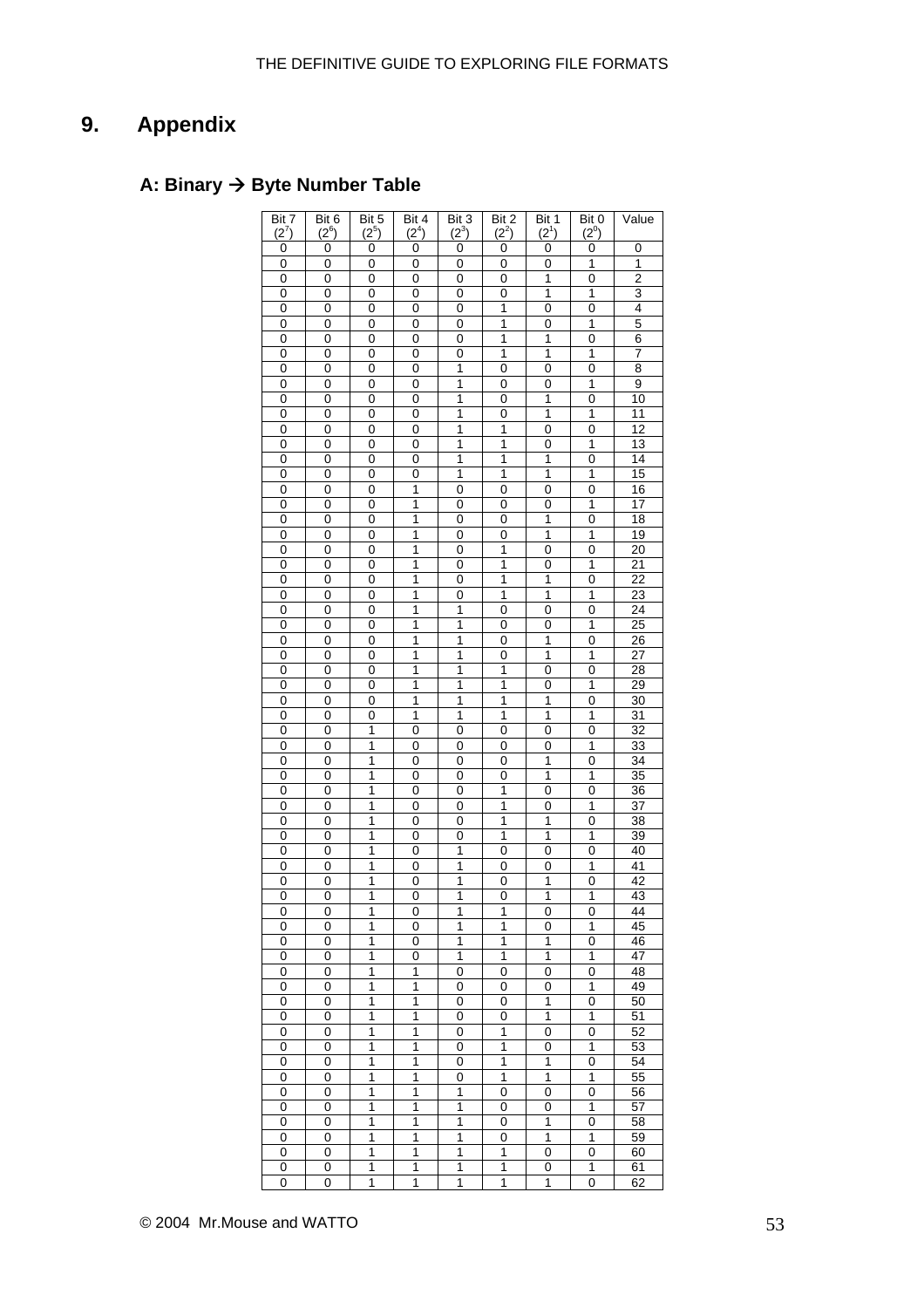# <span id="page-52-0"></span>**9. Appendix**

## **A: Binary → Byte Number Table**

| Bit $\overline{7}$ | Bit 6          | Bit 5          | Bit 4          | Bit 3          | Bit 2          | Bit 1          | Bit 0          | Value           |
|--------------------|----------------|----------------|----------------|----------------|----------------|----------------|----------------|-----------------|
| (2')               | $(2^6)$        | $(2^5)$        | $(2^4)$        | $(2^3)$        | $(2^2)$        | $(2^1)$        | $(2^0)$        |                 |
| 0                  | 0              | 0              | 0              | 0              | 0              | 0              | 0              |                 |
|                    |                |                |                |                |                |                |                | 0               |
| 0                  | 0              | 0              | 0              | 0              | 0              | 0              | 1              | 1               |
| 0                  | 0              | 0              | 0              | 0              | 0              | 1              | $\mathbf 0$    | $\overline{2}$  |
| 0                  | 0              | 0              | 0              | 0              | 0              | 1              | 1              | 3               |
| 0                  | 0              | 0              | 0              | 0              | 1              | 0              | 0              | 4               |
| 0                  | $\overline{0}$ | 0              | 0              | 0              | $\overline{1}$ | 0              | $\overline{1}$ | 5               |
| 0                  | 0              | 0              | 0              | 0              | 1              | 1              | $\mathbf 0$    | 6               |
| 0                  | 0              | 0              | 0              | 0              | $\overline{1}$ | $\overline{1}$ | 1              | $\overline{7}$  |
| 0                  | 0              | 0              | 0              | $\mathbf{1}$   | 0              | 0              | 0              | 8               |
| 0                  | 0              | 0              | 0              | 1              | 0              | 0              | 1              | 9               |
|                    |                |                |                |                |                |                |                |                 |
| 0                  | 0              | 0              | 0              | $\mathbf{1}$   | 0              | 1              | 0              | 10              |
| 0                  | 0              | 0              | 0              | 1              | 0              | 1              | 1              | 11              |
| 0                  | 0              | 0              | 0              | 1              | 1              | 0              | 0              | $\overline{12}$ |
| 0                  | 0              | 0              | 0              | $\mathbf{1}$   | 1              | 0              | 1              | 13              |
| 0                  | 0              | 0              | 0              | 1              | 1              | 1              | 0              | 14              |
| 0                  | 0              | 0              | 0              | $\mathbf{1}$   | 1              | 1              | 1              | 15              |
| 0                  | 0              | 0              | 1              | 0              | 0              | 0              | 0              | 16              |
| 0                  | 0              | 0              | 1              | 0              | 0              | 0              | 1              | 17              |
| 0                  | 0              | 0              | 1              | 0              | 0              | 1              | $\mathbf 0$    | 18              |
|                    |                |                |                |                |                |                |                |                 |
| 0                  | 0              | 0              | 1              | 0              | 0              | 1              | 1              | 19              |
| 0                  | 0              | 0              | 1              | 0              | $\overline{1}$ | 0              | $\mathbf 0$    | $\overline{20}$ |
| 0                  | 0              | 0              | 1              | 0              | 1              | 0              | 1              | $\overline{21}$ |
| 0                  | 0              | 0              | $\overline{1}$ | 0              | $\overline{1}$ | $\overline{1}$ | $\mathbf 0$    | $\overline{22}$ |
| 0                  | $\overline{0}$ | $\overline{0}$ | $\overline{1}$ | $\overline{0}$ | $\overline{1}$ | $\overline{1}$ | $\overline{1}$ | $\overline{23}$ |
| 0                  | 0              | 0              | 1              | $\mathbf{1}$   | 0              | 0              | 0              | 24              |
| 0                  | 0              | 0              | 1              | $\mathbf{1}$   | 0              | 0              | 1              | $\overline{25}$ |
| 0                  | 0              | 0              | 1              | $\mathbf{1}$   | 0              | 1              | 0              | 26              |
|                    |                |                |                |                |                |                |                |                 |
| 0                  | 0              | 0              | 1              | 1              | 0              | 1              | 1              | 27              |
| 0                  | 0              | 0              | 1              | $\mathbf{1}$   | 1              | 0              | 0              | 28              |
| 0                  | 0              | 0              | 1              | 1              | 1              | 0              | 1              | $\overline{29}$ |
| 0                  | 0              | 0              | 1              | 1              | 1              | 1              | 0              | 30              |
| 0                  | 0              | 0              | 1              | 1              | 1              | $\mathbf{1}$   | 1              | 31              |
| 0                  | 0              | 1              | 0              | 0              | 0              | 0              | 0              | 32              |
| 0                  | 0              | 1              | 0              | 0              | 0              | 0              | 1              | $\overline{33}$ |
| 0                  | 0              | 1              | 0              | 0              | 0              | 1              | 0              | 34              |
|                    |                | 1              | 0              |                |                | $\overline{1}$ | 1              | $\overline{35}$ |
| 0                  | 0              |                |                | 0              | 0              |                |                |                 |
| 0                  | $\overline{0}$ | $\overline{1}$ | $\overline{0}$ | $\overline{0}$ | $\overline{1}$ | $\overline{0}$ | $\overline{0}$ | $\overline{36}$ |
| 0                  | 0              | 1              | 0              | 0              | 1              | 0              | 1              | $\overline{37}$ |
| 0                  | $\overline{0}$ | $\overline{1}$ | $\overline{0}$ | 0              | $\overline{1}$ | 1              | 0              | $\overline{38}$ |
| 0                  | $\overline{0}$ | 1              | 0              | 0              | $\overline{1}$ | $\overline{1}$ | 1              | $\overline{39}$ |
| 0                  | 0              | 1              | 0              | 1              | 0              | 0              | 0              | 40              |
| 0                  | 0              | 1              | 0              | $\mathbf{1}$   | 0              | 0              | 1              | 41              |
| 0                  | 0              | 1              | 0              | 1              | 0              | 1              | 0              | 42              |
| 0                  | 0              | 1              | 0              | 1              | 0              | $\overline{1}$ | 1              | 43              |
|                    |                |                |                |                |                |                |                |                 |
| 0                  | 0              | 1              | 0              | 1              | 1              | 0              | 0              | 44              |
| 0                  | 0              | 1              | 0              | 1              | 1              | 0              | 1              | 45              |
| 0                  | 0              | 1              | 0              | 1              | 1              | 1              | 0              | 46              |
| 0                  | 0              | 1              | 0              | 1              | 1              | 1              | 1              | 47              |
| 0                  | 0              | 1              | 1              | 0              | 0              | 0              | 0              | 48              |
| 0                  | 0              | 1              | 1              | 0              | 0              | 0              | 1              | 49              |
| 0                  | 0              | 1              | 1              | 0              | 0              | 1              | 0              | 50              |
| 0                  | 0              | 1              | 1              | 0              | 0              | $\overline{1}$ | 1              | 51              |
| 0                  | $\mathbf 0$    | 1              | 1              | 0              | 1              | 0              | 0              | 52              |
|                    |                |                |                |                |                |                |                |                 |
| 0                  | 0              | 1              | 1              | 0              | 1              | 0              | 1              | 53              |
| 0                  | 0              | 1              | 1              | 0              | 1              | 1              | 0              | 54              |
| 0                  | 0              | 1              | 1              | 0              | 1              | 1              | 1              | 55              |
| 0                  | 0              | 1              | 1              | 1              | 0              | 0              | 0              | 56              |
| 0                  | 0              | 1              | 1              | 1              | 0              | 0              | 1              | 57              |
| 0                  | 0              | 1              | 1              | 1              | 0              | 1              | 0              | 58              |
| 0                  | 0              | 1              | 1              | 1              | 0              | 1              | 1              | 59              |
| 0                  | 0              | 1              | 1              | 1              | 1              | 0              | 0              | 60              |
|                    |                |                |                |                |                |                |                |                 |
| 0                  | 0              | 1              | 1              | 1              | 1              | 0              | 1              | 61              |
| 0                  | 0              | 1              | 1              | 1              | 1              | 1              | 0              | 62              |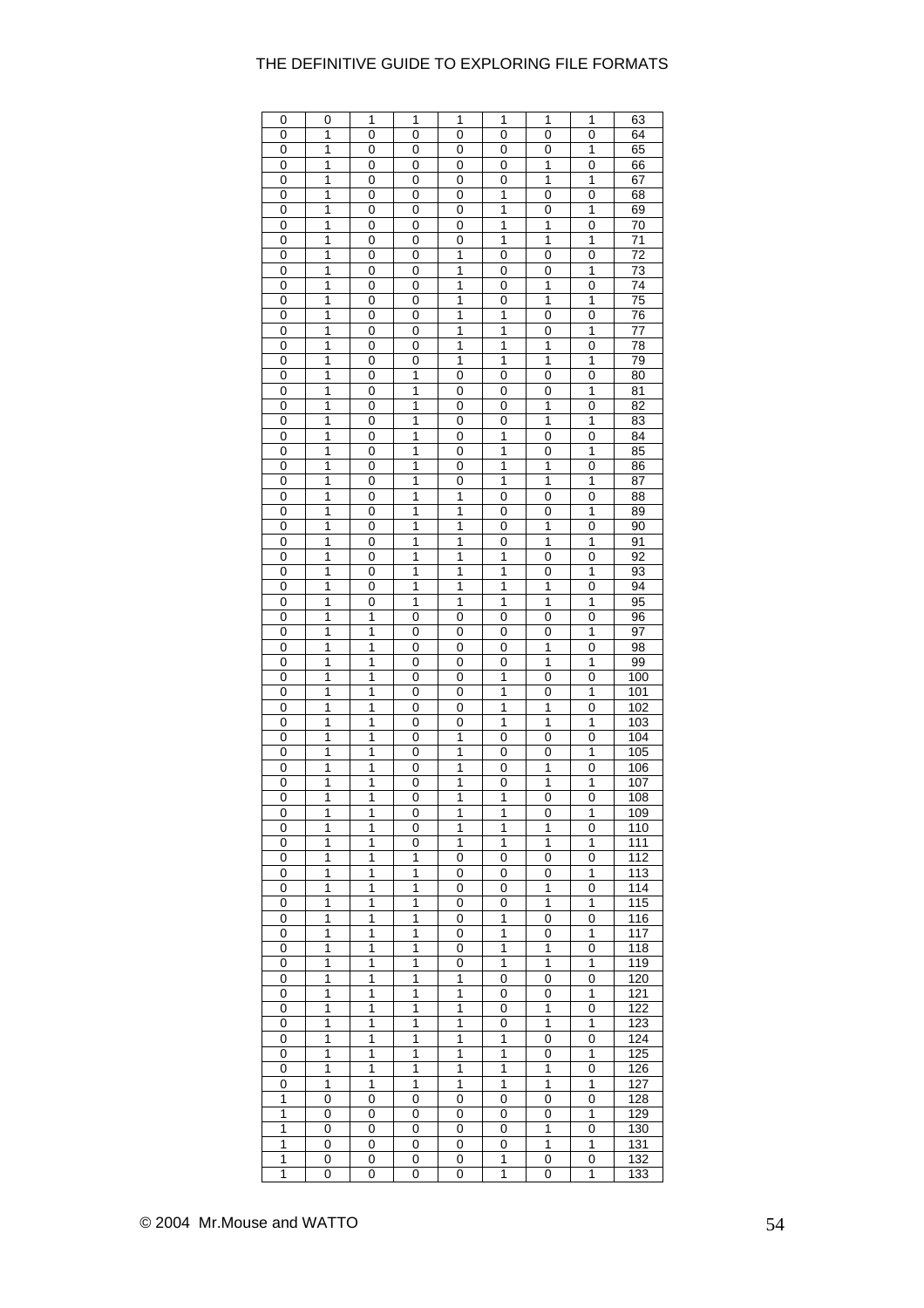| 0 | 0            | 1                       | 1                       | 1              | 1                       | 1              | 1              | 63              |
|---|--------------|-------------------------|-------------------------|----------------|-------------------------|----------------|----------------|-----------------|
| 0 | 1            | 0                       | 0                       | 0              | 0                       | $\mathbf 0$    | $\mathbf 0$    | 64              |
| 0 | 1            | 0                       | 0                       | 0              | 0                       | 0              | 1              | 65              |
| 0 | 1            | 0                       | 0                       | 0              | 0                       | 1              | 0              | 66              |
| 0 | 1            | 0                       | 0                       | 0              | 0                       | 1              | 1              | 67              |
| 0 | 1            | 0                       | 0                       | 0              | 1                       | 0              | 0              | 68              |
| 0 | 1            | 0                       | 0                       | 0              | 1                       | 0              | 1              | 69              |
| 0 | 1            | 0                       | 0                       | 0              | 1                       | 1              | 0              | 70              |
| 0 | 1            | 0                       | 0                       | 0              | 1                       | 1              | 1              | 71              |
| 0 | 1            | 0                       | 0                       | 1              | 0                       | 0              | 0              | 72              |
| 0 | 1            | 0                       | 0                       | 1              | 0                       | 0              | 1              | 73              |
| 0 | 1            | 0                       | 0                       | $\overline{1}$ | 0                       | $\overline{1}$ | 0              | 74              |
| 0 | 1            | 0                       | 0                       | 1              | 0                       | 1              | 1              | 75              |
| 0 | 1            | 0                       | 0                       | 1              | 1                       | 0              | 0              | 76              |
| 0 | 1            | 0                       | 0                       | 1              | 1                       | 0              | 1              | 77              |
| 0 | 1            | 0                       | 0                       | 1              | 1                       | 1              | 0              | 78              |
| 0 | 1            | 0                       | 0                       | 1              | 1                       | $\overline{1}$ | 1              | 79              |
| 0 | 1            | $\mathbf 0$             | $\overline{\mathbf{1}}$ | 0              | $\mathbf 0$             | 0              | 0              | 80              |
|   | 1            | 0                       | 1                       |                |                         |                | 1              | 81              |
| 0 | 1            |                         | 1                       | 0              | 0                       | 0<br>1         | 0              | 82              |
| 0 | 1            | 0<br>0                  | 1                       | 0              | 0                       | 1              | 1              | 83              |
| 0 |              |                         |                         | 0              | 0                       |                |                |                 |
| 0 | 1            | 0                       | 1                       | 0              | 1                       | 0              | 0              | 84              |
| 0 | 1            | 0                       | 1                       | 0              | 1                       | 0              | 1              | 85              |
| 0 | 1            | 0                       | 1                       | 0              | 1                       | 1              | 0              | 86              |
| 0 | 1            | 0                       | 1                       | 0              | 1                       | 1              | 1              | 87              |
| 0 | 1            | 0                       | 1                       | 1              | 0                       | 0              | 0              | 88              |
| 0 | 1            | 0                       | 1                       | 1              | 0                       | 0              | 1              | 89              |
| 0 | 1            | 0                       | 1                       | 1              | 0                       | 1              | 0              | 90              |
| 0 | 1            | 0                       | 1                       | 1              | 0                       | $\overline{1}$ | 1              | 91              |
| 0 | 1            | 0                       | $\overline{1}$          | $\overline{1}$ | 1                       | 0              | 0              | 92              |
| 0 | 1            | 0                       | 1                       | 1              | 1                       | 0              | 1              | 93              |
| 0 | 1            | 0                       | 1                       | 1              | 1                       | 1              | 0              | 94              |
| 0 | 1            | 0                       | $\overline{1}$          | $\overline{1}$ | $\overline{1}$          | $\overline{1}$ | $\overline{1}$ | $\overline{95}$ |
| 0 | 1            | $\overline{\mathbf{1}}$ | 0                       | 0              | 0                       | 0              | 0              | 96              |
| 0 | 1            | 1                       | 0                       | 0              | 0                       | 0              | 1              | 97              |
| 0 | 1            | 1                       | 0                       | 0              | 0                       | 1              | 0              | 98              |
| 0 | 1            | 1                       | 0                       | 0              | 0                       | 1              | 1              | 99              |
| 0 | 1            | 1                       | 0                       | 0              | 1                       | 0              | 0              | 100             |
| 0 | 1            | 1                       | 0                       | 0              | 1                       | 0              | 1              | 101             |
| 0 | 1            | 1                       | 0                       | 0              | 1                       | 1              | 0              | 102             |
| 0 | 1            | 1                       | 0                       | 0              | 1                       | 1              | 1              | 103             |
| 0 | 1            | 1                       | 0                       | 1              | 0                       | 0              | 0              | 104             |
| 0 | 1            | 1                       | 0                       | 1              | 0                       | 0              | 1              | 105             |
| 0 | $\mathbf{1}$ | 1                       | 0                       | $\mathbf{1}$   | 0                       | 1              | $\mathbf 0$    | 106             |
| 0 | 1            | 1                       | 0                       | 1              | 0                       | 1              | 1              | 107             |
| 0 | 1            | 1                       | $\overline{0}$          | 1              | 1                       | 0              | 0              | 108             |
| 0 | 1            | 1                       | 0                       | 1              | 1                       | 0              | 1              | 109             |
| 0 | 1            | 1                       | 0                       | $\overline{1}$ | $\overline{\mathbf{1}}$ | 1              | $\mathbf 0$    | 110             |
| 0 | 1            | 1                       | 0                       | 1              | 1                       | 1              | 1              | 111             |
| 0 | 1            | 1                       | 1                       | 0              | 0                       | 0              | 0              | 112             |
| 0 | 1            | 1                       | 1                       | 0              | 0                       | 0              | 1              | 113             |
| 0 | 1            | 1                       | 1                       | 0              | 0                       | 1              | 0              | 114             |
| 0 | 1            | 1                       | 1                       | 0              | 0                       | 1              | 1              | 115             |
| 0 | 1            | 1                       | 1                       | 0              | 1                       | 0              | 0              | 116             |
| 0 | 1            | 1                       | 1                       | 0              | 1                       | 0              | 1              | 117             |
| 0 | 1            | 1                       | 1                       | 0              | 1                       | 1              | 0              | 118             |
| 0 | 1            | 1                       | 1                       | 0              | 1                       | 1              | 1              | 119             |
| 0 | 1            | 1                       | 1                       | 1              | 0                       | 0              | 0              | 120             |
| 0 | 1            | 1                       | $\overline{1}$          | $\overline{1}$ | 0                       | 0              | $\mathbf{1}$   | 121             |
| 0 | 1            | 1                       | 1                       | 1              | 0                       | 1              | 0              | 122             |
| 0 | 1            | 1                       | 1                       | 1              | 0                       | 1              | 1              | 123             |
| 0 | 1            | 1                       | 1                       | 1              | 1                       | 0              | $\mathbf 0$    | 124             |
| 0 | 1            | 1                       | 1                       | 1              | 1                       | 0              | 1              | 125             |
| 0 | 1            | 1                       | $\overline{1}$          | $\overline{1}$ | $\overline{\mathbf{1}}$ | $\overline{1}$ | $\mathbf 0$    |                 |
|   |              |                         |                         |                |                         |                |                | 126             |
| 0 | 1            | 1                       | 1                       | 1              | 1                       | $\overline{1}$ | 1              | 127             |
| 1 | 0            | 0                       | 0                       | 0              | 0                       | 0              | 0              | 128             |
| 1 | 0            | 0                       | 0                       | 0              | 0                       | 0              | 1              | 129             |
| 1 | 0            | 0                       | 0                       | 0              | 0                       | 1              | 0              | 130             |
| 1 | 0            | 0                       | 0                       | 0              | 0                       | 1              | 1              | 131             |
| 1 | 0            | 0                       | 0                       | 0              | 1                       | 0              | 0              | 132             |
| 1 | 0            | 0                       | 0                       | 0              | 1                       | 0              | 1              | 133             |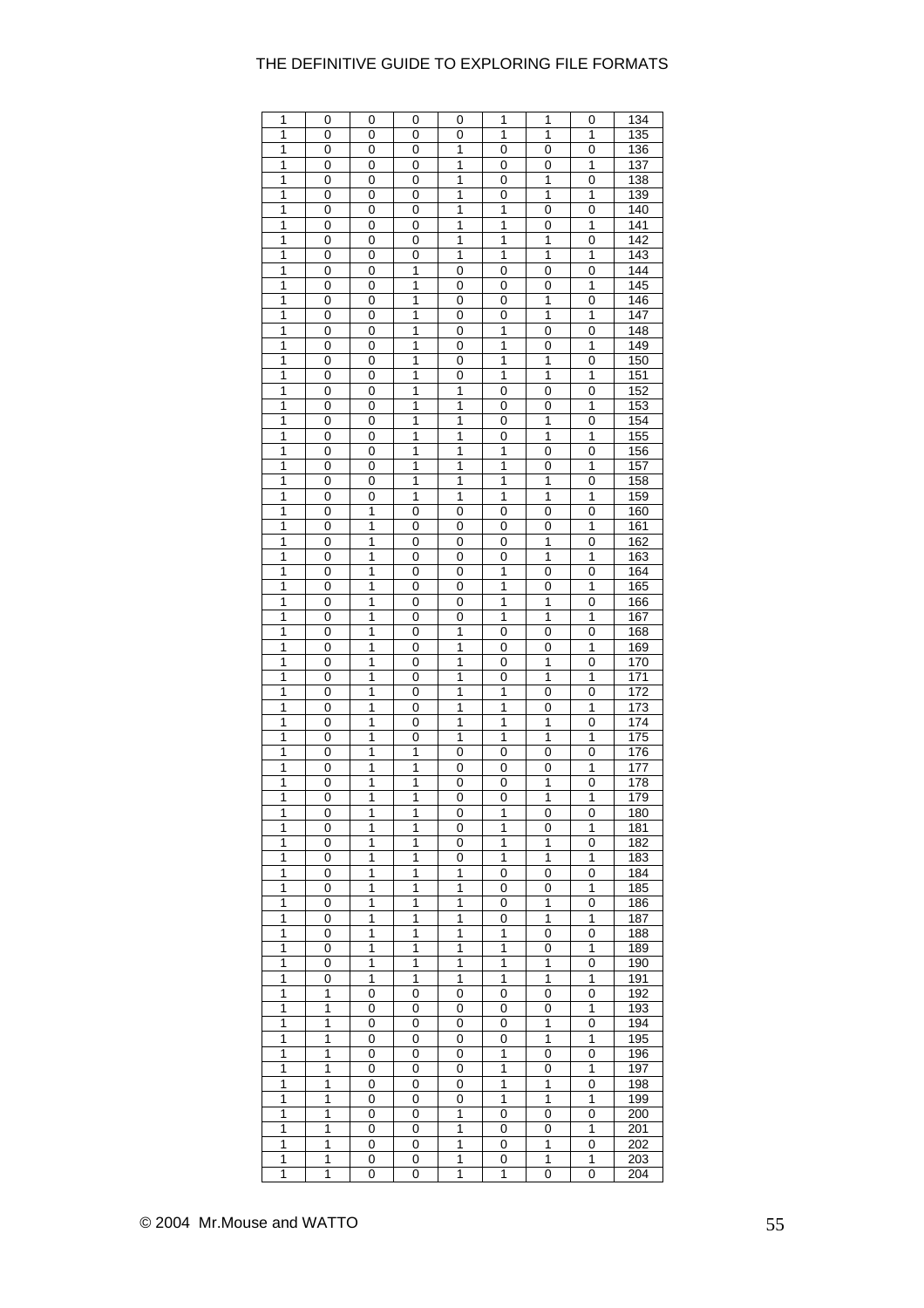| 1              | 0 | 0           | 0              | 0                       | 1                       | 1              | 0                       | 134              |
|----------------|---|-------------|----------------|-------------------------|-------------------------|----------------|-------------------------|------------------|
| 1              | 0 | 0           | 0              | 0                       | 1                       | 1              | 1                       | 135              |
|                |   |             |                |                         |                         |                |                         |                  |
| 1              | 0 | 0           | 0              | 1                       | 0                       | 0              | 0                       | 136              |
| 1              | 0 | 0           | 0              | 1                       | 0                       | 0              | 1                       | 137              |
| 1              | 0 | 0           | 0              | 1                       | 0                       | 1              | $\mathbf 0$             | 138              |
| 1              | 0 | 0           | 0              | 1                       | 0                       | 1              | 1                       | 139              |
| 1              | 0 | $\mathbf 0$ | 0              | $\overline{1}$          | $\overline{1}$          | 0              | $\mathbf 0$             | 140              |
| 1              | 0 | $\mathbf 0$ | $\mathbf 0$    | 1                       | $\overline{\mathbf{1}}$ | 0              | $\overline{\mathbf{1}}$ | 141              |
|                |   |             |                |                         |                         |                |                         |                  |
| 1              | 0 | 0           | 0              | 1                       | 1                       | 1              | 0                       | 142              |
| 1              | 0 | 0           | 0              | $\overline{1}$          | $\overline{\mathbf{1}}$ | $\overline{1}$ | 1                       | 143              |
| 1              | 0 | 0           | 1              | 0                       | 0                       | 0              | 0                       | 144              |
| 1              | 0 | 0           | 1              | 0                       | 0                       | 0              | 1                       | 145              |
| 1              | 0 | 0           | 1              | 0                       | 0                       | 1              | 0                       | 146              |
|                |   |             |                |                         |                         |                |                         |                  |
| 1              | 0 | 0           | 1              | 0                       | 0                       | 1              | 1                       | 147              |
| 1              | 0 | 0           | 1              | 0                       | 1                       | 0              | 0                       | 148              |
| 1              | 0 | 0           | 1              | 0                       | 1                       | 0              | 1                       | 149              |
| 1              | 0 | 0           | 1              | 0                       | 1                       | 1              | 0                       | 150              |
| 1              | 0 | 0           | 1              | 0                       | 1                       | 1              | 1                       | 151              |
| 1              | 0 | 0           | 1              | 1                       | 0                       | 0              | 0                       | 152              |
|                |   |             |                |                         |                         |                |                         |                  |
| $\overline{1}$ | 0 | 0           | $\overline{1}$ | $\mathbf{1}$            | 0                       | 0              | 1                       | 153              |
| 1              | 0 | $\mathbf 0$ | 1              | 1                       | $\mathbf 0$             | 1              | $\mathbf 0$             | 154              |
| 1              | 0 | 0           | 1              | 1                       | 0                       | 1              | 1                       | 155              |
| 1              | 0 | 0           | 1              | 1                       | 1                       | 0              | $\mathbf 0$             | 156              |
| 1              | 0 | 0           | 1              | 1                       | 1                       | 0              | 1                       | 157              |
|                |   |             |                |                         |                         |                |                         |                  |
| 1              | 0 | 0           | 1              | 1                       | $\overline{\mathbf{1}}$ | 1              | $\mathbf 0$             | 158              |
| 1              | 0 | 0           | 1              | 1                       | 1                       | 1              | 1                       | 159              |
| 1              | 0 | 1           | 0              | 0                       | 0                       | 0              | 0                       | 160              |
| 1              | 0 | 1           | 0              | 0                       | 0                       | 0              | 1                       | 161              |
| 1              | 0 | 1           | 0              | 0                       | 0                       | 1              | 0                       | 162              |
|                |   |             |                |                         |                         |                |                         |                  |
| 1              | 0 | 1           | 0              | 0                       | 0                       | 1              | 1                       | $\overline{163}$ |
| 1              | 0 | 1           | 0              | 0                       | 1                       | 0              | 0                       | 164              |
| 1              | 0 | 1           | 0              | 0                       | 1                       | 0              | 1                       | 165              |
| 1              | 0 | 1           | 0              | 0                       | 1                       | 1              | 0                       | 166              |
| 1              | 0 | 1           | 0              | 0                       | 1                       | 1              | 1                       | 167              |
|                |   |             |                |                         |                         |                |                         |                  |
| 1              | 0 | 1           | 0              | 1                       | 0                       | 0              | 0                       | 168              |
| 1              | 0 | 1           | 0              | 1                       | 0                       | 0              | 1                       | 169              |
| 1              | 0 | 1           | 0              | 1                       | 0                       | 1              | 0                       | 170              |
| 1              | 0 | 1           | 0              | 1                       | $\mathbf 0$             | 1              | 1                       | 171              |
| 1              | 0 | 1           | $\mathbf 0$    | 1                       | $\overline{\mathbf{1}}$ | 0              | $\mathbf 0$             | 172              |
| 1              | 0 | 1           | 0              | 1                       | 1                       | 0              | 1                       | 173              |
|                |   |             |                |                         |                         |                |                         |                  |
| $\overline{1}$ | 0 | 1           | 0              | $\overline{\mathbf{1}}$ | $\overline{1}$          | $\overline{1}$ | $\mathbf 0$             | 174              |
| 1              | 0 | 1           | 0              | 1                       | 1                       | 1              | 1                       | 175              |
| 1              | 0 | 1           | 1              | 0                       | 0                       | 0              | 0                       | 176              |
| 1              | 0 | 1           | 1              | 0                       | 0                       | 0              | 1                       | 177              |
| 1              | 0 | 1           | 1              | 0                       | 0                       | 1              | 0                       | 178              |
|                |   |             |                |                         |                         |                |                         |                  |
| 1              | 0 | 1           | 1              | 0                       | 0                       | 1              | 1                       | 179              |
| 1              | 0 | 1           | 1              | 0                       | 1                       | 0              | 0                       | 180              |
| 1              | 0 | 1           | 1              | 0                       | 1                       | 0              | 1                       | 181              |
| 1              | 0 | 1           | 1              | 0                       | 1                       | 1              | 0                       | 182              |
| 1              | 0 | 1           | 1              | 0                       | 1                       | 1              | 1                       | 183              |
|                |   |             |                |                         |                         |                |                         |                  |
| 1              | 0 | 1           | 1              | 1                       | 0                       | 0              | 0                       | 184              |
| 1              | 0 | 1           | 1              | 1                       | 0                       | 0              | 1                       | 185              |
| 1              | 0 | 1           | 1              | 1                       | 0                       | 1              | 0                       | 186              |
| 1              | 0 | 1           | 1              | 1                       | 0                       | $\overline{1}$ | $\overline{1}$          | 187              |
| 1              | 0 | 1           | 1              | 1                       | 1                       | 0              | 0                       | 188              |
| 1              | 0 | 1           | 1              | 1                       | 1                       | 0              | 1                       | 189              |
|                |   |             |                |                         |                         |                |                         |                  |
| 1              | 0 | 1           | 1              | 1                       | 1                       | 1              | $\mathbf 0$             | 190              |
| 1              | 0 | 1           | 1              | 1                       | 1                       | 1              | 1                       | 191              |
| 1              | 1 | 0           | 0              | 0                       | 0                       | 0              | 0                       | 192              |
| 1              | 1 | 0           | 0              | 0                       | 0                       | 0              | 1                       | 193              |
| 1              | 1 | 0           | 0              | 0                       | 0                       | 1              | 0                       | 194              |
| 1              | 1 |             |                |                         |                         | 1              | 1                       |                  |
|                |   | 0           | 0              | 0                       | 0                       |                |                         | 195              |
| 1              | 1 | 0           | 0              | 0                       | 1                       | 0              | 0                       | 196              |
| 1              | 1 | 0           | 0              | 0                       | 1                       | 0              | 1                       | 197              |
| 1              | 1 | 0           | 0              | 0                       | 1                       | 1              | 0                       | 198              |
| 1              | 1 | 0           | 0              | 0                       | 1                       | 1              | 1                       | 199              |
| 1              | 1 | 0           | 0              | 1                       | 0                       | 0              | 0                       | 200              |
|                |   |             |                |                         |                         |                |                         |                  |
| 1              | 1 | $\mathbf 0$ | $\mathbf 0$    | 1                       | 0                       | 0              | 1                       | 201              |
| 1              | 1 | 0           | 0              | 1                       | 0                       | 1              | 0                       | 202              |
| 1              | 1 | 0           | 0              | 1                       | 0                       | 1              | 1                       | 203              |
| 1              | 1 | 0           | 0              | 1                       | 1                       | 0              | 0                       | 204              |
|                |   |             |                |                         |                         |                |                         |                  |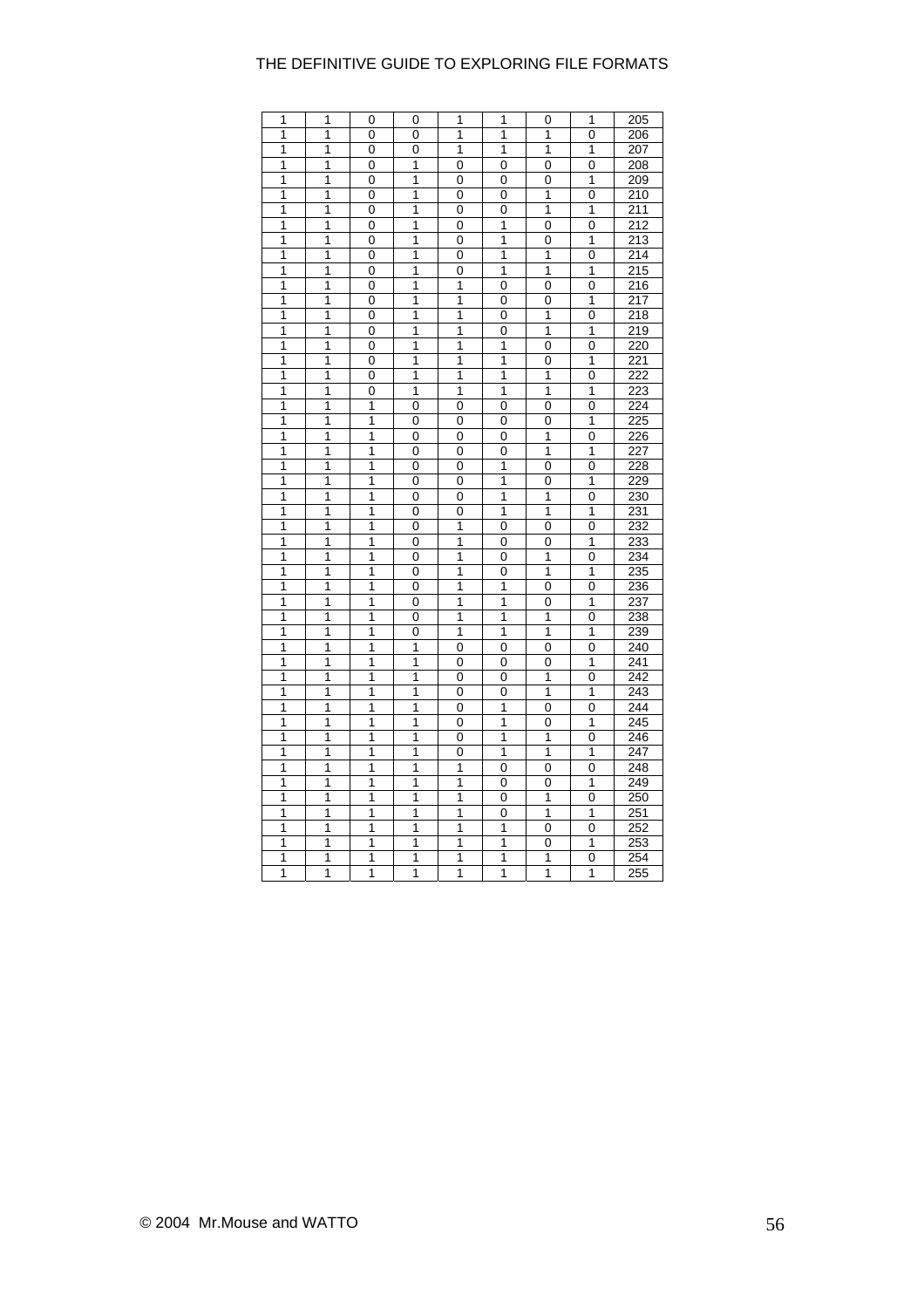| 1 | 1 | 0              | 0 | 1 | 1 | 0           | 1 | 205              |
|---|---|----------------|---|---|---|-------------|---|------------------|
| 1 | 1 | 0              | 0 | 1 | 1 | 1           | 0 | 206              |
| 1 | 1 | 0              | 0 | 1 | 1 | 1           | 1 | 207              |
| 1 | 1 | 0              | 1 | 0 | 0 | 0           | 0 | 208              |
| 1 | 1 | 0              | 1 | 0 | 0 | 0           | 1 | 209              |
| 1 | 1 | 0              | 1 | 0 | 0 | 1           | 0 | 210              |
| 1 | 1 | 0              | 1 | 0 | 0 | 1           | 1 | 211              |
| 1 | 1 | 0              | 1 | 0 | 1 | 0           | 0 | 212              |
| 1 | 1 | $\overline{0}$ | 1 | 0 | 1 | 0           | 1 | 213              |
| 1 | 1 | 0              | 1 | 0 | 1 | 1           | 0 | 214              |
| 1 | 1 | 0              | 1 | 0 | 1 | 1           | 1 | 215              |
| 1 | 1 | 0              | 1 | 1 | 0 | 0           | 0 | 216              |
| 1 | 1 | 0              | 1 | 1 | 0 | 0           | 1 | 217              |
| 1 | 1 | 0              | 1 | 1 | 0 | 1           | 0 | 218              |
| 1 | 1 | 0              | 1 | 1 | 0 | 1           | 1 | 219              |
| 1 | 1 | 0              | 1 | 1 | 1 | 0           | 0 | 220              |
| 1 | 1 | 0              | 1 | 1 | 1 | $\mathbf 0$ | 1 | 221              |
| 1 | 1 | 0              | 1 | 1 | 1 | 1           | 0 | 222              |
| 1 | 1 | 0              | 1 | 1 | 1 | 1           | 1 | 223              |
| 1 | 1 | 1              | 0 | 0 | 0 | 0           | 0 | 224              |
| 1 | 1 | 1              | 0 | 0 | 0 | 0           | 1 | 225              |
| 1 | 1 | 1              | 0 | 0 | 0 | 1           | 0 | 226              |
| 1 | 1 | 1              | 0 | 0 | 0 | 1           | 1 | 227              |
| 1 | 1 | 1              | 0 | 0 | 1 | 0           | 0 | 228              |
| 1 | 1 | 1              | 0 | 0 | 1 | 0           | 1 | 229              |
| 1 | 1 | 1              | 0 | 0 | 1 | 1           | 0 | 230              |
| 1 | 1 | 1              | 0 | 0 | 1 | 1           | 1 | 231              |
| 1 | 1 | 1              | 0 | 1 | 0 | 0           | 0 | 232              |
| 1 | 1 | 1              | 0 | 1 | 0 | 0           | 1 | 233              |
| 1 | 1 | 1              | 0 | 1 | 0 | 1           | 0 | 234              |
| 1 | 1 | 1              | 0 | 1 | 0 | 1           | 1 | 235              |
| 1 | 1 | 1              | 0 | 1 | 1 | 0           | 0 | 236              |
| 1 | 1 | $\overline{1}$ | 0 | 1 | 1 | 0           | 1 | 237              |
| 1 | 1 | 1              | 0 | 1 | 1 | 1           | 0 | 238              |
| 1 | 1 | 1              | 0 | 1 | 1 | 1           | 1 | 239              |
| 1 | 1 | 1              | 1 | 0 | 0 | 0           | 0 | 240              |
| 1 | 1 | 1              | 1 | 0 | 0 | 0           | 1 | 241              |
| 1 | 1 | 1              | 1 | 0 | 0 | 1           | 0 | 242              |
| 1 | 1 | 1              | 1 | 0 | 0 | 1           | 1 | 243              |
| 1 | 1 | 1              | 1 | 0 | 1 | 0           | 0 | 244              |
| 1 | 1 | 1              | 1 | 0 | 1 | 0           | 1 | 245              |
| 1 | 1 | 1              | 1 | 0 | 1 | 1           | 0 | 246              |
| 1 | 1 | 1              | 1 | 0 | 1 | 1           | 1 | 247              |
| 1 | 1 | 1              | 1 | 1 | 0 | 0           | 0 | 248              |
| 1 | 1 | 1              | 1 | 1 | 0 | 0           | 1 | 249              |
| 1 | 1 | 1              | 1 | 1 | 0 | 1           | 0 | 250              |
| 1 | 1 | 1              | 1 | 1 | 0 | 1           | 1 | 251              |
| 1 | 1 | 1              | 1 | 1 | 1 | 0           | 0 | 252              |
| 1 | 1 | 1              | 1 | 1 | 1 | 0           | 1 | 253              |
| 1 | 1 | 1              | 1 | 1 | 1 | 1           | 0 | 254              |
| 1 | 1 | 1              | 1 | 1 | 1 | 1           | 1 | $\overline{255}$ |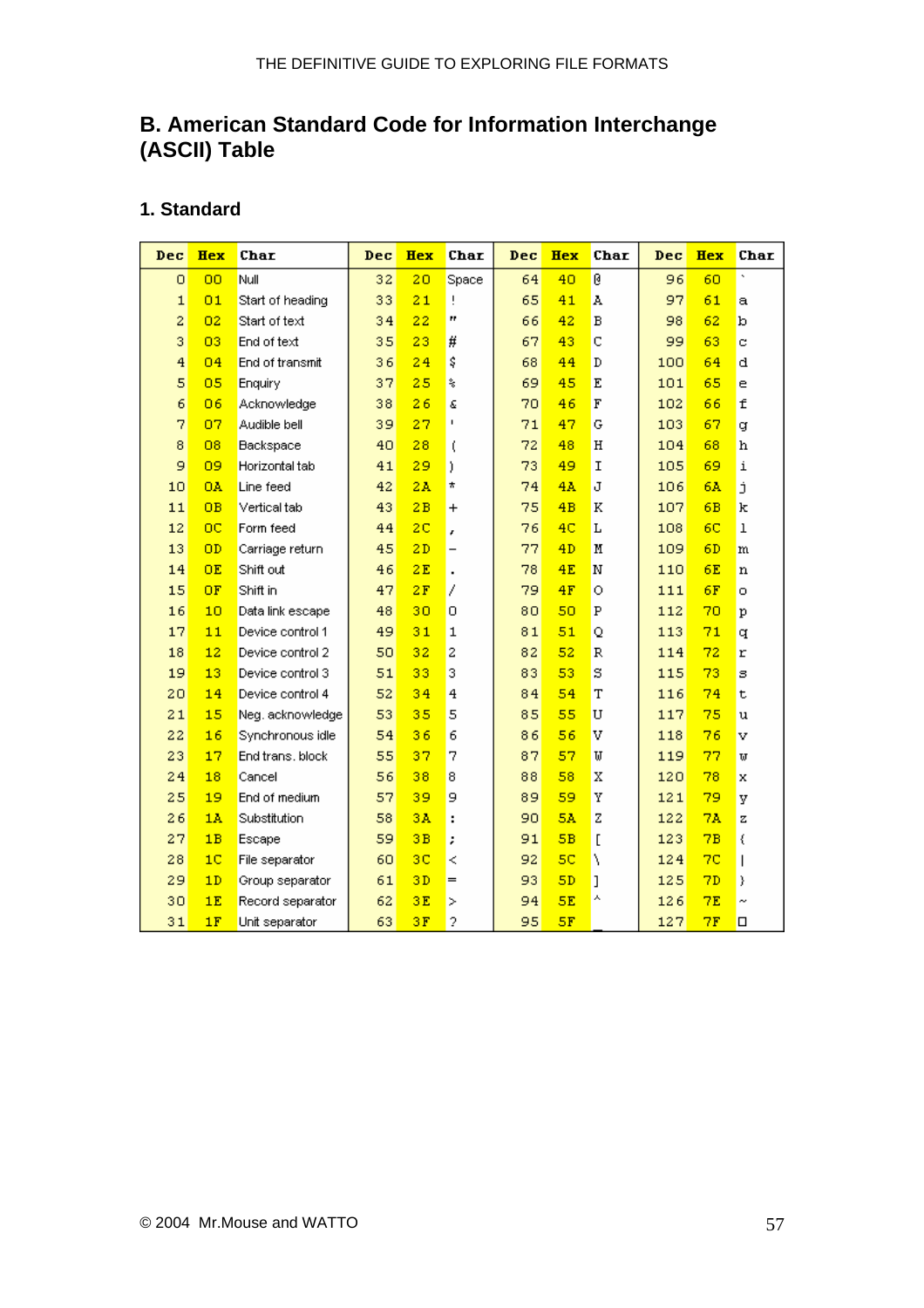## <span id="page-56-0"></span>**B. American Standard Code for Information Interchange (ASCII) Table**

#### **1. Standard**

| Dec            | <b>Hex</b>     | Char             | Dec | <b>Hex</b>     | Char                     | Dec | <b>Hex</b>     | Char | Dec | <b>Hex</b>     | Char                     |
|----------------|----------------|------------------|-----|----------------|--------------------------|-----|----------------|------|-----|----------------|--------------------------|
| Ō              | <b>OO</b>      | Null             | 32  | 20             | Space                    | 64  | 40             | Ø    | 96  | 60             | ×,                       |
| $\mathbf 1$    | 01             | Start of heading | 33  | 21             | Ţ                        | 65  | 41             | Å    | 97  | 61             | a                        |
| 2              | 02             | Start of text    | 34  | 22             | Ħ                        | 66  | 42             | B    | 98  | 62             | b                        |
| 3              | 03             | End of text      | 35  | 23             | #                        | 67  | 43             | C    | 99  | 63             | c                        |
| $\overline{4}$ | 04             | End of transmit  | 36  | 24             | \$                       | 68  | 44             | D    | 100 | 64             | q                        |
| 5              | 05             | Enquiry          | 37  | 25             | ş                        | 69  | 45             | E    | 101 | 65             | e                        |
| 6              | 06             | Acknowledge      | 38  | 26             | Ġ.                       | 70  | 46             | F    | 102 | 66             | f                        |
| 7              | 07             | Audible bell     | 39  | 27             | $\mathsf I$              | 71  | 47             | Ģ    | 103 | 67             | đ                        |
| 8              | 08             | Backspace        | 40  | 28             | ţ                        | 72  | 48             | H    | 104 | 68             | h                        |
| 9              | 09             | Horizontal tab   | 41  | 29             | ).                       | 73  | 49             | I    | 105 | 69             | i                        |
| 10             | <b>OA</b>      | Line feed        | 42  | 2A             | *                        | 74  | 4A             | J    | 106 | 6A             | j                        |
| 11             | <b>OB</b>      | Vertical tab     | 43  | 2B             | $\pmb{+}$                | 75  | 4B             | K    | 107 | 6B             | k                        |
| 12             | $_{\rm oc}$    | Form feed        | 44  | 2 <sub>C</sub> | r                        | 76  | 4C             | L    | 108 | 6 <sup>C</sup> | $\mathbf 1$              |
| 13             | OD             | Carriage return  | 45  | 2D             | $\overline{\phantom{0}}$ | 77  | 4D             | M    | 109 | 6D             | m                        |
| 14             | <b>OE</b>      | Shift out        | 46  | 2E             | $\cdot$                  | 78  | 4E             | N    | 110 | 6E             | n                        |
| 15             | OF             | Shift in         | 47  | 2F             | 7                        | 79  | 4F             | Ō    | 111 | 6F             | O.                       |
| 16             | 10             | Data link escape | 48  | 30             | 0                        | 80  | 50             | P    | 112 | 70             | р                        |
| 17             | 11             | Device control 1 | 49  | 31             | 1                        | 81  | 51             | Q    | 113 | 71             | q                        |
| 18             | 12             | Device control 2 | 50  | 32             | $\overline{c}$           | 82  | 52             | R    | 114 | 72             | r                        |
| 19             | 13             | Device control 3 | 51  | 33             | 3                        | 83  | 53             | S    | 115 | 73             | s                        |
| 20             | 14             | Device control 4 | 52  | 34             | 4                        | 84  | 54             | T    | 116 | 74             | t                        |
| 21             | 15             | Neg. acknowledge | 53  | 35             | 5                        | 85  | 55             | U    | 117 | 75             | u                        |
| 22             | 16             | Synchronous idle | 54  | 36             | 6                        | 86  | 56             | v    | 118 | 76             | v                        |
| 23             | 17             | End trans, block | 55  | 37             | 7                        | 87  | 57             | IJ   | 119 | 77             | IJ                       |
| 24             | 18             | Cancel           | 56  | 38             | 8                        | 88  | 58             | X    | 120 | 78             | x                        |
| 25             | 19             | End of medium    | 57  | 39             | 9                        | 89  | 59             | Υ    | 121 | 79             | У                        |
| 26             | 1 <sub>A</sub> | Substitution     | 58  | 3 <sub>A</sub> | ÷                        | 90  | 5Å             | Z    | 122 | 7Å             | z                        |
| 27             | 1B             | Escape           | 59  | 3B             | ,                        | 91  | 5B             | ſ    | 123 | 7B             | €                        |
| 28             | 1 <sub>C</sub> | File separator   | 60  | 3C             | ≺                        | 92  | 5 <sub>C</sub> | V    | 124 | 7 <sup>c</sup> | $\overline{\phantom{a}}$ |
| 29             | 1D             | Group separator  | 61  | 3D             | $=$                      | 93  | SD             | J    | 125 | 7D             | y                        |
| 30             | 1E             | Record separator | 62  | 3E             | $\geq$                   | 94  | 5E             | ٨    | 126 | 7E             | $\tilde{\phantom{a}}$    |
| 31             | 1F             | Unit separator   | 63  | 3F             | 2                        | 95  | 5F             |      | 127 | 7F             | □                        |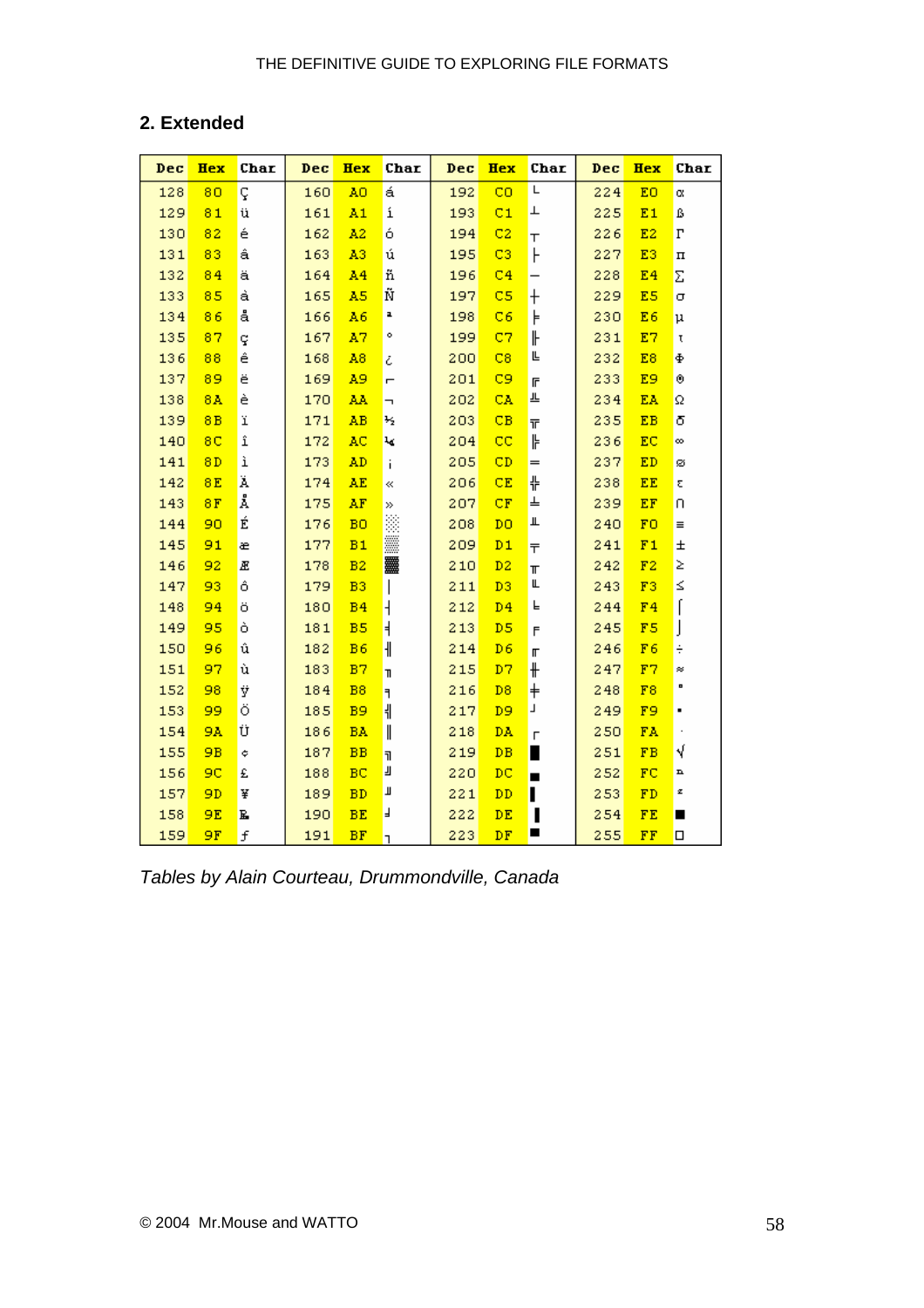## **2. Extended**

| Dec | Hex            | Char | Dec | <b>Hex</b>     | Char                     | Dec | <b>Hex</b>              | Char              | Dec | <b>Hex</b>     | Char               |
|-----|----------------|------|-----|----------------|--------------------------|-----|-------------------------|-------------------|-----|----------------|--------------------|
| 128 | 80             | ç    | 160 | A0             | á                        | 192 | CO                      | L                 | 224 | EO             | α                  |
| 129 | 81             | ü    | 161 | A1             | í                        | 193 | C1                      | ⊥                 | 225 | E1             | ß                  |
| 130 | 82             | é    | 162 | A2             | ó                        | 194 | C2                      | т                 | 226 | E2             | $\Gamma$           |
| 131 | 83             | â    | 163 | A3             | ú                        | 195 | C3                      | F                 | 227 | E3             | $\boldsymbol{\Pi}$ |
| 132 | 84             | ä    | 164 | A <sub>4</sub> | ñ                        | 196 | C <sub>4</sub>          |                   | 228 | E <sub>4</sub> | Σ                  |
| 133 | 85             | à    | 165 | A5             | Ñ                        | 197 | C5                      | $\mathrm{+}$      | 229 | E5             | σ                  |
| 134 | 86             | å    | 166 | A6             | ı                        | 198 | C6                      | ⊧                 | 230 | E6             | $\mu$              |
| 135 | 87             | ç    | 167 | A7             | ۰                        | 199 | C7                      | ╟                 | 231 | E7             | τ                  |
| 136 | 88             | ê    | 168 | A8             | ċ                        | 200 | C8                      | Ŀ                 | 232 | E8             | Ф                  |
| 137 | 89             | ë    | 169 | A9             | Ē                        | 201 | C9                      | $\mathsf F$       | 233 | E9             | ۰                  |
| 138 | 8 <sub>A</sub> | è    | 170 | AA             | $\overline{\phantom{a}}$ | 202 | CA                      | 쁘                 | 234 | EA             | Ω                  |
| 139 | 8B             | ï    | 171 | AB             | ₩                        | 203 | CB                      | ᅲ                 | 235 | EB             | δ                  |
| 140 | 8C             | î    | 172 | AC             | ₩                        | 204 | $\overline{\mathbf{c}}$ | ╠                 | 236 | EC             | ∞                  |
| 141 | 8D             | ì    | 173 | AD             | j.                       | 205 | CD                      | $=$               | 237 | ED             | ø                  |
| 142 | 8E             | Ä    | 174 | AE             | ≪                        | 206 | CE                      | 쀼                 | 238 | EE             | 2                  |
| 143 | 8F             | Å    | 175 | AF             | ≫                        | 207 | CF                      | ╧                 | 239 | EF             | n                  |
| 144 | 90             | É    | 176 | <b>BO</b>      | ä                        | 208 | DO                      | Щ                 | 240 | F <sub>0</sub> | $\equiv$           |
| 145 | 91             | æ    | 177 | B1             |                          | 209 | $D_1$                   | $\overline{\tau}$ | 241 | F1             | $\pm$              |
| 146 | 92             | Æ    | 178 | B2             | 羉                        | 210 | D <sub>2</sub>          | $\blacksquare$    | 242 | F2             | Σ                  |
| 147 | 93             | ô    | 179 | B <sub>3</sub> | I                        | 211 | D3                      | Щ                 | 243 | F3             | ≤                  |
| 148 | 94             | ö    | 180 | <b>B4</b>      | $\overline{\phantom{a}}$ | 212 | D <sub>4</sub>          | F                 | 244 | F <sub>4</sub> | ſ                  |
| 149 | 95             | ò    | 181 | B <sub>5</sub> | $\overline{\mathbf{H}}$  | 213 | D <sub>5</sub>          | F                 | 245 | F5             | J                  |
| 150 | 96             | û    | 182 | B6             | $\mathbb I$              | 214 | D6                      | $\mathbb{r}$      | 246 | F <sub>6</sub> | ÷                  |
| 151 | 97             | ù    | 183 | B7             | T                        | 215 | D7                      | $\pmb{\ast}$      | 247 | F7             | ×                  |
| 152 | 98             | ÿ    | 184 | B8             | ₹                        | 216 | D8                      | $^\mathrm{+}$     | 248 | F8             | o                  |
| 153 | 99             | ö    | 185 | <b>B9</b>      | $\parallel$              | 217 | D9                      | Т                 | 249 | F9             | ٠                  |
| 154 | 9A             | Ü    | 186 | <b>BA</b>      | $\parallel$              | 218 | DA                      | $\Gamma$          | 250 | FA             | $\cdot$            |
| 155 | 9B             | ¢    | 187 | B <sub>B</sub> | $\overline{\mathbf{u}}$  | 219 | DB                      | ∎                 | 251 | F <sub>B</sub> | √                  |
| 156 | 9C             | £    | 188 | BC             | ╝                        | 220 | $_{\text{DC}}$          | $\blacksquare$    | 252 | FC             | n                  |
| 157 | 9D             | ¥    | 189 | <b>BD</b>      | Щ                        | 221 | DD                      | П                 | 253 | FD             | z                  |
| 158 | 9E             | F    | 190 | BE             | F                        | 222 | DE                      | ı                 | 254 | FE             | ■                  |
| 159 | 9F             | f    | 191 | BF             | ٦                        | 223 | DF                      | п                 | 255 | FF             | $\Box$             |

*Tables by Alain Courteau, Drummondville, Canada*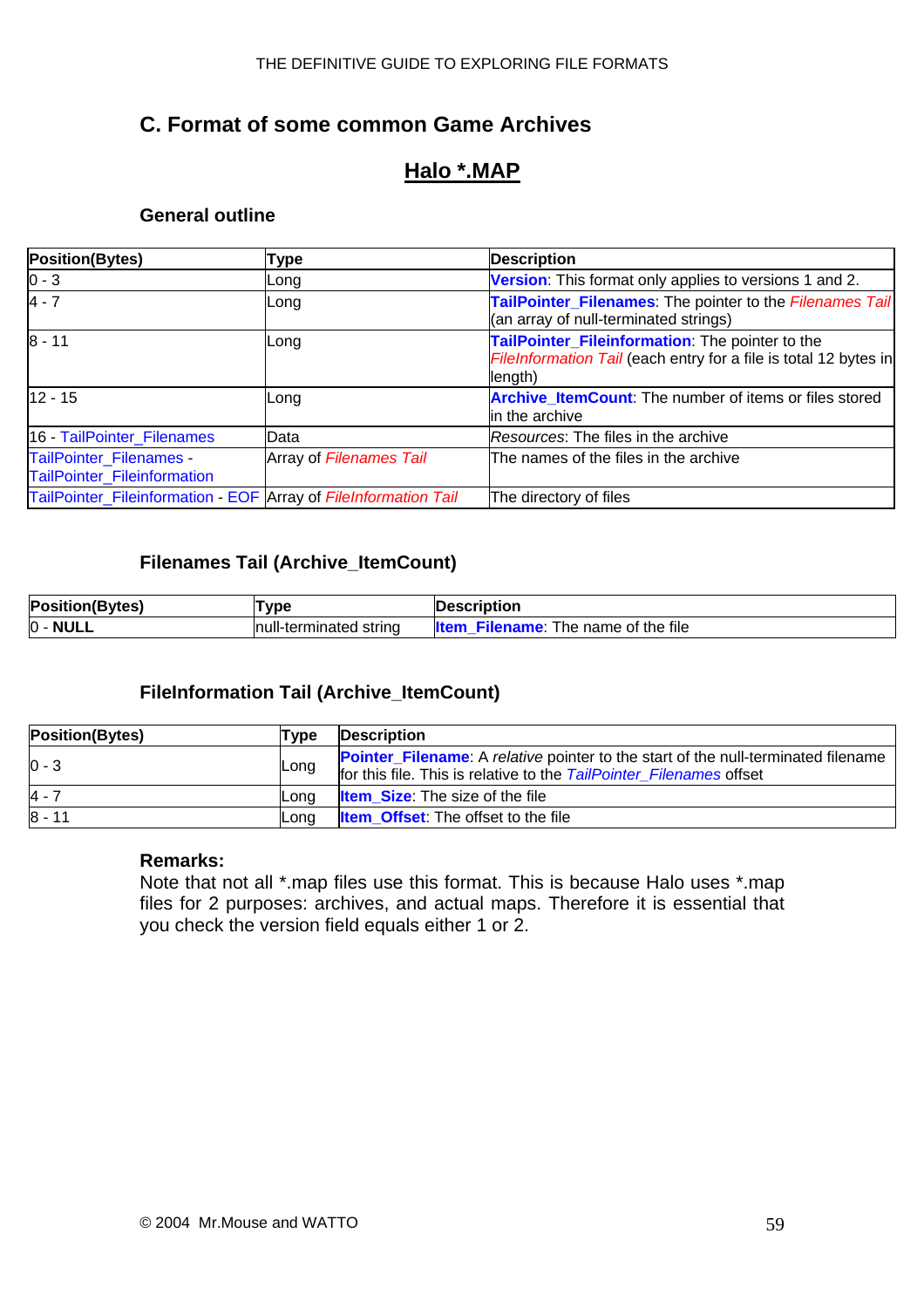## <span id="page-58-0"></span>**C. Format of some common Game Archives**

## **Halo \*.MAP**

#### **General outline**

| <b>Position(Bytes)</b>                                          | Type                    | <b>Description</b>                                                                                                             |
|-----------------------------------------------------------------|-------------------------|--------------------------------------------------------------------------------------------------------------------------------|
| $0 - 3$                                                         | Long                    | Version: This format only applies to versions 1 and 2.                                                                         |
| $4 - 7$                                                         | Long                    | TailPointer_Filenames: The pointer to the Filenames Tail<br>(an array of null-terminated strings)                              |
| $8 - 11$                                                        | Long                    | TailPointer_Fileinformation: The pointer to the<br>FileInformation Tail (each entry for a file is total 12 bytes in<br>length) |
| $12 - 15$                                                       | Long                    | <b>Archive_ItemCount:</b> The number of items or files stored<br>in the archive                                                |
| 16 - TailPointer_Filenames                                      | Data                    | Resources: The files in the archive                                                                                            |
| TailPointer_Filenames -<br>TailPointer_Fileinformation          | Array of Filenames Tail | The names of the files in the archive                                                                                          |
| TailPointer_Fileinformation - EOF Array of FileInformation Tail |                         | The directory of files                                                                                                         |

#### **Filenames Tail (Archive\_ItemCount)**

| <b>Position(Bytes)</b>        | Type                    | <b>IDescription</b>                                |
|-------------------------------|-------------------------|----------------------------------------------------|
| <b>NULL</b><br>$\overline{0}$ | Inull-terminated string | The name of the file<br>Filename :<br><b>Iltem</b> |

#### **FileInformation Tail (Archive\_ItemCount)**

| <b>Position(Bytes)</b> | <b>Type</b> | <b>Description</b>                                                                                                                                              |
|------------------------|-------------|-----------------------------------------------------------------------------------------------------------------------------------------------------------------|
| $0 - 3$                | Long        | <b>Pointer_Filename:</b> A relative pointer to the start of the null-terminated filename<br>for this file. This is relative to the TailPointer Filenames offset |
| $4 - 7$                | Lona        | <b>Item Size:</b> The size of the file                                                                                                                          |
| $8 - 11$               | Lona        | <b>Item_Offset:</b> The offset to the file                                                                                                                      |

#### **Remarks:**

Note that not all \*.map files use this format. This is because Halo uses \*.map files for 2 purposes: archives, and actual maps. Therefore it is essential that you check the version field equals either 1 or 2.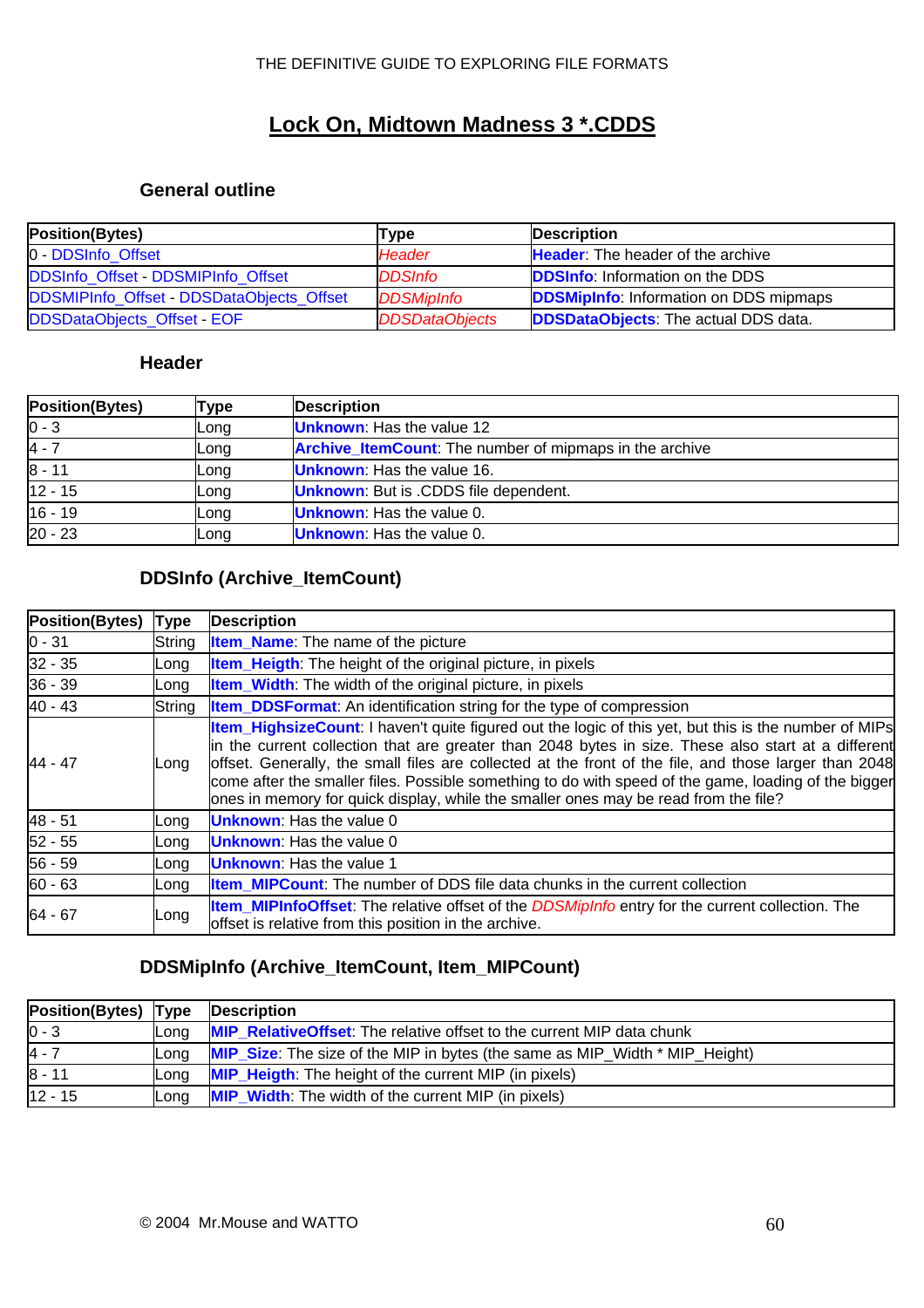## **Lock On, Midtown Madness 3 \*.CDDS**

#### **General outline**

| <b>Position(Bytes)</b>                    | Type                  | <b>Description</b>                            |
|-------------------------------------------|-----------------------|-----------------------------------------------|
| 0 - DDSInfo Offset                        | <b>Header</b>         | <b>Header:</b> The header of the archive      |
| DDSInfo Offset - DDSMIPInfo Offset        | <b>DDSInfo</b>        | <b>DDSInfo:</b> Information on the DDS        |
| DDSMIPInfo_Offset - DDSDataObjects_Offset | <b>DDSMipInfo</b>     | <b>DDSMipInfo:</b> Information on DDS mipmaps |
| DDSDataObjects_Offset - EOF               | <b>DDSDataObjects</b> | <b>DDSDataObjects:</b> The actual DDS data.   |

#### **Header**

| <b>Position(Bytes)</b> | Type | <b>Description</b>                                             |
|------------------------|------|----------------------------------------------------------------|
| $0 - 3$                | Long | <b>Unknown:</b> Has the value 12                               |
| $4 - 7$                | Long | <b>Archive_ItemCount:</b> The number of mipmaps in the archive |
| $8 - 11$               | Long | <b>Unknown:</b> Has the value 16.                              |
| $12 - 15$              | Long | <b>Unknown:</b> But is .CDDS file dependent.                   |
| $16 - 19$              | Long | <b>Unknown:</b> Has the value 0.                               |
| $20 - 23$              | Long | <b>Unknown:</b> Has the value 0.                               |

## **DDSInfo (Archive\_ItemCount)**

| <b>Position(Bytes)</b> | <b>Type</b> | <b>Description</b>                                                                                                                                                                                                                                                                                                                                                                                                                                                                                                   |
|------------------------|-------------|----------------------------------------------------------------------------------------------------------------------------------------------------------------------------------------------------------------------------------------------------------------------------------------------------------------------------------------------------------------------------------------------------------------------------------------------------------------------------------------------------------------------|
| $0 - 31$               | String      | <b>Item_Name:</b> The name of the picture                                                                                                                                                                                                                                                                                                                                                                                                                                                                            |
| $32 - 35$              | _ong        | <b>Item_Heigth:</b> The height of the original picture, in pixels                                                                                                                                                                                                                                                                                                                                                                                                                                                    |
| $36 - 39$              | _ong        | <b>Item_Width:</b> The width of the original picture, in pixels                                                                                                                                                                                                                                                                                                                                                                                                                                                      |
| $40 - 43$              | String      | Item_DDSFormat: An identification string for the type of compression                                                                                                                                                                                                                                                                                                                                                                                                                                                 |
| 44 - 47                | Long        | Item_HighsizeCount: I haven't quite figured out the logic of this yet, but this is the number of MIPs<br>in the current collection that are greater than 2048 bytes in size. These also start at a different<br>offset. Generally, the small files are collected at the front of the file, and those larger than 2048<br>come after the smaller files. Possible something to do with speed of the game, loading of the bigger<br>ones in memory for quick display, while the smaller ones may be read from the file? |
| 48 - 51                | Long        | <b>Unknown:</b> Has the value 0                                                                                                                                                                                                                                                                                                                                                                                                                                                                                      |
| $52 - 55$              | Long        | <b>Unknown:</b> Has the value 0                                                                                                                                                                                                                                                                                                                                                                                                                                                                                      |
| $56 - 59$              | Long        | <b>Unknown:</b> Has the value 1                                                                                                                                                                                                                                                                                                                                                                                                                                                                                      |
| $60 - 63$              | Long        | <b>Item_MIPCount:</b> The number of DDS file data chunks in the current collection                                                                                                                                                                                                                                                                                                                                                                                                                                   |
| $64 - 67$              | Long        | <b>Item_MIPInfoOffset:</b> The relative offset of the <i>DDSMipInfo</i> entry for the current collection. The<br>offset is relative from this position in the archive.                                                                                                                                                                                                                                                                                                                                               |

## **DDSMipInfo (Archive\_ItemCount, Item\_MIPCount)**

| Position(Bytes) Type Description |       |                                                                                    |
|----------------------------------|-------|------------------------------------------------------------------------------------|
| $ 0 - 3$                         | ILona | <b>MIP_RelativeOffset:</b> The relative offset to the current MIP data chunk       |
| 4 - 7                            | ILona | <b>MIP_Size:</b> The size of the MIP in bytes (the same as MIP_Width * MIP_Height) |
| 8 - 11                           | ILona | <b>MIP_Heigth:</b> The height of the current MIP (in pixels)                       |
| $12 - 15$                        | ILona | <b>MIP_Width:</b> The width of the current MIP (in pixels)                         |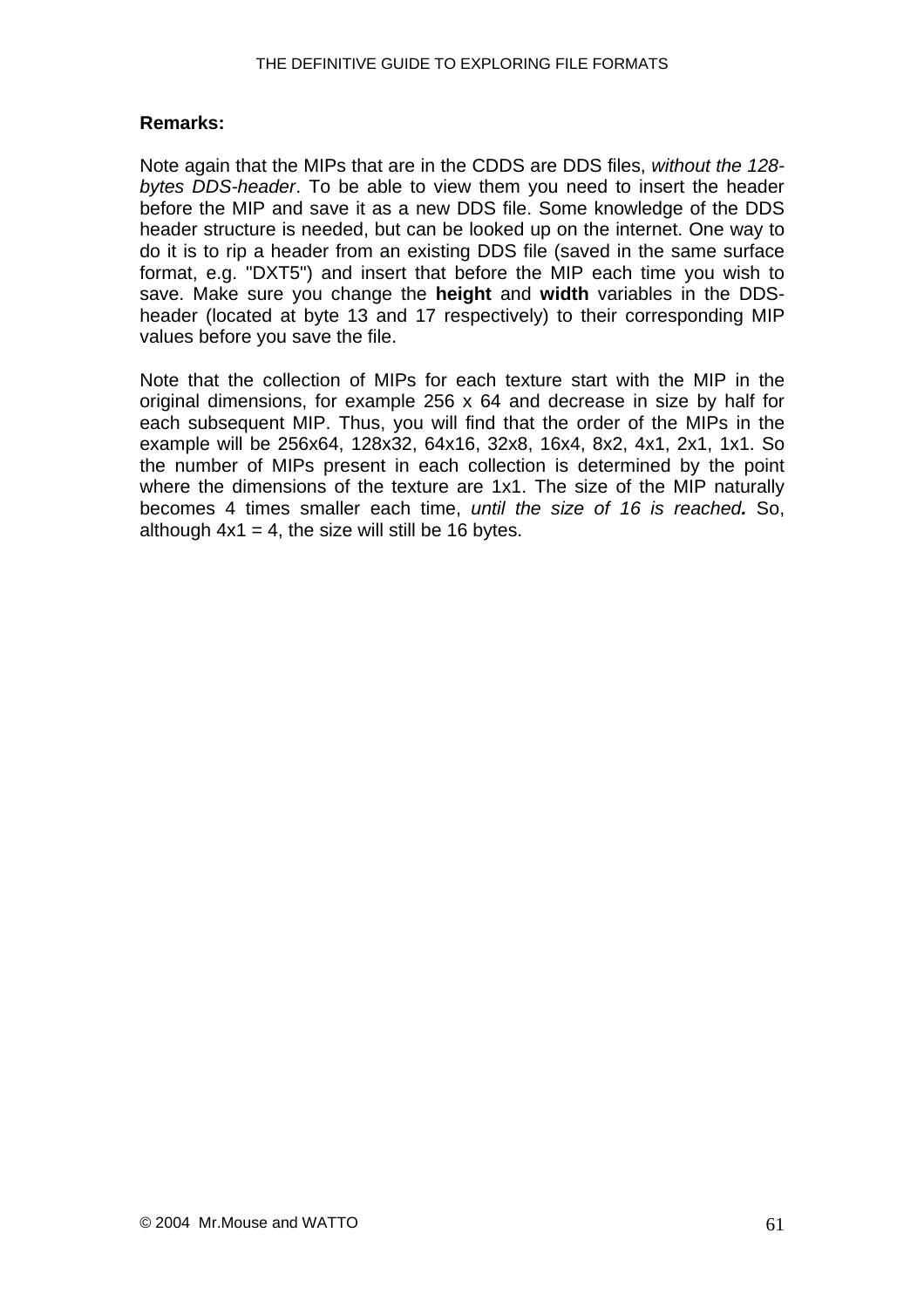#### **Remarks:**

Note again that the MIPs that are in the CDDS are DDS files, *without the 128 bytes DDS-header*. To be able to view them you need to insert the header before the MIP and save it as a new DDS file. Some knowledge of the DDS header structure is needed, but can be looked up on the internet. One way to do it is to rip a header from an existing DDS file (saved in the same surface format, e.g. "DXT5") and insert that before the MIP each time you wish to save. Make sure you change the **height** and **width** variables in the DDSheader (located at byte 13 and 17 respectively) to their corresponding MIP values before you save the file.

Note that the collection of MIPs for each texture start with the MIP in the original dimensions, for example 256 x 64 and decrease in size by half for each subsequent MIP. Thus, you will find that the order of the MIPs in the example will be 256x64, 128x32, 64x16, 32x8, 16x4, 8x2, 4x1, 2x1, 1x1. So the number of MIPs present in each collection is determined by the point where the dimensions of the texture are 1x1. The size of the MIP naturally becomes 4 times smaller each time, *until the size of 16 is reached.* So, although  $4x1 = 4$ , the size will still be 16 bytes.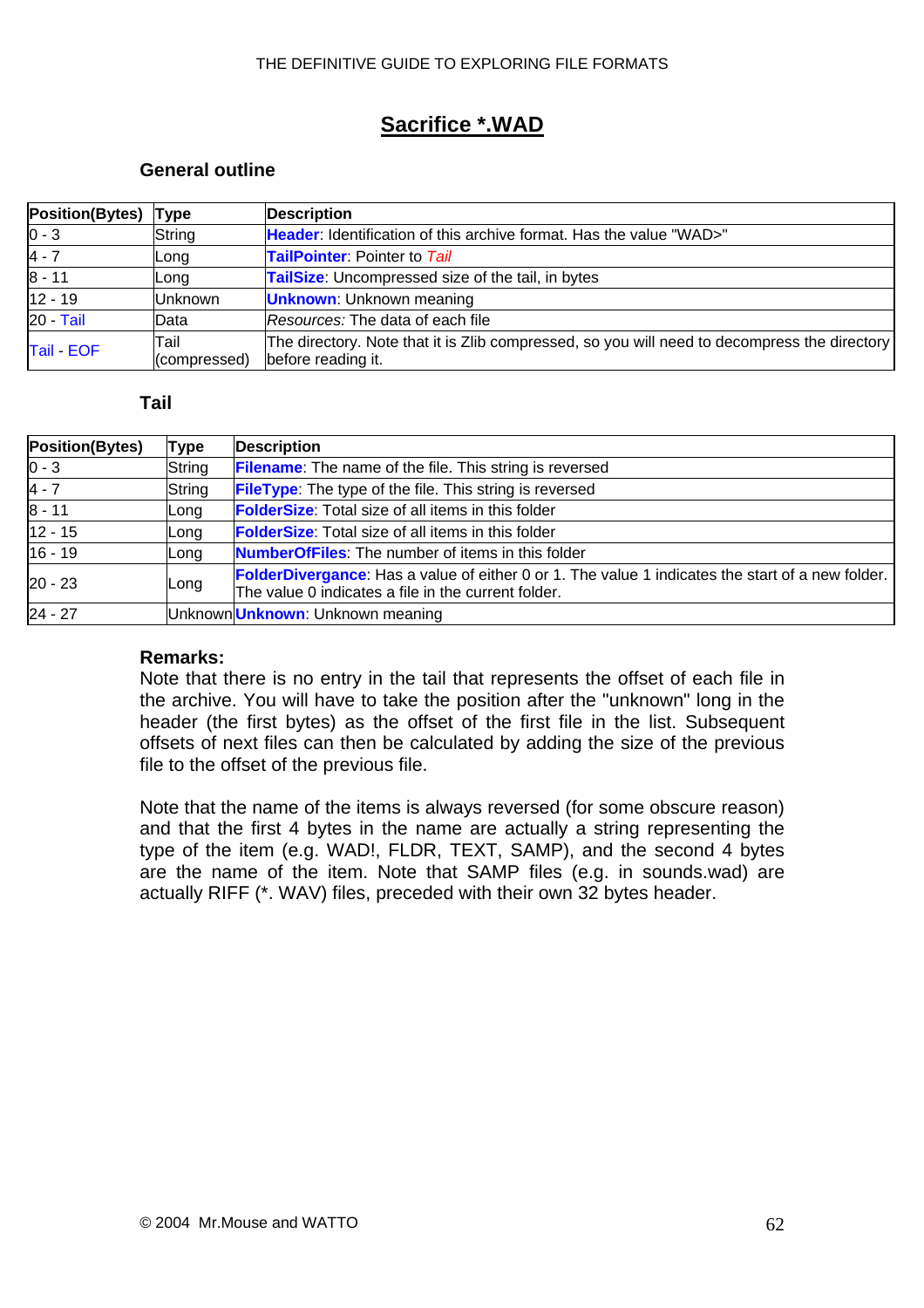## **Sacrifice \*.WAD**

#### **General outline**

| <b>Position(Bytes)</b> | Type                  | <b>Description</b>                                                                                                 |  |
|------------------------|-----------------------|--------------------------------------------------------------------------------------------------------------------|--|
| $0 - 3$                | String                | Header: Identification of this archive format. Has the value "WAD>"                                                |  |
| $4 - 7$                | Long                  | <b>TailPointer:</b> Pointer to Tail                                                                                |  |
| $8 - 11$               | Long                  | TailSize: Uncompressed size of the tail, in bytes                                                                  |  |
| $12 - 19$              | <b>Unknown</b>        | <b>Unknown:</b> Unknown meaning                                                                                    |  |
| <b>20 - Tail</b>       | Data                  | Resources: The data of each file                                                                                   |  |
| Tail EOF               | lTail<br>(compressed) | The directory. Note that it is Zlib compressed, so you will need to decompress the directory<br>before reading it. |  |

#### **Tail**

| <b>Type</b> | <b>Description</b>                                                                                                                                             |  |
|-------------|----------------------------------------------------------------------------------------------------------------------------------------------------------------|--|
| String      | <b>Filename:</b> The name of the file. This string is reversed                                                                                                 |  |
| String      | <b>FileType:</b> The type of the file. This string is reversed                                                                                                 |  |
| Long        | <b>FolderSize:</b> Total size of all items in this folder                                                                                                      |  |
| Long        | <b>FolderSize:</b> Total size of all items in this folder                                                                                                      |  |
| Long        | <b>NumberOfFiles:</b> The number of items in this folder                                                                                                       |  |
| Long        | <b>FolderDivergance:</b> Has a value of either 0 or 1. The value 1 indicates the start of a new folder.<br>The value 0 indicates a file in the current folder. |  |
|             | Unknown Unknown: Unknown meaning                                                                                                                               |  |
|             |                                                                                                                                                                |  |

#### **Remarks:**

Note that there is no entry in the tail that represents the offset of each file in the archive. You will have to take the position after the "unknown" long in the header (the first bytes) as the offset of the first file in the list. Subsequent offsets of next files can then be calculated by adding the size of the previous file to the offset of the previous file.

Note that the name of the items is always reversed (for some obscure reason) and that the first 4 bytes in the name are actually a string representing the type of the item (e.g. WAD!, FLDR, TEXT, SAMP), and the second 4 bytes are the name of the item. Note that SAMP files (e.g. in sounds.wad) are actually RIFF (\*. WAV) files, preceded with their own 32 bytes header.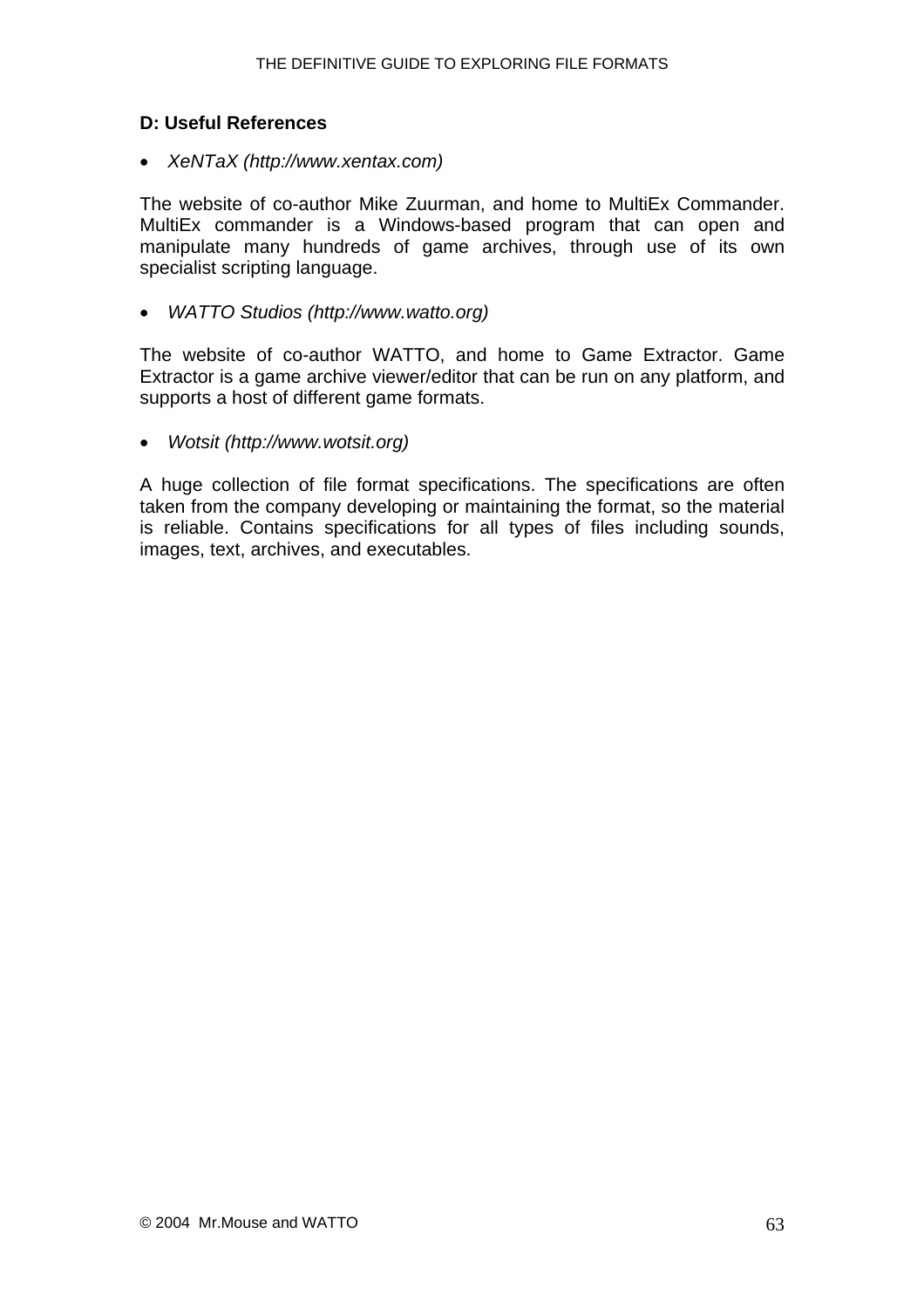#### <span id="page-62-0"></span>**D: Useful References**

• *XeNTaX (http://www.xentax.com)* 

The website of co-author Mike Zuurman, and home to MultiEx Commander. MultiEx commander is a Windows-based program that can open and manipulate many hundreds of game archives, through use of its own specialist scripting language.

• *WATTO Studios (http://www.watto.org)* 

The website of co-author WATTO, and home to Game Extractor. Game Extractor is a game archive viewer/editor that can be run on any platform, and supports a host of different game formats.

• *Wotsit (http://www.wotsit.org)* 

A huge collection of file format specifications. The specifications are often taken from the company developing or maintaining the format, so the material is reliable. Contains specifications for all types of files including sounds, images, text, archives, and executables.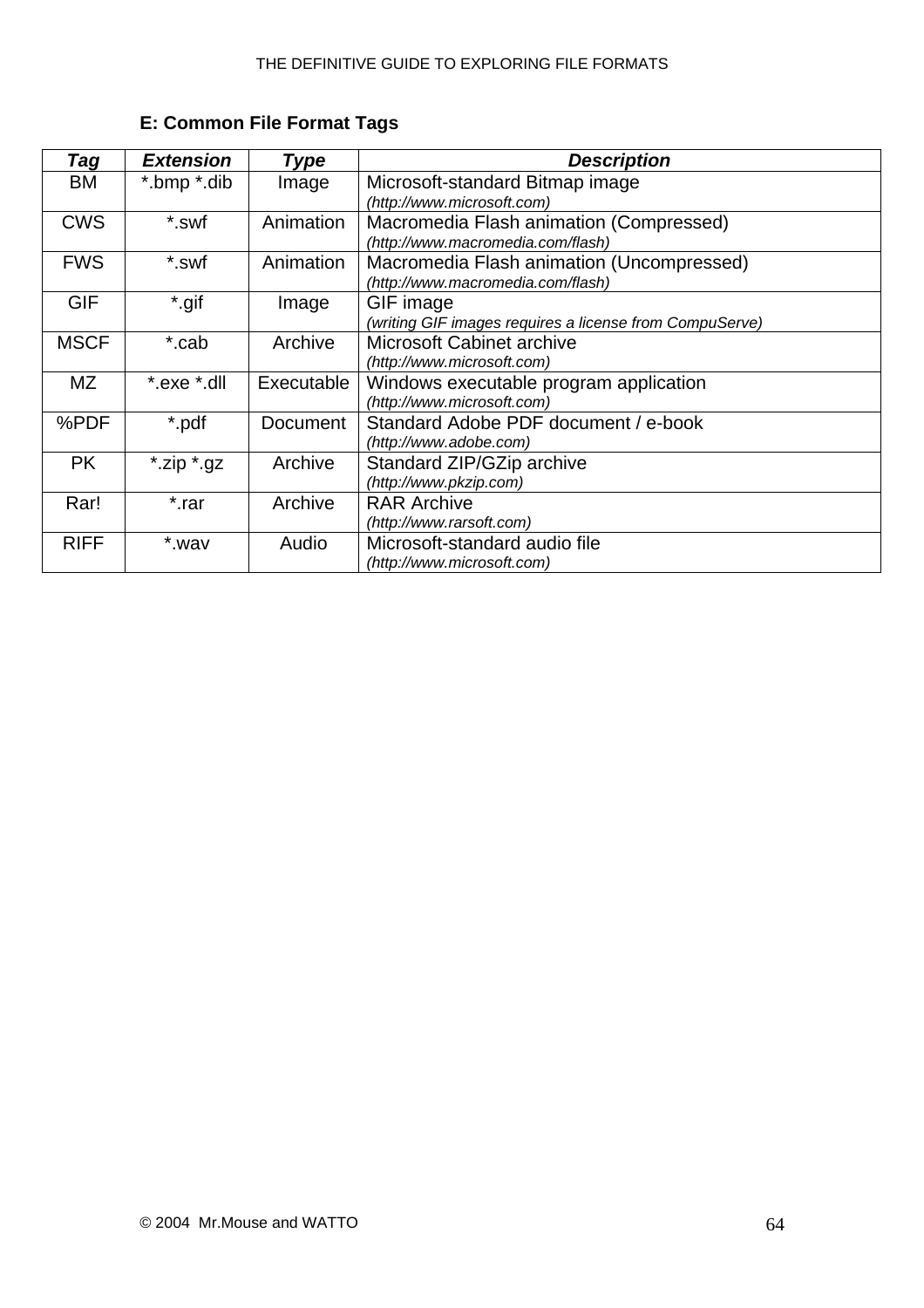<span id="page-63-0"></span>

| <b>Tag</b>  | <b>Extension</b> | <b>Type</b> | <b>Description</b>                                      |
|-------------|------------------|-------------|---------------------------------------------------------|
| ВM          | *.bmp *.dib      | Image       | Microsoft-standard Bitmap image                         |
|             |                  |             | (http://www.microsoft.com)                              |
| <b>CWS</b>  | *.swf            | Animation   | Macromedia Flash animation (Compressed)                 |
|             |                  |             | (http://www.macromedia.com/flash)                       |
| <b>FWS</b>  | *.swf            | Animation   | Macromedia Flash animation (Uncompressed)               |
|             |                  |             | (http://www.macromedia.com/flash)                       |
| <b>GIF</b>  | *.gif            | Image       | GIF image                                               |
|             |                  |             | (writing GIF images requires a license from CompuServe) |
| <b>MSCF</b> | *.cab            | Archive     | <b>Microsoft Cabinet archive</b>                        |
|             |                  |             | (http://www.microsoft.com)                              |
| ΜZ          | *.exe *.dll      | Executable  | Windows executable program application                  |
|             |                  |             | (http://www.microsoft.com)                              |
| %PDF        | *.pdf            | Document    | Standard Adobe PDF document / e-book                    |
|             |                  |             | (http://www.adobe.com)                                  |
| <b>PK</b>   | *.zip *.gz       | Archive     | Standard ZIP/GZip archive                               |
|             |                  |             | (http://www.pkzip.com)                                  |
| Rar!        | *.rar            | Archive     | <b>RAR Archive</b>                                      |
|             |                  |             | (http://www.rarsoft.com)                                |
| <b>RIFF</b> | *.wav            | Audio       | Microsoft-standard audio file                           |
|             |                  |             | (http://www.microsoft.com)                              |